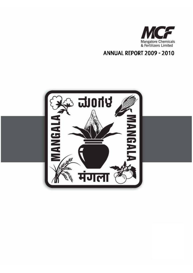

**ANNUAL REPORT 2009 - 2010** 

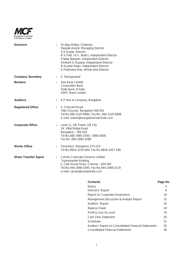

| <b>Directors</b>            |    | Dr. Vijay Mallya, Chairman<br>Deepak Anand, Managing Director<br>S.R.Gupte, Director<br>B.S.Patil, I.A.S. (Retd.), Independent Director<br>Pratap Narayan, Independent Director<br>Shrikant G.Ruparel, Independent Director<br>N.Sunder Rajan, Independent Director<br>K.Prabhakar Rao, Whole-time Director |
|-----------------------------|----|-------------------------------------------------------------------------------------------------------------------------------------------------------------------------------------------------------------------------------------------------------------------------------------------------------------|
| <b>Company Secretary</b>    | ÷. | S. Ramaprasad                                                                                                                                                                                                                                                                                               |
| <b>Bankers</b>              | ÷. | <b>Axis Bank Limited</b><br><b>Corporation Bank</b><br>State Bank of India<br><b>HDFC Bank Limited</b>                                                                                                                                                                                                      |
| <b>Auditors</b>             | ÷. | K.P.Rao & Company, Bangalore                                                                                                                                                                                                                                                                                |
| <b>Registered Office</b>    | ÷. | 5, Crescent Road<br>High Grounds, Bangalore-560 001<br>Tel.No.080-2220 8990, Fax No. 080-2220 8989<br>e-mail: shares@mangalorechemicals.com                                                                                                                                                                 |
| <b>Corporate Office</b>     |    | Level 11, UB Tower, UB City<br>24, Vittal Mallya Road<br>Bangalore - 560 001<br>Tel.No.080-3985 5500 / 3985 6000<br>Fax No. 080-3985 5588                                                                                                                                                                   |
| <b>Works Office</b>         | ÷  | Panambur, Mangalore-575 010<br>Tel No.0824-2220 600, Fax No.0824-2407 938                                                                                                                                                                                                                                   |
| <b>Share Transfer Agent</b> | ÷  | Cameo Corporate Services Limited<br>'Subramanian Building'<br>1, Club House Road, Chennai - 600 002<br>Tel.No.044-2846 0390, Fax No.044-2846 0129<br>e-mail: cameo@cameoindia.com                                                                                                                           |

# **Contents Page No.**

| <b>Notice</b>                                         | 3  |
|-------------------------------------------------------|----|
| Directors' Report                                     | 6  |
| Report on Corporate Governance                        | 10 |
| Management Discussion & Analysis Report               | 15 |
| Auditors' Report                                      | 16 |
| <b>Balance Sheet</b>                                  | 18 |
| Profit & Loss Account                                 | 19 |
| Cash Flow Statement                                   | 20 |
| <b>Schedules</b>                                      | 21 |
| Auditors' Report on Consolidated Financial Statements | 35 |
| <b>Consolidated Financial Statements</b>              | 36 |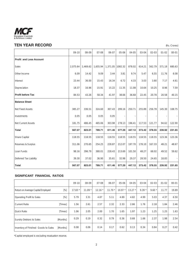

# **TEN YEAR RECORD** (Rs. Crores)

|                                              | 09-10    | 08-09    | 07-08    | $06 - 07$ | 05-06    | 04-05     | 03-04   | $02 - 03$ | $01 - 02$ | $00 - 01$ |
|----------------------------------------------|----------|----------|----------|-----------|----------|-----------|---------|-----------|-----------|-----------|
| <b>Profit and Loss Account</b>               |          |          |          |           |          |           |         |           |           |           |
| Sales                                        | 2.075.64 | 2,469.62 | 1.655.94 | 1.371.05  | 1082.32  | 878.02    | 614.21  | 562.79    | 571.18    | 680.63    |
| Other Income                                 | 6.09     | 14.42    | 9.09     | 3.44      | 3.81     | 9.74      | 5.47    | 6.55      | 11.76     | 8.08      |
| Interest                                     | 23.44    | 36.00    | 15.43    | 16.34     | 6.72     | 4.33      | 3.03    | 3.80      | 7.17      | 4.61      |
| Depreciation                                 | 18.37    | 16.96    | 15.91    | 15.22     | 11.35    | 11.08     | 10.64   | 10.25     | 8.96      | 7.59      |
| <b>Profit before Tax</b>                     | 84.53    | 43.26    | 58.34    | 41.97     | 38.66    | 36.68     | 22.45   | 20.78     | 20.58     | 40.15     |
| <b>Balance Sheet</b>                         |          |          |          |           |          |           |         |           |           |           |
| Net Fixed Assets                             | 385.27   | 336.51   | 324.60   | 307.43    | 299.16   | 250.71    | 255.89  | 256.78    | 145.30    | 108.75    |
| Investments                                  | 0.05     | 0.05     | 0.05     | 0.05      |          |           |         |           |           |           |
| <b>Net Current Assets</b>                    | 181.75   | 486.45   | 465.06   | 303.98    | 278.13   | 196.41    | 117.53  | 121.77    | 94.62     | 122.90    |
| <b>Total</b>                                 | 567.07   | 823.01   | 789.71   | 611.46    | 577.29   | 447.12    | 373.42  | 378.55    | 239.92    | 231.65    |
| Share Capital                                | 118.55   | 118.55   | 118.55   | 118.55    | 118.55   | 118.55    | 118.55  | 118.55    | 123.36    | 123.36    |
| Reserves & Surplus                           | 311.06   | 270.65   | 254.25   | 228.87    | 212.07   | 197.70    | 178.10  | 167.33    | 48.21     | 48.67     |
| Loan Funds                                   | 98.16    | 396.79   | 380.01   | 228.43    | 213.69   | 101.50    | 48.27   | 68.02     | 49.52     | 59.62     |
| Deferred Tax Liability                       | 39.30    | 37.02    | 36.90    | 35.61     | 32.98    | 29.37     | 28.50   | 24.65     | 18.83     |           |
| <b>Total</b>                                 | 567.07   | 823.01   | 789.71   | 611.46    | 577.29   | 447.12    | 373.42  | 378.55    | 239.92    | 231.65    |
| SIGNIFICANT FINANCIAL RATIOS                 |          |          |          |           |          |           |         |           |           |           |
|                                              | $09-10$  | 08-09    | 07-08    | 06-07     | 05-06    | $04 - 05$ | 03-04   | $02 - 03$ | $01 - 02$ | $00 - 01$ |
| Return on Average Capital Employed<br>$[\%]$ | 17.83 *  | $11.09*$ | $12.16*$ | 11.70 *   | $10.97*$ | $13.27*$  | $9.39*$ | $9.60*$   | 11.77     | 19.89     |
| Operating Profit to Sales<br>$[\%]$          | 5.79     | 3.31     | 4.87     | 5.11      | 4.89     | 4.82      | 4.99    | 5.03      | 4.37      | 6.50      |
|                                              |          |          |          |           |          |           |         |           |           |           |

\*Capital employed is excluding revaluation reserve.

Current Ratio [Times] 1.56 2.61 2.57 2.32 2.33 2.86 1.76 2.18 1.84 2.46

Quick Ratio [Times] 1.06 2.05 2.00 1.70 1.65 1.97 1.23 1.25 1.25 1.63

Sundry Debtors to Sales [Months] 0.29 0.19 0.32 0.79 0.36 0.68 1.66 2.37 1.98 2.54

Inventory of Finished Goods to Sales [Months] 0.08 0.06 0.14 0.17 0.62 0.13 0.34 0.84 0.27 0.42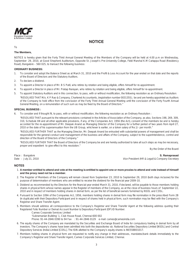

# **NOTICE**

### To

### **The Members,**

NOTICE is hereby given that the Forty Third Annual General Meeting of the Members of the Company will be held at 4.00 p.m on Wednesday, September 29, 2010, at Good Shepherd Auditorium, Opposite St. Joseph's Pre-University College, Field Marshal K.M Cariappa Road (Residency Road), Bangalore – 560 025, to transact the following business:

### **ORDINARY BUSINESS:**

- 1. To consider and adopt the Balance Sheet as at March 31, 2010 and the Profit & Loss Account for the year ended on that date and the reports of the Board of Directors and the Statutory Auditors.
- 2. To declare a dividend.
- 3. To appoint a Director in place of Mr. B S Patil, who retires by rotation and being eligible, offers himself for re-appointment.
- 4. To appoint a Director in place of Mr. Pratap Narayan, who retires by rotation and being eligible, offers himself for re-appointment.
- 5. To appoint Statutory Auditors and in this connection, to pass, with or without modification, the following resolution as an Ordinary Resolution:

"RESOLVED THAT M/s. K P Rao & Company, Chartered Accountants, (registration number 003135S), be and are hereby appointed as Auditors of the Company to hold office from the conclusion of the Forty Third Annual General Meeting until the conclusion of the Forty Fourth Annual General Meeting, on a remuneration of such sum as may be fixed by the Board of Directors."

### **SPECIAL BUSINESS :**

6. To consider and if thought fit, to pass, with or without modification, the following resolution as an Ordinary Resolution :

"RESOLVED THAT pursuant to the relevant provisions contained in the Articles of Association of the Company, as also, Sections 198, 269, 309, 310, Schedule XIII and all other applicable provisions, if any, of the Companies Act, 1956 (the Act), consent of the members be and is hereby accorded for the re-appointment of Mr. Deepak Anand as Managing Director of the Company for a further period of two years from April 27, 2010 or the date of his superannuation from the UB Group, whichever is earlier, on a token salary of Re.1/- per month."

"RESOLVED FURTHER THAT as the Managing Director, Mr. Deepak Anand be entrusted with substantial powers of management and shall be responsible for the general conduct and management of the business and affairs of the Company, subject to the superintendence, control and direction of the Board of Directors of the Company."

"RESOLVED FURTHER THAT the Board of Directors of the Company be and are hereby authorized to take all such steps as may be necessary, proper and expedient to give effect to this resolution."

By the Order of the Board

Place : Bangalore **S. Ramaprasad S. Ramaprasad S. Ramaprasad S. Ramaprasad S. Ramaprasad** 

Date : July 21, 2010 Vice President (HR & Legal) & Company Secretary

## **NOTES**

- 1. A member entitled to attend and vote at the meeting is entitled to appoint one or more proxies to attend and vote instead of himself and the proxy need not be a member.
- 2. The Register of Members of the Company will remain closed from September 23, 2010 to September 29, 2010 (both days inclusive) for the purpose of determination of members who are entitled to receive the dividend for the financial year 2009-10.
- 3. Dividend as recommended by the Directors for the financial year ended March 31, 2010, if declared, will be payable to those members holding shares in physical form whose names appear in the Register of members of the Company, as at the close of business hours of September 22, 2010 and in respect of members holding shares in demat form, as per the list of beneficial owners furnished by NSDL and CDSL.
- 4. Pursuant to Section 109A of the Companies Act, 1956, members holding shares in demat form may file nomination in the prescribed Form 2B (in duplicate) with their Depository Participant and in respect of shares held in physical form, such nomination may be filed with the Company's Registrar and Share Transfer Agent.
- 5. Members should address all correspondence to the Company's Registrar and Share Transfer Agent at the following address quoting their Registered Folio Number or Demat Account Number & Depository Participant (DP) ID Number.

Cameo Corporate Services Limited 'Subramanian Building' 1, Club House Road, Chennai-600 002 Phone: 91-44-2846 0390 to 94 Fax : 91-44-2846 0129 e-mail: cameo@cameoindia.com

- 6. The equity shares of the Company are mandated by the Securities and Exchange Board of India for compulsory trading in demat form by all investors. The Company's shares have been admitted into both the depositories viz. National Securities Depository Limited [NSDL] and Central Depository Services (India) Limited [CDSL]. The ISIN allotted to the Company's equity shares is INE558B01017.
- 7. Members holding shares in physical form are requested to notify any change in their addresses, mandates/bank details immediately to the Company's Registrar and Share Transfer Agent, Cameo Corporate Services Limited, Chennai.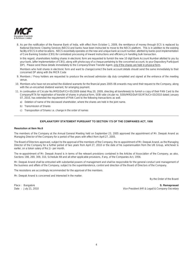

8. As per the notification of the Reserve Bank of India, with effect from October 1, 2009, the remittance of money through ECS is replaced by National Electronic Clearing Services (NECS) and banks have been instructed to move to the NECS platform. This is in addition to the existing facility of ECS in other locations. NECS essentially operates on the new and unique bank account number, allotted by banks post implementation of Core Banking Solution (CBS) for centralized processing of inward instructions and efficiency in handling bulk transaction.

 In this regard, shareholders holding shares in electronic form are requested to furnish the new 10 digit Bank Account Number allotted to you by your bank, (after implementation of CBS), along with photocopy of a cheque pertaining to the concerned account, to your Depository Participant (DP). Please send these details immediately to the Company/Share Transfer Agent, only if the shares are held in physical form.

 Members who hold shares in electronic form and want to change/correct the bank account details should send the same immediately to their concerned DP along with the MICR Code

- 9. Members / Proxy holders are requested to produce the enclosed admission slip duly completed and signed at the entrance of the meeting venue.
- 10. Members who have not encashed the dividend warrants for the financial years 2005-06 onwards may send their request to the Company, along with the un-encashed dividend warrant, for arranging payment.
- 11. In continuation of Circular No.MRD/DoP/Cir-05/2009 dated May 20, 2009, directing all transferee(s) to furnish a copy of their PAN Card to the Company/RTA for registration of transfer of shares in physical form, SEBI vide circular no. SEBI/MRD/DoP/SE/RTA/Cir-03/2010 dated January 07, 2010, has extended the requirement of PAN Card to the following transactions as well.
	- a) Deletion of name of the deceased shareholder, where the shares are held in the joint name.
	- b) Transmission of Shares
	- c) Transposition of Shares i.e. change in the order of names

### **EXPLANATORY STATEMENT PURSUANT TO SECTION 173 OF THE COMPANIES ACT, 1956**

#### **Resolution at Item No.6**

The members of the Company at the Annual General Meeting held on September 23, 2005 approved the appointment of Mr. Deepak Anand as Managing Director of the Company for a period of five years with effect from April 27, 2005.

The Board of Directors approved, subject to the approval of the members of the Company, the re-appointment of Mr. Deepak Anand, as the Managing Director of the Company for a further period of two years from April 27, 2010 or the date of his superannuation from the UB Group, whichever is earlier, on a token salary of Re.1/- per month.

The re-appointment of Mr. Deepak Anand is in terms of the relevant provisions contained in the Articles of Association of the Company, as also, Sections 198, 269, 309, 310, Schedule XIII and all other applicable provisions, if any, of the Companies Act, 1956.

Mr. Deepak Anand shall be entrusted with substantial powers of management and shall be responsible for the general conduct and management of the business and affairs of the Company, subject to the superintendence, control and direction of the Board of Directors of the Company.

The resolutions are accordingly recommended for the approval of the members.

Mr. Deepak Anand is concerned and interested in the matter.

By the Order of the Board

Place : Bangalore **S. Ramaprasad S. Ramaprasad S. Ramaprasad <b>S. Ramaprasad S. Ramaprasad** Date : July 21, 2010 Vice President (HR & Legal) & Company Secretary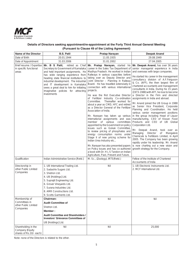

# **Details of Directors seeking appointment/re-appointment at the Forty Third Annual General Meeting (Pursuant to Clause 49 of the Listing Agreement)**

| Name of the Director                                                | <b>B.S. Patil</b>                                                                                                                                                                                                                                                                                                                                                             | Pratap Narayan                                                                                                                                                                                                                                                                                                                                                                                                                                                                                                                                                                                                                                                                                                                                                                                                                                                                                                                                                                                 | <b>Deepak Anand</b>                                                                                                                                                                                                                                                                                                                                                                                                                                                                                                                                                                                                                                                                                                                                                                                                                                                                                                                                                                                                                        |  |  |
|---------------------------------------------------------------------|-------------------------------------------------------------------------------------------------------------------------------------------------------------------------------------------------------------------------------------------------------------------------------------------------------------------------------------------------------------------------------|------------------------------------------------------------------------------------------------------------------------------------------------------------------------------------------------------------------------------------------------------------------------------------------------------------------------------------------------------------------------------------------------------------------------------------------------------------------------------------------------------------------------------------------------------------------------------------------------------------------------------------------------------------------------------------------------------------------------------------------------------------------------------------------------------------------------------------------------------------------------------------------------------------------------------------------------------------------------------------------------|--------------------------------------------------------------------------------------------------------------------------------------------------------------------------------------------------------------------------------------------------------------------------------------------------------------------------------------------------------------------------------------------------------------------------------------------------------------------------------------------------------------------------------------------------------------------------------------------------------------------------------------------------------------------------------------------------------------------------------------------------------------------------------------------------------------------------------------------------------------------------------------------------------------------------------------------------------------------------------------------------------------------------------------------|--|--|
| Date of Birth                                                       | 20.01.1944                                                                                                                                                                                                                                                                                                                                                                    | 11.05.1935                                                                                                                                                                                                                                                                                                                                                                                                                                                                                                                                                                                                                                                                                                                                                                                                                                                                                                                                                                                     | 29.08.1949                                                                                                                                                                                                                                                                                                                                                                                                                                                                                                                                                                                                                                                                                                                                                                                                                                                                                                                                                                                                                                 |  |  |
| Date of Appointment                                                 | 31.03.2006                                                                                                                                                                                                                                                                                                                                                                    | 31.01.2002                                                                                                                                                                                                                                                                                                                                                                                                                                                                                                                                                                                                                                                                                                                                                                                                                                                                                                                                                                                     | 27.04.2005                                                                                                                                                                                                                                                                                                                                                                                                                                                                                                                                                                                                                                                                                                                                                                                                                                                                                                                                                                                                                                 |  |  |
| Brief resume / Expertise<br>in specific functional<br>areas         | Mr. B S Patil,<br>retired as Chief<br>Secretary to Government of Karnataka<br>and held important assignments. He<br>has wide ranging experience from<br>heading state financial institutions to<br>industrial development. The industrial<br>and IT development in Karnataka<br>owes a great deal to him for initiating<br>imaginative policies for attracting<br>investments | Mr. Pratap Narayan, started his<br>career in the Sales Tax Department of<br>Madhya Pradesh. He worked in Indian<br>Railways in various capacities before<br>taking over as Deputy Director and<br>Joint Director - Planning in Railway<br>Board. He has travelled extensively in<br>connection with various international<br>projects.<br>He was the first Executive Director<br>of Fertilizer Industry Co-ordination<br>Thereafter worked for<br>Committee.<br>about a year as CMD, HFC and retired<br>as a Director General of the Fertilizer<br>Association of India.<br>Mr. Narayan has taken up various<br>international assignments and was<br>member of various<br>committees<br>appointed by the Government on policy<br>issues such as Gokak Committee,<br>to review pricing of phosphates and<br>energy consumption norms under<br>Stage II of new pricing scheme for<br>Indian Urea Industry etc.,<br>Mr. Narayan has also presented papers<br>on Policy issues and has co-authored | Mr. Deepak Anand, has over 36 years<br>senior managerial experience in India<br>and overseas with large companies.<br>He started his career in the management<br>consultancy division of A.F.Ferguson<br>& Co. (AFF), the then largest firm of<br>chartered accountants and management<br>consultants in India. During his 15 years<br>(1973-1988) with AFF, he rose to become<br>a Director in the Firm and directed<br>assignments in India and abroad.<br>Mr. Anand joined the UB Group in 1988<br>as Senior Vice President, Corporate<br>Planning and Coordination. He held<br>various senior management positions<br>in the group including Head of Liquor<br>manufacturing, CEO of Kissan Food<br>Products and CEO of UB Global<br>Corporation Ltd.<br>Mr. Deepak Anand, took over as<br>Managing<br>Director of Mangalore<br>Chemicals & Fertilizers Limited, in April<br>2005. The Company has been growing<br>rapidly under his leadership. Mr. Anand<br>is now charting out a new vision and<br>growth strategy for the Company. |  |  |
| Qualification                                                       | Indian Administrative Service [Retd.]                                                                                                                                                                                                                                                                                                                                         | a book with Dr. H L S Tandon on Indian<br>Agriculture, Past, Present and Future.<br>M. Sc., (Zoology), IRTS(Retd.)                                                                                                                                                                                                                                                                                                                                                                                                                                                                                                                                                                                                                                                                                                                                                                                                                                                                             | Fellow of the Institute of Chartered                                                                                                                                                                                                                                                                                                                                                                                                                                                                                                                                                                                                                                                                                                                                                                                                                                                                                                                                                                                                       |  |  |
| Directorship in<br>other Public Limited<br>Companies                | 1. UB International Trading Ltd.<br>2. Sadashiv Sugars Ltd.<br>3. Shetron Ltd.<br>4. UB [Holdings] Ltd.<br>5. Suprajit Engineering Ltd.<br>6. Grover Vineyards Ltd.<br>7. Surana Industries Ltd.<br>8. AMR Constructions Ltd.<br>9. Scotts Garments Ltd.                                                                                                                      | Nil                                                                                                                                                                                                                                                                                                                                                                                                                                                                                                                                                                                                                                                                                                                                                                                                                                                                                                                                                                                            | Accountants of India<br>1. UB Electronic Instruments Ltd.<br>2. MCF International Ltd.                                                                                                                                                                                                                                                                                                                                                                                                                                                                                                                                                                                                                                                                                                                                                                                                                                                                                                                                                     |  |  |
| Membership of<br>Committees in<br>other Public Limited<br>Companies | Chairman:<br><b>Audit Committee of</b><br>Shetron Ltd.<br>Member:<br><b>Audit Committee and Shareholders /</b><br><b>Investors' Grievance Committees of</b><br>UB [Holdings] Ltd.                                                                                                                                                                                             | Nil                                                                                                                                                                                                                                                                                                                                                                                                                                                                                                                                                                                                                                                                                                                                                                                                                                                                                                                                                                                            | Nil                                                                                                                                                                                                                                                                                                                                                                                                                                                                                                                                                                                                                                                                                                                                                                                                                                                                                                                                                                                                                                        |  |  |
| Shareholding in the<br>Company (Equity<br>shares of Rs.10/- each)   | Nil                                                                                                                                                                                                                                                                                                                                                                           | Nil                                                                                                                                                                                                                                                                                                                                                                                                                                                                                                                                                                                                                                                                                                                                                                                                                                                                                                                                                                                            | 25,000                                                                                                                                                                                                                                                                                                                                                                                                                                                                                                                                                                                                                                                                                                                                                                                                                                                                                                                                                                                                                                     |  |  |

Note: none of the Directors is related to the other.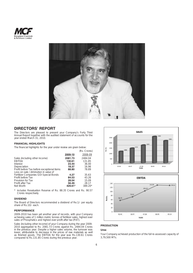



# **DIRECTORS' REPORT**

The Directors are pleased to present your Company's Forty Third Annual Report together with the audited statement of accounts for the year ended March 31, 2010.

## **FINANCIAL HIGHLIGHTS**

The financial highlights for the year under review are given below:

|                                            |         | (Rs. Crores) |
|--------------------------------------------|---------|--------------|
|                                            | 2009-10 | 2008-09      |
| Sales (including other income)             | 2081.73 | 2484.04      |
| EBITDA                                     | 130.61  | 131.85       |
| Interest                                   | 23.44   | 36.00        |
| Depreciation                               | 18.37   | 16.96        |
| Profit before Tax before exceptional items | 88.80   | 78.89        |
| Loss on sale / diminution in value of      |         |              |
| Fertilizer Companies GOI Special Bonds     | 4.27    | 35.63        |
| Profit before Tax                          | 84.53   | 43.26        |
| Provision for Tax                          | 28.04   | 15.09        |
| Profit after Tax                           | 56.49   | 28.17        |
| Net Worth                                  | 429.61* | 389.20*      |
|                                            |         |              |

\* includes Revaluation Reserve of Rs. 88.35 Crores and Rs. 90.57 Crores respectively.

## **DIVIDEND**

The Board of Directors recommended a dividend of Re.1/- per equity share of Rs.10/- each.

### **PERFORMANCE**

2009-2010 has been yet another year of records, with your Company achieving sales of 1 million metric tonnes of fertilizer sales, highest ever sales of Phosphatics and highest ever profit after tax (PAT).

Sales (including other income) of your Company during the year 2009- 2010 aggregated to Rs. 2081.73 Crores against Rs. 2484.04 Crores in the previous year. Despite a higher sales volume, the turnover was lower, attributable to decrease in the prices of raw materials as well as finished goods. The EBITDA for the year was Rs.130.61 Crores compared to Rs.131.85 Crores during the previous year.



# **PRODUCTION**

# **Urea**

Your Company achieved production of the full re-assessed capacity of 3,79,500 MTs.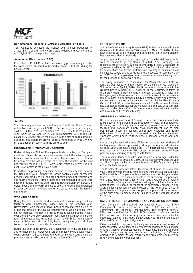

### **Di-Ammonium Phosphate (DAP) and Complex Fertilisers**

Your Company achieved the highest ever annual production of 2,82,173 MTs of DAP and NP (20:20:0:13) during the year compared to 2,33,343 MTs in the previous year.

### **Ammonium Bi-carbonate (ABC)**

Production of 15,330 MTs of ABC achieved by your Company was also the highest ever compared to the production of 15,121 MTs during the previous year.



#### **SALES**

Your Company achieved a record sale of One Million Metric Tonnes of Fertilizers for the year 2009-10. During the year, your Company sold 3,83,338 MTs of Urea compared to 3,86,836 MTs in the previous year. Sales of DAP and NP [20:20:0:13] amounted to 2,80,413 MTs as against 2,35,566 MTs in the previous year. Sales of traded products also registered significant growth, especially imported DAP at 1,74,670 MTs as against 64,126 MTs in the previous year.

### **INTEGRATED NUTRIENT MANAGEMENT**

Under its Integrated Nutrient Management (INM) initiative, your Company continued its efforts to create awareness about the advantages of balanced use of fertilizers. As a result of the sustained focus of your Company over the last few years, sales from this initiative for the year under review stood at Rs. 72 Crores, representing an increase of 33% over Rs.54 Crores in the previous year.

In addition to providing extension support to farmers and dealers, the INM unit of your Company at Hassan continued with its research activities and produced soil and crop specific grades of fertilizers and soil health enhancers. Farmers using the recommended soil and crop specific products reported better crop quality and significant increase in yields. Your Company will continue its efforts to ensure that awareness of balanced use of fertilizers further increases amongst the farming community.

#### **WORKING CAPITAL**

During the year, domestic production as well as imports of phosphatic fertilizers were substantially higher than in the previous year. Nevertheless, on account of lower prices of raw materials as well as of finished products, the overall requirements of working capital limits did not increase. Further, in order to meet its working capital needs, your Company availed of short term loans from banks that carried lower rates of interest compared to normal cash credit limits. Settlement of subsidy claims was also relatively better during the year. All these factors contributed to reduction in interest costs.

During the year under review, the Government of India did not issue any Fertilizer Bonds. However, in order to meet working capital needs, your Company had to liquidate the Fertilizer Bonds issued during the previous year, at a discount, resulting in a loss of Rs.4.27 crores.

### **FERTILIZER POLICY**

Stage-III of the New Pricing Scheme (NPS) for Urea announced by the Government of India in March 2007 expired on March 31, 2010. As the new policy is yet to be finalized and announced, the existing scheme has been extended provisionally.

As per the existing policy, all Naphtha/Furnace Oil/LSHS based units were to convert to gas by March 31, 2010. Your Company is in readiness for conversion, subject to availability of gas. Conclusion of agreements with Indian Oil Corporation, Gas Authority of India Limited for supply of gas and its transportation is in final stages. Based on latest indications, supply of gas to Mangalore is expected to commence by end 2012. Your Company has commissioned a basic engineering study for the purpose of conversion to gas.

The policy in regard to concessions for Phosphatic and Potassic fertilizers was based on import parity price during the year 2009-10. With effect from April 1, 2010, the Government has introduced the Nutrient Based Subsidy (NBS) policy for these fertilizers. In terms of this policy, each nutrient content in fertilizer, is assigned a value and the aggregate of these values is considered to arrive at the concession rates. Besides, an additional subsidy on fortified subsidized fertilizers carrying secondary and micro-nutrients as per the Fertilizer (Control) Order, 1985 [FCO] has also been announced. The Government of India has also issued guidelines for the manufacture and sale of customized fertilizers under clause 20B of FCO to promote balanced plant nutrition and maximize fertilizer use efficiency.

#### **SUBSIDIARY COMPANY**

Besides being one of the world's largest producers of food grains, India ranks second in the world in the production of fruits and vegetables. However, lack of adequate processing, preservation and storage facilities and inadequate supply chain management lead to high post-harvest losses on account of spoilage, wastages and quality deficiencies. On the other hand, increased urbanization and improved standards of living have led to increase in demand for food and food products.

Recognizing the need to improve efficiencies and to address the issue of inadequate post-harvest processing, storage, packing and distribution facilities, your Company's subsidiary MCF International Limited had embarked on an innovative AGRI project to address some of these problems by leveraging its linkages with farmers.

The number of farmers enrolled and the area of coverage under the project increased to 3900 and 13500 acres respectively during the year and the Company achieved vegetable sales of 30MTs per day by the end of the financial year.

The Ministry of Corporate Affairs, Government of India, has exempted your Company from the requirement of attaching the audited accounts of the subsidiary Company to its annual accounts for the year ended March 31, 2010. The annual accounts of the subsidiary Company and the related detailed information will be made available to the holding and subsidiary Company's investors seeking such information at any point of time. The annual accounts of the subsidiary Company is also available for inspection by any investor at the Registered Office of the subsidiary Company as well as your Company and the accounts of the subsidiary Company is also uploaded on the website of your Company.

### **SAFETY, HEALTH, ENVIRONMENT AND POLLUTION CONTROL**

Your Company had obtained Occupational Health and Safety Management System certification OHSAS 18001 as part of its commitment to continuous improvement. The certifying agency, DNV, has recertified the OHSAS 18001 system conforming to the latest version. In addition to the periodic audits carried out under the integrated system, a statutory safety audit was also carried out by Chemical Design Company, Hyderabad.

Extensive training programs including rescue operations, usage of personal protective equipment, emergency management, safe handling of LPG at home, awareness training on near miss incident reporting, S,H&E management system, internal auditor training by DNV were organized for employees and regular mock drills were conducted to review the emergency preparedness.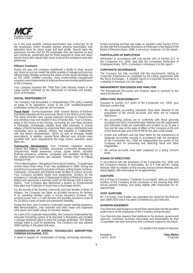

As in the past, periodic medical examination was conducted for all the employees, which included general physical examination and laboratory tests for blood sugar and lipid profile. Special tests like pulmonary function test for the employees who are exposed to dust and chemicals, audiometry test for those exposed to noise and vision test for those who require high visual acuity at the workplace were also performed.

### **Effluent Treatment**

During the year, the company established a facility to treat, recycle and reuse as process water the entire quantity of sewage and process effluent water, thereby achieving the status of zero liquid discharge. As an ISO 14001 certified company, many environmental management programs were implemented to improve the environmental performance of the Company.

Your company received the "Third Best Safe Industry Award in the Large Sector" instituted by the Directorate of Factories and Boilers, Govt. of Karnataka.

### **SOCIAL RESPONSIBILITY**

The Company has formulated a comprehensive CSR policy covering all areas of its operations. Some of the CSR activities/programs undertaken during the year are set out below:

**Flood Relief** : During September 2009, several districts of Northern Karnataka experienced the worst ever floods in the history of the State. The heavy torrential rains caused extensive damage to infrastructure and standing crops and resulted in loss of human lives. Your Company, being in the service of the farming community for over three decades in Karnataka, immediately initiated flood relief measures in several villages of North Karnataka by organizing food camps, distributing bare necessities such as utensils, clothes, and blankets in collaboration with the district administration, NGOs as well as Mangala Dealer associations. In addition, several flood affected rural schools were provided with basic requirements like bags, books, sweaters, water filters etc.,

**Community Development:** Your Company organized various cultural and religious activities, sponsored community development programmes, health awareness camps, sports events, provided financial assistance, uniforms, computers and sanitation facilities to the neighborhood schools and adopted "Sambar Deer" at Pilikula Biological Park.

"The United Kingdom – Mangalore Chemicals & Fertilizers – Tungabhadra Gramin Bank Gram Vikas Trust" was established in 1986. During the year the trust sponsored the provision of desks, writing boards, furniture, cupboards, computers and drinking water facilities to various schools. Your Company provided health care equipments, furniture for the emergency / casualty ward of Vijayanagar Institute of Medical Sciences, Bellary and sponsored a learning center for the female child in Raichur district. Your Company also sponsored a project on Environmental Education and Protection in Rural Area in Ramnagar district.

For the benefit of the farming community and their families in times of distress, the Company has taken an accident insurance for farmers in its operating territory under a Group Insurance Scheme. The scheme covers over 1.7 Lakh farmers and provides insurance cover of Rs.25,000 in cases of death and permanent disability.

During the year, your Company conducted several training programs, field demonstrations, crop seminars and krishi melas and organized rural sports and health camps for farmers/ dealers.

As a part of its corporate responsibility, the Company implemented the rainwater harvesting system at its township in Mangalore and installed a sewage treatment plant to treat the sewage generated. The treated sewage water is used for gardening. The Company has also planted 3000 saplings in the green belt area.

#### **CONSERVATION OF ENERGY, TECHNOLOGY ABSORPTION, FOREIGN EXCHANGE, ETC.**

A report in respect of conservation of energy, technology absorption,

foreign exchange earnings and outgo as required under Section 217(1) (e) read with the Companies (Disclosure of Particulars in the Report of the Board of Directors) Rules, 1988, is set out as Annexure-1 to this report.

### **PARTICULARS OF EMPLOYEES**

Information in accordance with sub-section (2A) of Section 217 of the Companies Act, 1956, read with the Companies (Particulars of Employees) Rules, 1975, is provided in Annexure-2 to this report.

#### **CORPORATE GOVERNANCE**

The Company has fully complied with the requirements relating to Corporate Governance as mandated by the Listing Agreements with the Stock Exchanges. A detailed report on Corporate Governance is contained in Annexure-3 to this report.

### **MANAGEMENT DISCUSSION AND ANALYSIS**

The Management Discussion and Analysis report is annexed to this report (Annexure-4).

### **DIRECTORS' RESPONSIBILITY**

Pursuant to Section 217 (2AA) of the Companies Act, 1956, your Directors confirm that:

- the applicable accounting standards have been followed in the preparation of the annual accounts and there are no material departures.
- the accounting policies are in conformity with those generally accepted and have consistently been followed and the judgements and estimates made are reasonable and prudent so as to give a true and fair view of the state of affairs of the Company at the end of the financial year and of the Profit for the year under review.
- proper and sufficient care has been taken for the maintenance of adequate accounting records in accordance with the provisions of the Companies Act, 1956 for safeguarding the assets of the Company and for preventing and detecting fraud and other irregularities.
- the annual accounts have been prepared on a going concern basis.

### **BOARD OF DIRECTORS**

In accordance with the provisions of the Companies Act, 1956 and the Company's Articles of Association, Mr. B S Patil and Mr. Pratap Narayan retire by rotation at the ensuing Annual General Meeting and being eligible, offer themselves for re-appointment.

### **AUDITORS**

M/s.K.P.Rao & Company, Chartered Accountants, retire as Statutory Auditors of the Company at the conclusion of the ensuing forty third annual general meeting, and being eligible offer themselves for reappointment.

### **COST AUDITORS**

Mr. P.R.Tantri, Cost Auditor has submitted the report for the financial year 2009-2010 which has been considered by your Directors.

### **ACKNOWLEDGEMENT**

Your Directors wish to place on record their appreciation for the excellent performance of the employees of the Company during the year.

Your Directors also express their gratitude to the bankers, government agencies, customers, business Associates and shareholders for their co-operation and look forward to their continued support in the future.

On behalf of the Board of Directors

Bangalore **Vijay Mallya**<br>July 21, 2010 **Chairman** July 21, 2010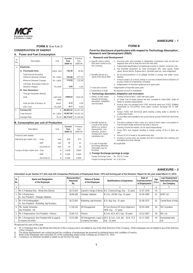

## **FORM A** (See Rule 2)

# **CONSERVATION OF ENERGY**

### **A. Power and Fuel Consumption**

| SI.<br>No.       | Description                                               | Unit              | Current<br>Year<br>2009-10 | Previous<br>Year<br>2008-09 |
|------------------|-----------------------------------------------------------|-------------------|----------------------------|-----------------------------|
| 1.               | Electricity:                                              |                   |                            |                             |
|                  | A. Purchased Units                                        | lakhs kwh         | 132.39                     | 82.63                       |
|                  | <b>Total Amount (including</b><br>minimum demand charges) | Rs. Lakhs         | 723.08                     | 477.47                      |
|                  | Minimum Demand Charges                                    | Rs. Lakhs         | 115.25                     | 112.46                      |
|                  | Unit Rate: (Excluding minimum<br>demand charges)          | Rs./kwh           | 4.59                       | 4.42                        |
|                  | <b>B. Own Generation</b>                                  |                   |                            |                             |
|                  | Through Generator (Diesel)                                |                   |                            |                             |
|                  | Units                                                     | Lakh kwh<br>(Net) | 2499.54                    | 2516.29                     |
|                  | Units per litre of furnace oil                            | kwh/l             | 4.12                       | 4.09                        |
|                  | Unit Cost                                                 | Rs./kwh           | 8.17                       | 8.42                        |
| $\overline{2}$ . | <b>Furnace Oil:</b>                                       | kl                | 60,602.34                  | 61,557.23                   |
|                  | <b>Total Amount</b>                                       | Rs. Lakhs         | 18,007.60                  | 19,201.33                   |
|                  | Average Rate                                              | $Rs.$ /kl         | 29,714.37                  | 31,192.64                   |

# **B. Consumption per unit of Production**

| Description                         |                | Unit | Current<br>Year<br>2009-10 | Previous<br>Year<br>2008-09 |
|-------------------------------------|----------------|------|----------------------------|-----------------------------|
| Products (with details)             |                |      |                            |                             |
| Electricity (per metric ton)        | - Urea         | kwh  | 658                        | 672                         |
|                                     | $-$ DAP        | kwh  | 39                         | 41                          |
|                                     | $-20:20:00:13$ | kwh  | 39                         | 35                          |
| Furnace Oil (per metric ton) - Urea |                | kl   | 0.059                      | 0.063                       |
|                                     | $-$ DAP        | kl   | 0.004                      | 0.004                       |
|                                     | $-20:20:00:13$ | kl   | 0.006                      | 0.006                       |

# **FORM B**

### **Form for disclosure of particulars with respect to Technology Absorption, Research and Development (R&D)**

## A. **Research and Development**

|        | 1. Specific areas in which<br>R&D were carried out by                              |    | : 1. Knockout pots were provided in refrigeration compressor main oil vent and<br>degasser tank vent to drain the oil to the main tank.                                                                                               |
|--------|------------------------------------------------------------------------------------|----|---------------------------------------------------------------------------------------------------------------------------------------------------------------------------------------------------------------------------------------|
| 3      | the Company                                                                        |    | 2. Sulphonated Naphthalene Formaldehyde powder to solution conversion unit.<br>3. The imported equipment viz. Heat exchangers, BEL valve spares, Relief<br>valves, Burner blocks, Rupture discs, Demister pads etc. were indigenized. |
| 7      | 2. Benefits derived as a<br>result of the above R&D                                |    | : 1. Oil recovery/avoidance of oil spillage resulted in savings and better house<br>keeping.                                                                                                                                          |
| 6      |                                                                                    |    | 2. In house project, as a result, savings in cost was achieved due to avoidance of<br>issuing contract to engineering consultant.                                                                                                     |
|        |                                                                                    | 3. | Indigenization of imported equipment and spare parts.                                                                                                                                                                                 |
| 2      | 3. Future plan of action                                                           |    | : Indigenization of imported spare parts                                                                                                                                                                                              |
|        | 4. Expenditure on R&D                                                              |    | : No separate account is maintained.                                                                                                                                                                                                  |
|        |                                                                                    |    | B. Technology absorption, adaptation and innovation                                                                                                                                                                                   |
| 9      | 1. Efforts, in brief, made                                                         |    | : 1. Painting of fuel oil tank T 1002 with black paint.                                                                                                                                                                               |
|        | towards technology<br>absorption, adaptation                                       |    | 2. IJT boiler Fuel oil heater bypass line was provided to make BHEL boiler oil<br>heater to operate independently.                                                                                                                    |
| 9<br>2 | and innovation                                                                     | 3. | Hookup lines are provided from P365 Ammonia plant) and P1012 (Utilities)<br>respectively to P1112/P921 (Urea plant) common discharge line to DAP                                                                                      |
| 3<br>3 |                                                                                    |    | plant.<br>4. Pumps P1002 A/B (Ammonia plant) bearing cooling water is diverted to<br>cooling tower basin.                                                                                                                             |
| 4      |                                                                                    |    | 5. Suction filters were installed in the suction line for pumps P205/P207 (Ammonia<br>plant)                                                                                                                                          |
|        | 2. Benefits derived as<br>a result of the above                                    |    | : 1. The tank is painted in black colour as a result of which steam consumption in<br>Fuel oil steam heater during the day time is reduced.                                                                                           |
|        | efforts e.g. product                                                               |    | 2. Cleaning of both the heaters can be done independently.                                                                                                                                                                            |
|        | improvement, cost<br>reduction, product                                            | 3. | Pump P921 was stopped resulting in energy savings of Rs.2.2 lakhs per<br>year.                                                                                                                                                        |
|        | development, import<br>substitution etc.,                                          |    | 4. Around 20 m3 of water is recovered every day.                                                                                                                                                                                      |
|        |                                                                                    | 5. | Choking of pump ports are avoided and dirt is prevented from entering and<br>damaging the pump internals.                                                                                                                             |
|        | 3. In case of imported<br>technology following<br>information may be<br>furnished. |    | : Not applicable                                                                                                                                                                                                                      |
|        |                                                                                    |    |                                                                                                                                                                                                                                       |

### **C. Foreign Exchange earnings & outgo**

Foreign Exchange Used : Rs. 763.31 Crores

Foreign Exchange Earned : Rs. 0.16 Crore

# **ANNEXURE – 2**

### **Information as per Section 217 (2A) read with Companies (Particulars of Employees) Rules, 1975 and forming part of the Directors' Report for the year ended March 31, 2010:**

| SI.<br>No. | <b>Name and Designation</b><br>of the Employee                                | Remuneration<br>Received<br>Rs. | <b>Nature of Duties</b><br>of the Employee | <b>Qualifications &amp; Experience</b>                                                         | Date of<br>Commencement<br>of Employment | Age<br>(Yrs.) | <b>Last Employment</b><br>held before joining<br>the Company |
|------------|-------------------------------------------------------------------------------|---------------------------------|--------------------------------------------|------------------------------------------------------------------------------------------------|------------------------------------------|---------------|--------------------------------------------------------------|
| a          |                                                                               |                                 |                                            | е                                                                                              |                                          |               |                                                              |
|            | 1. Mr. K Prabhakar Rao - Whole time Director                                  | 30.72.624                       |                                            | Overall in charge of Works   B.E.-Chemical Engg. Exp : 31 years                                | 31-07-1978                               | 55            |                                                              |
|            | 2. Mr. A Rudrachary -<br>Sr. Vice President - Strategic Initiatives           | 38,68,286                       | Strategic Initiatives                      | B.Com., AICWA. Exp: 41 years                                                                   | 03-04-1995                               | 61            | <b>NGEF Ltd</b>                                              |
|            | 3. Mr. H M Kshetrapalaiah, -<br>Sr. Vice President - Marketing, Agri Business | 36,72,605                       | Marketing, Agri Business                   | B.Sc (Ag). Exp: 41 years                                                                       | 01-09-1973                               | 61            | Central Bank of India                                        |
|            | 4. Mr. Apollo Fernandes<br>Vice President - HR                                | 17.36.102                       | <b>HR Management</b>                       | B.Com (Honors) PG Hons Diploma in<br>HRM. Exp: 37 years                                        | 03-03-2004                               | 60            | <b>HR</b> Consultant                                         |
|            | 5. Mr. K Raghuveeran, Vice President - Finance                                | 25.84.713                       | Finance                                    | B.Com, ACA, ACS. Exp: 35 years                                                                 | 10-12-2007                               | 56            | BPL Ltd                                                      |
|            | 6. Mr. S Ramaprasad, Vice President (HR & Legal) &<br>Company Secretary       | 25.51.090                       | <b>Company Secretary</b>                   | HR Management, Legal, & DCE, B.Com., LLB, Alll, ACIS, FCS<br>$\mathsf{Exp} : 23 \text{ years}$ | 01-11-2005                               | 44            | IKennametal India<br>Ltd                                     |

\*Employed for part of the year

a) Mr. K Prabhakar Rao is the Whole time Director of the Company and is not related to any of the other Directors of the Company. Other employees are not related to any of the Directors

of the Company.<br>b) The above appointments are contractual and the conditions of employment are governed by individual terms and conditions of service.<br>c) None of the employees own more than 2% of the outstanding shares of

## **ANNEXURE – 1**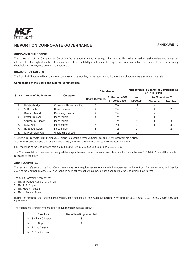

# REPORT ON CORPORATE GOVERNANCE **ANNEXURE – 3**

### **COMPANY'S PHILOSOPHY**

The philosophy of the Company on Corporate Governance is aimed at safeguarding and adding value to various stakeholders and envisages attainment of the highest levels of transparency and accountability in all areas of its operations and interactions with its stakeholders, including shareholders, employees, lenders and customers.

### **BOARD OF DIRECTORS**

The Board of Directors with an optimum combination of executive, non-executive and independent directors meets at regular intervals.

### **Composition of the Board and External Directorships**

|         |                      |                          |                       | Attendance      | Membership in Boards of Companies as<br>on 31.03.2010 |                 |               |  |
|---------|----------------------|--------------------------|-----------------------|-----------------|-------------------------------------------------------|-----------------|---------------|--|
| SI. No. | Name of the Director | Category                 | <b>Board Meetings</b> | At the last AGM | As                                                    | As Committee ** |               |  |
|         |                      |                          |                       | on 29.09.2009   | Director*                                             | Chairman        | <b>Member</b> |  |
| 1.      | Dr. Vijay Mallya     | Chairman [Non-executive] |                       | <b>Yes</b>      | 11                                                    |                 |               |  |
| 2.      | S. R. Gupte          | Non-Executive            |                       | <b>Yes</b>      | 8                                                     | 4               |               |  |
| 3.      | Deepak Anand         | Managing Director        |                       | Yes             | 3                                                     |                 |               |  |
| 4.      | Pratap Narayan       | Independent              |                       | Yes             |                                                       |                 |               |  |
| 5.      | Shrikant G Ruparel   | Independent              |                       | <b>Yes</b>      | 5                                                     |                 |               |  |
| 6.      | B. S. Patil          | Independent              |                       | <b>No</b>       | 10                                                    |                 |               |  |
| 7.      | N. Sunder Rajan      | Independent              |                       | Yes             | 2                                                     |                 |               |  |
| 8.      | K. Prabhakar Rao     | Whole-time Director      |                       | Yes             |                                                       |                 |               |  |

\* Directorships in Private Limited Companies, Foreign Companies, Section 25 Companies and other Associations are excluded.

\*\* Chairmanship/Membership of Audit and Shareholders' / Investors' Grievance Committee only have been considered.

Four meetings of the Board were held on 30.04.2009, 29.07.2009, 26.10.2009 and 21.01.2010.

The Company did not have any pecuniary relationship or transaction with any non-executive director during the year 2009-10. None of the Directors is related to the other.

### **AUDIT COMMITTEE**

The terms of reference of the Audit Committee are as per the guidelines set out in the listing agreement with the Stock Exchanges, read with Section 292A of the Companies Act, 1956 and includes such other functions as may be assigned to it by the Board from time to time.

The Audit Committee comprises:

- 1. Mr. Shrikant G Ruparel, Chairman
- 2. Mr. S. R. Gupte
- 3. Mr. Pratap Narayan
- 4. Mr. N. Sunder Rajan

During the financial year under consideration, four meetings of the Audit Committee were held on 30.04.2009, 29.07.2009, 26.10.2009 and 21.01.2010.

The attendance of the Members at the above meetings was as follows:

| <b>Directors</b>       | No. of Meetings attended |
|------------------------|--------------------------|
| Mr. Shrikant G Ruparel |                          |
| Mr. S. R. Gupte        |                          |
| Mr. Pratap Narayan     |                          |
| Mr. N. Sunder Rajan    |                          |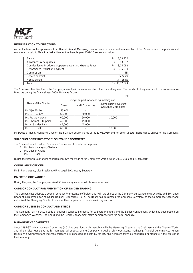

## **REMUNERATION TO DIRECTORS**

As per the terms of his appointment, Mr.Deepak Anand, Managing Director, received a nominal remuneration of Re.1/- per month. The particulars of remuneration paid to Mr.K Prabhakar Rao for the financial year 2009-10 are set out below:

| Salary                                                       | Rs. 8,59,320    |
|--------------------------------------------------------------|-----------------|
| Allowances & Perquisites                                     | Rs. 13,83,612   |
| Contribution to Provident, Superannuation and Gratuity Funds | Rs. 3,14,082    |
| Performance Evaluation Payment                               | 5,15,610<br>Rs. |
| Commission                                                   | Nil             |
| Service contract                                             | 5 Years         |
| Notice period                                                | 3 Months        |
| Total                                                        | Rs. 30,72,624   |

The Non-executive directors of the Company are not paid any remuneration other than sitting fees. The details of sitting fees paid to the non-executive Directors during the financial year 2009-10 are as follows:  $In - 1$ 

|                        |              |                                            | N3.                                             |
|------------------------|--------------|--------------------------------------------|-------------------------------------------------|
|                        |              | Sitting Fee paid for attending meetings of |                                                 |
| Name of the Director   | <b>Board</b> | Audit Committee                            | Shareholders'/Investors'<br>Grievance Committee |
| Dr. Vijay Mallya       | 45,000       |                                            |                                                 |
| Mr. S. R. Gupte        | 60,000       | 60,000                                     |                                                 |
| Mr. Pratap Narayan     | 60,000       | 60,000                                     | 10,000                                          |
| Mr. Shrikant G Ruparel | 45,000       | 45,000                                     |                                                 |
| Mr. N. Sunder Rajan    | 45,000       | 45,000                                     |                                                 |
| Mr. B. S. Patil        | 60,000       |                                            | 10,000                                          |

Mr Deepak Anand, Managing Director, held 25,000 equity shares as at 31.03.2010 and no other Director holds equity shares of the Company.

### **SHAREHOLDERS'/INVESTORS' GRIEVANCE COMMITTEE**

The Shareholders'/Investors' Grievance Committee of Directors comprises:

- 1. Mr. Pratap Narayan, Chairman
- 2. Mr. Deepak Anand
- 3. Mr. B. S. Patil

During the financial year under consideration, two meetings of the Committee were held on 29.07.2009 and 21.01.2010.

### **COMPLIANCE OFFICER**

Mr S. Ramaprasad, Vice President (HR & Legal) & Company Secretary.

### **INVESTOR GRIEVANCES**

During the year, the Company received 55 investor grievances which were redressed.

### **CODE OF CONDUCT FOR PREVENTION OF INSIDER TRADING**

The Company has adopted a code of conduct for prevention of insider trading in the shares of the Company, pursuant to the Securities and Exchange Board of India (Prohibition of Insider Trading) Regulations, 1992. The Board has designated the Company Secretary, as the Compliance Officer and authorised the Managing Director to monitor the compliance of the aforesaid regulations.

### **CODE OF BUSINESS CONDUCT AND ETHICS**

The Company has in place, a code of business conduct and ethics for its Board Members and the Senior Management, which has been posted on the Company's Website. The Board and the Senior Management affirm compliance with the code, annually.

### **MANAGEMENT COMMITTEE**

Since 1996-97, a Management Committee (MC) has been functioning regularly with the Managing Director as its Chairman and the Director-Works and all the Vice Presidents as its members. All aspects of the Company, including plant operations, marketing, financial performance, human resources development and industrial relations are discussed at length by the MC and decisions taken as considered appropriate in the interest of the Company.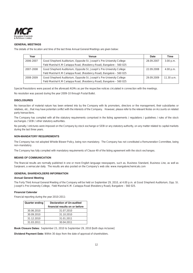

### **GENERAL MEETINGS**

The details of the location and time of the last three Annual General Meetings are given below:

| Year      | Venue                                                                  | Date       | Time       |
|-----------|------------------------------------------------------------------------|------------|------------|
| 2006-2007 | Good Shepherd Auditorium, Opposite St. Joseph's Pre-University College | 28.09.2007 | 3.00 p.m.  |
|           | Field Marshal K.M Cariappa Road, (Residency Road), Bangalore - 560 025 |            |            |
| 2007-2008 | Good Shepherd Auditorium, Opposite St. Joseph's Pre-University College | 22.09.2008 | 4.00 p.m.  |
|           | Field Marshal K.M Cariappa Road, (Residency Road), Bangalore - 560 025 |            |            |
| 2008-2009 | Good Shepherd Auditorium, Opposite St. Joseph's Pre-University College | 29.09.2009 | 11.30 a.m. |
|           | Field Marshal K.M Cariappa Road, (Residency Road), Bangalore - 560 025 |            |            |

Special Resolutions were passed at the aforesaid AGMs as per the respective notices circulated in connection with the meetings.

No resolution was passed during the year 2009-10 through Postal Ballot.

### **DISCLOSURES**

No transaction of material nature has been entered into by the Company with its promoters, directors or the management, their subsidiaries or relatives, etc., that may have potential conflict with the interests of the Company. However, please refer to the relevant Notes on Accounts on related party transactions.

The Company has complied with all the statutory requirements comprised in the listing agreements / regulations / guidelines / rules of the stock exchanges / SEBI / other statutory authorities.

No penalty / strictures were imposed on the Company by stock exchange or SEBI or any statutory authority, on any matter related to capital markets during the last three years.

### **NON-MANDATORY REQUIREMENTS**

The Company has not adopted Whistle Blower Policy, being non-mandatory. The Company has not constituted a Remuneration Committee, being non-mandatory.

The Company has fully complied with mandatory requirements of Clause 49 of the listing agreement with the stock exchanges.

## **MEANS OF COMMUNICATION**

The financial results are normally published in one or more English language newspapers, such as, Business Standard, Business Line, as well as Sanjevani, a vernacular daily. The results are also posted on the Company's web site: www.mangalorechemicals.com

### **GENERAL SHAREHOLDERS INFORMATION**

### **Annual General Meeting**

The Forty Third Annual General Meeting of the Company will be held on September 29, 2010, at 4.00 p.m. at Good Shepherd Auditorium, Opp. St. Joseph's Pre-University College, Field Marshal K.M. Cariappa Road (Residency Road), Bangalore – 560 025.

### **Financial Calendar**

Financial reporting during the year 2010-2011:

| <b>Quarter ending</b> | <b>Declaration of Un-audited</b> |  |  |  |
|-----------------------|----------------------------------|--|--|--|
|                       | financial results on or before   |  |  |  |
| 30.06.2010            | 31.07.2010                       |  |  |  |
| 30.09.2010            | 31.10.2010                       |  |  |  |
| 31.12.2010            | 31.01.2011                       |  |  |  |
| 31.03.2011            | 30.04.2011                       |  |  |  |

**Book Closure Dates:** September 23, 2010 to September 29, 2010 [both days inclusive]

**Dividend Payment Date:** Within 30 days from the date of approval of shareholders.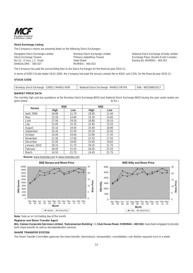

## **Stock Exchange Listing**

The Company's shares are presently listed on the following Stock Exchanges:

| Bangalore Stock Exchange Limited                  | Bombay Stock Exchange Limited    | National Stock Exchange of India Limited |
|---------------------------------------------------|----------------------------------|------------------------------------------|
| Stock Exchange Towers                             | Phiroze Jeejeebhoy Towers        | Exchange Plaza, Bandra Kurla Complex     |
| No. 51, I Cross, J.C. Road<br>BANGALORE - 560 027 | Dalal Street<br>MUMBAI - 400 023 | Bandra (E), MUMBAI - 400 051             |

The Company has paid the annual listing fees to the Stock Exchanges for the financial year 2010-11.

In terms of SEBI Circular dated 28.01.2005, the Company has paid the annual custody fee to NSDL and CDSL for the financial year 2010-11.

### **STOCK CODE**

| Bombay Stock Exchange: 530011 MANGCHEM | National Stock Exchange: MANGCHEFER | <sup>1</sup> ISIN : INE558B01017 |
|----------------------------------------|-------------------------------------|----------------------------------|
|                                        |                                     |                                  |

### **MARKET PRICE DATA**

The monthly high and low quotations at the Bombay Stock Exchange [BSE] and National Stock Exchange [NSE] during the year under review are given below: (in Rs.)

| <b>Period</b> | <b>BSE</b> |       | <b>NSE</b> |       |
|---------------|------------|-------|------------|-------|
|               | High       | Low   | High       | Low   |
| April, 2009   | 18.90      | 11.70 | 18.95      | 11.40 |
| May           | 23.50      | 14.80 | 23.20      | 14.80 |
| June          | 27.00      | 19.20 | 26.80      | 19.10 |
| July          | 22.85      | 15.35 | 22.85      | 15.25 |
| August        | 25.10      | 19.05 | 25.00      | 18.80 |
| September     | 25.45      | 21.95 | 25.50      | 22.05 |
| October       | 24.00      | 19.00 | 23.90      | 17.30 |
| November      | 21.50      | 17.60 | 21.55      | 17.50 |
| December      | 22.95      | 19.65 | 23.00      | 19.65 |
| January, 2010 | 28.15      | 21.75 | 28.25      | 21.70 |
| February      | 26.05      | 21.55 | 26.05      | 21.55 |
| March         | 24.50      | 21.70 | 24.45      | 21.75 |

**Source:** www.bseindia.com & www.nseindia.com



**Note**: Data as on 1st trading day of the month.

### **Registrar and Share Transfer Agent**

M/s. Cameo Corporate Services Limited, 'Subramanian Building', 1, Club House Road, CHENNAI - 600 002, have been engaged to provide both share transfer as well as dematerialisation services.

### **SHARE TRANSFER SYSTEM**

The Share Transfer Committee approves the share transfer, transmission, transposition, consolidation, sub-division requests once in a week.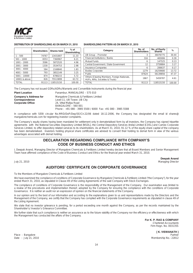

### **DISTRIBUTION OF SHAREHOLDING AS ON MARCH 31, 2010 SHAREHOLDING PATTERN AS ON MARCH 31, 2010**

|                | <b>Shareholders</b> | <b>Shares held</b> | $%$ of<br>Shareholding |
|----------------|---------------------|--------------------|------------------------|
| $1 - 500$      | 74767               | 13431807           | 11.33                  |
| $501 - 1000$   | 8353                | 7360967            | 6.21                   |
| $1001 - 2000$  | 3586                | 5872520            | 4.96                   |
| $2001 - 3000$  | 1330                | 3534753            | 2.98                   |
| $3001 - 4000$  | 584                 | 2168840            | 1.83                   |
| $4001 - 5000$  | 793                 | 3852149            | 3.25                   |
| $5001 - 10000$ | 874                 | 6780215            | 5.72                   |
| 10001 & above  | 826                 | 75513899           | 63.72                  |
| <b>TOTAL</b>   | 91113               | 118515150          | 100.00                 |

| g | Category                                                                        | No. of<br><b>Shareholders</b> | No. of Equity<br><b>Shares</b> | %      |
|---|---------------------------------------------------------------------------------|-------------------------------|--------------------------------|--------|
|   | UB Group - Promoter                                                             | 3                             | 36076775                       | 30.44  |
|   | Financial Institutions / Banks                                                  | 316                           | 465006                         | 0.39   |
|   | Mutual Funds                                                                    | 6                             | 147525                         | 0.13   |
|   | Central Government / State Government                                           | 12                            | 3759884                        | 3.17   |
|   | Insurance Companies                                                             | 6                             | 206637                         | 0.17   |
|   | <b>Bodies Corporate</b>                                                         | 1279                          | 16259680                       | 13.72  |
|   | Public                                                                          | 87624                         | 56139856                       | 47.37  |
|   | Others (Clearing Members, Foreign Nationals,<br>HUFs, NRIs, Societies & Trusts) | 1867                          | 5459787                        | 4.61   |
|   | <b>TOTAL</b>                                                                    | 91113                         | 118515150                      | 100.00 |

The Company has not issued GDRs/ADRs/Warrants and Convertible Instruments during the financial year.

**Corporate Office** 

**Plant Location Panambur, MANGALORE – 575 010 Company's Address for Mangalore Chemicals & Fertilizers Limited Correspondence** Level-11, UB Tower, UB City 24, Vittal Mallya Road BANGALORE – 560 001 Phone : +91 080 - 3985 5500 / 6000 Fax: +91 080 - 3985 5588

In compliance with SEBI circular No.MRD/DoP/Dep/SE/Cir.22/06 dated 18.12.2006, the Company has designated the email id shares@ mangalorechemicals.com for registering investor complaints.

The Company's equity shares having been mandated for settlement only in dematerialised form by all investors, the Company has signed tripartite agreements with the National Securities Depository Limited [NSDL], the Central Depository Services (India) Limited [CDSL] and Cameo Corporate Services Limited, to offer depository related services to its shareholders. As at March 31, 2010, 91.12 % of the equity share capital of the company has been dematerialised. Investors holding physical share certificates are advised to convert their holding to demat form in view of the various advantages associated with demat holding.

# **DECLARATION REGARDING COMPLIANCE WITH COMPANY'S CODE OF BUSINESS CONDUCT AND ETHICS**

I, Deepak Anand, Managing Director of Mangalore Chemicals & Fertilizers Limited hereby declare that all Board Members and Senior Management Team have affirmed compliance of the Code of Business Conduct and Ethics for the financial year ended March 31, 2010.

**Deepak Anand**

July 21, 2010 Managing Director

# **AUDITORS' CERTIFICATE ON CORPORATE GOVERNANCE**

To the Members of Mangalore Chemicals & Fertilizers Limited

We have examined the compliance of conditions of Corporate Governance by Mangalore Chemicals & Fertilizers Limited ("the Company"), for the year ended March 31, 2010, as stipulated in Clause 49 of the Listing Agreements of the said Company with Stock Exchanges.

The compliance of conditions of Corporate Governance is the responsibility of the Management of the Company. Our examination was limited to a review of the procedures and implementation thereof, adopted by the Company for ensuring the compliance with the conditions of Corporate Governance. It is neither an audit nor an expression of opinion on the financial statements of the Company.

In our opinion and to the best of our information and according to the explanations given to us and representations made by the Directors and the Management of the Company, we certify that the Company has complied with the Corporate Governance requirements as stipulated in clause 49 of the Listing Agreement.

We state that no investor grievance is pending, for a period exceeding one month against the Company, as per the records maintained by the Shareholder's/ Investor's Grievance Committee.

We further state that such compliance is neither an assurance as to the future viability of the Company nor the efficiency or effectiveness with which the Management has conducted the affairs of the Company.

> **For K. P. RAO & COMPANY** Chartered Accountants

Firm Regn. No. 003135S

**[ K. VISWANATH ]** Membership No.: 22812

Place: Bangalore<br>Date: July 21, 2010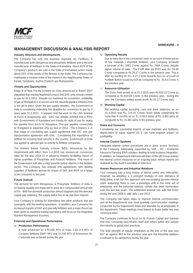

# **MANAGEMENT DISCUSSION & ANALYSIS REPORT**

### **Industry Structure and Developments**

The Company has only one business segment, viz. Fertilizers. It manufactures both nitrogenous and phosphatic fertilizers and is the only manufacturer of fertilizers in the State of Karnataka. About 65% of the Company's products are sold in the State of Karnataka, which meets about 25% of the needs of the farmers in the State. The Company has maintained a modest share of the market in the neighbouring States of Kerala, Tamilnadu, Andhra Pradesh and Maharashtra.

### **Threats and Opportunities**

Stage III of New Pricing Scheme for Urea announced in March 2007 stipulated that existing Naphtha/Furnace Oil/LSHS units should convert to gas by 31.3.2010. Despite our readiness for conversion, availability of gas at Mangalore is a concern and the requisite pipeline infrastructure is not yet in place. Given the gas supply situation, the Government of India is considering extending this deadline for conversion to gas by 3 years upto 31.3.2013. It appears that the work on the LNG terminal at Kochi is progressing well. GAIL has already entered into a MOU with Governments of Karnataka and Kerala for right of use for laying the pipeline from Kochi to Mangalore. The gas pipeline connectivity to Mangalore is expected only by end of 2012. The Company is in final stage of concluding gas supply agreement with IOC and gas transportation agreement with GAIL. Considering the importance of fertilizer for ensuring food security in the country, Government of India has agreed to allocate gas on priority to fertilizer companies.

The Nutrient Based Subsidy scheme (NBS) announced by the Government with effect from 1.4.2010 has announced concession rates for the year 2010-11 in advance, thereby facilitating import of higher quantities of Phosphatic and Potassic fertilizers. This move of the Government indicates a step towards further reforms in the fertilizer sector. The Company has entered into agreements with leading suppliers of fertilizers abroad for import of DAP and MOP on a larger scale compared to last year.

#### **Future Outlook**

The demand for both Nitrogenous & Phosphatic fertilizers in India is increasing steadily and expected to grow at a compounded annual rate of 5%. With the domestic production almost stagnant and the demand supply gap widening, the supply deficit has to be met from imports.

Your Company is looking for diversifying into other products that are synergistic with the existing operations. In addition, your Company has increased imports of DAP and specialty fertilizers and a major thrust has been given to maximize trading operations and focus on the Integrated Nutrient Management business.

## **Financial and Operational Performance**

### a) **Production Performance**

A total production of 3,79,500 MTs of Urea, 2,82,173 MTs of Complex fertilizers [DAP/ NP], and 15,330 MTs of Ammonium Bi-Carbonate was achieved during the year.

### b) **Operating Results**

Due to reduction in the concession rates on account of lower prices of raw materials / imported fertilizers, your Company achieved a turnover of Rs. 2082 Crores against Rs. 2484 Crores, despite higher volume of sales. The Profit after tax (PAT) was Rs. 56.49 Crores compared to Rs.28.17 Crores in the previous year. This is after accounting for Rs. 4.27 Crores towards loss on account of Fertilizer Bonds issued by GOI as compared to Rs. 35.63 Crores in the previous year.

### c) **Resource Utilization**

The Gross fixed assets as at 31.3.2010 were Rs.653.23 Crores as compared to Rs.610.06 Crores in the previous year. During the year, the Company added assets worth Rs.43.17 Crores (net).

### d) **Working Capital**

Net working capital excluding cash and bank balances, as on 31.3.2010 was Rs. 174.31 Crores. Book debts outstanding for more than 6 months as on 31.3.2010 stood at Rs. 0.88 Lakhs as compared to Rs. 22.88 Lakhs in the previous year.

### **Risks and Concerns**

Considering our substantial imports of raw materials and fertilizers, depreciation of rupee against US \$ can have negative impact on profitability.

### **Internal Control Systems**

Adequate internal control procedures are in place across functions in the Company, adequately supported by SAP – R3 – Enterprise Resource Planning [ERP] solution, leading to total business integration. In addition, an independent Internal Audit team of the UB Group reviews the internal control measures on an ongoing basis, whose reports are reviewed by the Audit Committee of Directors.

### **Human Resources and Industrial Relations**

Your company had a long history of labour unrest and indiscipline. However, by adopting a 3 pronged strategy of zero tolerance of indiscipline, a fair but firm approach and encouraging genuine internal union leadership there is now a paradigm shift in the mind set of employees and the industrial relations climate has been harmonious over the last few years. The settlement entered into with the Union during the year 2008 is valid upto June 2012.

The Company has taken steps to improve internal communication and all the departments now have quarterly communication meetings conducted by the Department Head and attended by all employees in the department. These meetings have helped to foster better two way communication.

The Company continues to focus on its Human Capital and towards that end, constantly benchmarks itself with others within and outside the industry to adopt best practices.

The total strength of regular employees at the end of the year was 827 as against 807 in the previous year and the Industrial relations continued to be satisfactory during the year.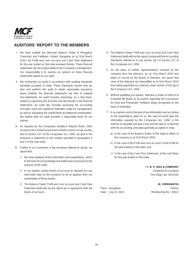

# **AUDITORS' REPORT TO THE MEMBERS**

- I. We have audited the attached Balance Sheet of Mangalore Chemicals and Fertilizers Limited, Bangalore as at 31st March 2010, the Profit and Loss Account and Cash Flow Statement for the year ended on that date annexed thereto. These financial statements are the responsibility of the Company's management. Our responsibility is to express an opinion on these financial statements based on our audit.
- II. We conducted our audit in accordance with auditing standards generally accepted in India. These Standards require that we plan and perform the audit to obtain reasonable assurance about whether the financial statements are free of material mis-statements. An audit includes examining, on a test basis, evidence supporting the amounts and disclosures in the financial statements. An audit also includes assessing the accounting principles used and significant estimates made by management, as well as evaluating the overall financial statement presentation. We believe that our audit provides a reasonable basis for our opinion.
- III. As required by the Companies (Auditor's Report) Order, 2003 issued by the Central Government of India in terms of sub-section (4A) of section 227 of the Companies Act, 1956, we give in the Annexure a statement on the matters specified in paragraphs 4 and 5 of the said order.
- IV. Further to our comments in the Annexure referred to above, we report that:
	- 1. We have obtained all the information and explanations, which to the best of our knowledge and belief were necessary for the purpose of the audit;
	- 2. In our opinion, proper books of account as required by Law have been kept by the company so far as appears from our examination of those books;
	- 3. The Balance Sheet, Profit and Loss Account and Cash Flow Statement dealt with by this report are in agreement with the books of account;
- 4. The Balance Sheet, Profit and Loss Account and Cash Flow Statement dealt with by this report comply with the Accounting Standards referred to in sub section (3C) of Section 211 of the Companies Act, 1956.
- 5. On the basis of written representations received by the company from the directors, as on 31st March 2010 and taken on record by the Board of Directors, we report that none of the directors are disqualified as at 31st March 2010 from being appointed as a director under section 274(1) (g) of the Company's Act, 1956.
- 6. Without qualifying our opinion, attention is drawn to Note 8 of Schedule 3B (Notes to Accounts), regarding the Concession for Urea and Phosphatic Fertilizers being recognized on the basis of estimates.
- 7. In our opinion and to the best of our information and according to the explanations given to us, the said accounts give the information required by the Companies Act, 1956, in the manner so required and give a true and fair view in conformity with the accounting principles generally accepted in India:
	- a) in the case of the Balance Sheet, of the state of affairs of the company as at 31st March 2010;
	- b) in the case of the Profit and Loss Account, of the Profit for the year ended on that date; and
	- c) in the case of the Cash Flow Statement, of the cash flows for the year ended on that date.

For **K. P. RAO & COMPANY**

Chartered Accountants Firm Regn. No. 003135S

## **(K. VISWANATH)**

Place : Bangalore **Partner** Partner Date : July 21, 2010 Membership No.: 22812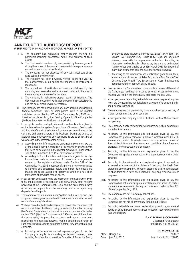

# **ANNEXURE TO AUDITORS' REPORT**

(REFERRED TO IN PARAGRAPH III OF OUR REPORT OF EVEN DATE)

- i. a. The company has maintained proper records showing full particulars including quantitative details and situation of fixed assets.
	- b. The Fixed assets have been physically verified by the management during the course of the year and no material discrepancies were noticed on such physical verification.
	- c. The company has not disposed off any substantial part of the fixed assets during the year.
- ii. a. The inventory has been physically verified during the year by the management. In our opinion the frequency of verification is reasonable.
	- b. The procedures of verification of inventories followed by the company are reasonable and adequate in relation to the size of the company and nature of its business.
	- c. The company is maintaining proper records of inventory. The discrepancies noticed on verification between the physical stocks and the book records were not material.
- iii. The company has not taken/granted any loans secured or unsecured from/to companies, firms or other parties listed in the register maintained under Section 301 of the Companies Act, 1956 and, therefore the clauses b, c, d, e, f and g of para (iii) of the Companies (Auditors Report) Order 2003 are not applicable.
- iv. In our opinion and according to information and explanations given to us, the internal control system for purchase of inventory, fixed assets and for sale of goods is adequate & commensurate with size of the company and present nature of its business. During the course of audit we have not observed any continuing failure to correct major weaknesses in the internal control system.
- v. a. According to the information and explanation given to us, we are of the opinion that the particulars of contracts or arrangements that need to be entered in the register maintained under section 301 of the Companies Act, 1956 have been so entered.
	- b. According to the information and explanation given to us, the transactions made in pursuance of contracts or arrangements entered in the register maintained under Section 301 of the Companies Act, 1956 in respect of a party during the year relate to services of a specialized nature and hence no comparative market prices are available to determine whether it has been transacted at prevailing market prices.
- vi. In our opinion and according to the information and explanation given to us, the provisions of section 58A and 58AA or any other relevant provisions of the Companies Act, 1956 and the rules framed there under are not applicable as the company has not accepted any deposits from the public.
- vii. The company has an Internal Audit System and in our opinion, the scope and coverage of internal audit is commensurate with size and nature of company's business.
- viii. We have carried out a limited review of the books of account and cost records maintained by the company, pursuant to the rules made by the Central Government for the maintenance of cost records under section 209(1)(d) of the Companies Act, 1956 and are of the opinion that prima facie, the prescribed accounts and records have been maintained. We have not however, made a detailed examination of such records with a view to determine whether they are accurate and complete.
- ix. a. According to the information and explanation given to us, the Company is regular in depositing undisputed statutory dues including Provident Fund, Investors Education & Protection Fund,

Employees State Insurance, Income Tax, Sales Tax, Wealth Tax, Service Tax, Customs Duty, Excise Duty, Cess, and any other statutory dues with the appropriate authorities. According to information and explanation given to us, there are no undisputed statutory dues outstanding as at 31st March 2010 for a period of more than six months from the date they became payable.

- b. According to the information and explanation given to us, there are no amounts in respect of Sales Tax, Income Tax, Service Tax, Customs Duty, Wealth Tax, Excise Duty or Cess that have not been deposited on account of any dispute.
- x. In our opinion, the Company has no accumulated losses at the end of the financial year and has not incurred any cash losses in the current financial year and in the immediately preceding financial year.
- xi. In our opinion and according to the information and explanation given to us, the Company has not defaulted in payment of its dues to Banks and Financial Institutions.
- xii. The company has not granted any loans and advances on security of shares, debentures and other securities.
- xiii. In our opinion, the company is not a Chit Fund, Nidhi or Mutual benefit trust/society.
- xiv. The Company is not dealing or trading in shares, securities, debentures and other investments.
- xv. According to the information and explanation given to us, the Company has given a corporate guarantee for loans taken by MCF International Limited, (a wholly owned subsidiary) from banks or financial institutions and the terms and conditions thereof are not prejudicial to the interest of the company.
- xvi. According to the information and explanation given to us, the Company has applied the term loan for the purpose for which it was obtained.
- xvii. According to the information and explanation given to us and on an overall examination of the Balance Sheet and the Cash Flow Statement of the Company, we report that prima facie no funds raised on short-term basis have been utilized for any long-term investment purposes.
- xviii. According to the information and explanation given to us, the Company has not made any preferential allotment of shares to parties and companies covered in the register maintained under section 301 of the Companies Act, 1956.
- xix. The company has not issued any debentures.
- xx. According to the information and explanation given to us, the Company has not raised any money through public issue.
- xxi. According to the information and explanations given to us, no material frauds on or by the Company has been noticed or reported during the year under report.

For **K. P. RAO & COMPANY** Chartered Accountants Firm Regn. No: -003135S

 **(K. VISWANATH)**

Place : Bangalore Place : Bangalore Partner Date : July 21, 2010 Membership No.: 22812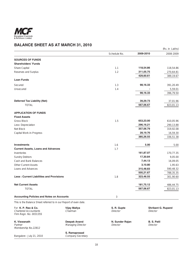

# **BALANCE SHEET AS AT MARCH 31, 2010**

| Schedule No.<br>2008-2009<br>2009-2010<br>1.1<br>Share Capital<br>118,54.86<br>118,54.86<br>1.2<br>311,05.75<br>Reserves and Surplus<br>270,64.81<br>429,60.61<br>1.3<br>98,16.33<br>391,20.49<br>1.4<br>5,59.01<br>98,16.33<br>396,79.50<br><b>Deferred Tax Liability (Net)</b><br>39,29.73<br>37,01.96<br>567,06.67<br><b>TOTAL</b><br>823,01.13<br><b>APPLICATION OF FUNDS</b><br><b>Fixed Assets</b><br><b>Gross Block</b><br>1.5<br>653,23.00<br>610,05.96<br>296,16.21<br>290,13.88<br>Less: Depreciation<br>357,06.79<br>Net Block<br>319,92.08<br>28,19.76<br>Capital Work-in-Progress<br>16,59.30<br>385,26.55<br>336,51.38<br>1.6<br>5.00<br>5.00<br><b>Current Assets, Loans and Advances</b><br>1.7<br>161,87.07<br>Inventories<br>170,77.35<br>17,30.84<br><b>Sundry Debtors</b><br>9,05.00<br>7,44.13<br>16,09.05<br>3,10.80<br>1,95.63<br>315,48.83<br>590,48.32<br>505,21.67<br>788,35.35<br><b>Less: Current Liabilities and Provisions</b><br>1.8<br>323,46.55<br>301,90.60<br>181,75.12<br>486,44.75<br><b>TOTAL</b><br>567,06.67<br>823,01.13<br><b>Accounting Policies and Notes on Accounts</b><br>3<br>This is the Balance Sheet referred to in our Report of even date.<br>For K. P. Rao & Co.<br><b>Vijay Mallya</b><br>S. R. Gupte<br><b>Shrikant G. Ruparel</b><br>Chairman<br>Director<br>Director<br><b>Deepak Anand</b><br><b>B. S. Patil</b><br>N. Sunder Rajan<br>Partner<br>Managing Director<br>Director<br><b>Director</b><br>S. Ramaprasad<br>Bangalore: July 21, 2010<br>Company Secretary |                                                        |  | (Rs. in Lakhs) |
|---------------------------------------------------------------------------------------------------------------------------------------------------------------------------------------------------------------------------------------------------------------------------------------------------------------------------------------------------------------------------------------------------------------------------------------------------------------------------------------------------------------------------------------------------------------------------------------------------------------------------------------------------------------------------------------------------------------------------------------------------------------------------------------------------------------------------------------------------------------------------------------------------------------------------------------------------------------------------------------------------------------------------------------------------------------------------------------------------------------------------------------------------------------------------------------------------------------------------------------------------------------------------------------------------------------------------------------------------------------------------------------------------------------------------------------------------------------------------------------------------------------------------------|--------------------------------------------------------|--|----------------|
|                                                                                                                                                                                                                                                                                                                                                                                                                                                                                                                                                                                                                                                                                                                                                                                                                                                                                                                                                                                                                                                                                                                                                                                                                                                                                                                                                                                                                                                                                                                                 |                                                        |  |                |
|                                                                                                                                                                                                                                                                                                                                                                                                                                                                                                                                                                                                                                                                                                                                                                                                                                                                                                                                                                                                                                                                                                                                                                                                                                                                                                                                                                                                                                                                                                                                 | <b>SOURCES OF FUNDS</b>                                |  |                |
|                                                                                                                                                                                                                                                                                                                                                                                                                                                                                                                                                                                                                                                                                                                                                                                                                                                                                                                                                                                                                                                                                                                                                                                                                                                                                                                                                                                                                                                                                                                                 | <b>Shareholders' Funds</b>                             |  |                |
|                                                                                                                                                                                                                                                                                                                                                                                                                                                                                                                                                                                                                                                                                                                                                                                                                                                                                                                                                                                                                                                                                                                                                                                                                                                                                                                                                                                                                                                                                                                                 |                                                        |  |                |
|                                                                                                                                                                                                                                                                                                                                                                                                                                                                                                                                                                                                                                                                                                                                                                                                                                                                                                                                                                                                                                                                                                                                                                                                                                                                                                                                                                                                                                                                                                                                 |                                                        |  |                |
|                                                                                                                                                                                                                                                                                                                                                                                                                                                                                                                                                                                                                                                                                                                                                                                                                                                                                                                                                                                                                                                                                                                                                                                                                                                                                                                                                                                                                                                                                                                                 |                                                        |  | 389,19.67      |
|                                                                                                                                                                                                                                                                                                                                                                                                                                                                                                                                                                                                                                                                                                                                                                                                                                                                                                                                                                                                                                                                                                                                                                                                                                                                                                                                                                                                                                                                                                                                 | <b>Loan Funds</b>                                      |  |                |
|                                                                                                                                                                                                                                                                                                                                                                                                                                                                                                                                                                                                                                                                                                                                                                                                                                                                                                                                                                                                                                                                                                                                                                                                                                                                                                                                                                                                                                                                                                                                 | Secured                                                |  |                |
|                                                                                                                                                                                                                                                                                                                                                                                                                                                                                                                                                                                                                                                                                                                                                                                                                                                                                                                                                                                                                                                                                                                                                                                                                                                                                                                                                                                                                                                                                                                                 | Unsecured                                              |  |                |
|                                                                                                                                                                                                                                                                                                                                                                                                                                                                                                                                                                                                                                                                                                                                                                                                                                                                                                                                                                                                                                                                                                                                                                                                                                                                                                                                                                                                                                                                                                                                 |                                                        |  |                |
|                                                                                                                                                                                                                                                                                                                                                                                                                                                                                                                                                                                                                                                                                                                                                                                                                                                                                                                                                                                                                                                                                                                                                                                                                                                                                                                                                                                                                                                                                                                                 |                                                        |  |                |
|                                                                                                                                                                                                                                                                                                                                                                                                                                                                                                                                                                                                                                                                                                                                                                                                                                                                                                                                                                                                                                                                                                                                                                                                                                                                                                                                                                                                                                                                                                                                 |                                                        |  |                |
|                                                                                                                                                                                                                                                                                                                                                                                                                                                                                                                                                                                                                                                                                                                                                                                                                                                                                                                                                                                                                                                                                                                                                                                                                                                                                                                                                                                                                                                                                                                                 |                                                        |  |                |
|                                                                                                                                                                                                                                                                                                                                                                                                                                                                                                                                                                                                                                                                                                                                                                                                                                                                                                                                                                                                                                                                                                                                                                                                                                                                                                                                                                                                                                                                                                                                 |                                                        |  |                |
|                                                                                                                                                                                                                                                                                                                                                                                                                                                                                                                                                                                                                                                                                                                                                                                                                                                                                                                                                                                                                                                                                                                                                                                                                                                                                                                                                                                                                                                                                                                                 |                                                        |  |                |
|                                                                                                                                                                                                                                                                                                                                                                                                                                                                                                                                                                                                                                                                                                                                                                                                                                                                                                                                                                                                                                                                                                                                                                                                                                                                                                                                                                                                                                                                                                                                 |                                                        |  |                |
|                                                                                                                                                                                                                                                                                                                                                                                                                                                                                                                                                                                                                                                                                                                                                                                                                                                                                                                                                                                                                                                                                                                                                                                                                                                                                                                                                                                                                                                                                                                                 |                                                        |  |                |
|                                                                                                                                                                                                                                                                                                                                                                                                                                                                                                                                                                                                                                                                                                                                                                                                                                                                                                                                                                                                                                                                                                                                                                                                                                                                                                                                                                                                                                                                                                                                 |                                                        |  |                |
|                                                                                                                                                                                                                                                                                                                                                                                                                                                                                                                                                                                                                                                                                                                                                                                                                                                                                                                                                                                                                                                                                                                                                                                                                                                                                                                                                                                                                                                                                                                                 |                                                        |  |                |
|                                                                                                                                                                                                                                                                                                                                                                                                                                                                                                                                                                                                                                                                                                                                                                                                                                                                                                                                                                                                                                                                                                                                                                                                                                                                                                                                                                                                                                                                                                                                 | <b>Investments</b>                                     |  |                |
|                                                                                                                                                                                                                                                                                                                                                                                                                                                                                                                                                                                                                                                                                                                                                                                                                                                                                                                                                                                                                                                                                                                                                                                                                                                                                                                                                                                                                                                                                                                                 |                                                        |  |                |
|                                                                                                                                                                                                                                                                                                                                                                                                                                                                                                                                                                                                                                                                                                                                                                                                                                                                                                                                                                                                                                                                                                                                                                                                                                                                                                                                                                                                                                                                                                                                 |                                                        |  |                |
|                                                                                                                                                                                                                                                                                                                                                                                                                                                                                                                                                                                                                                                                                                                                                                                                                                                                                                                                                                                                                                                                                                                                                                                                                                                                                                                                                                                                                                                                                                                                 |                                                        |  |                |
|                                                                                                                                                                                                                                                                                                                                                                                                                                                                                                                                                                                                                                                                                                                                                                                                                                                                                                                                                                                                                                                                                                                                                                                                                                                                                                                                                                                                                                                                                                                                 | Cash and Bank Balances                                 |  |                |
|                                                                                                                                                                                                                                                                                                                                                                                                                                                                                                                                                                                                                                                                                                                                                                                                                                                                                                                                                                                                                                                                                                                                                                                                                                                                                                                                                                                                                                                                                                                                 | <b>Other Current Assets</b>                            |  |                |
|                                                                                                                                                                                                                                                                                                                                                                                                                                                                                                                                                                                                                                                                                                                                                                                                                                                                                                                                                                                                                                                                                                                                                                                                                                                                                                                                                                                                                                                                                                                                 | Loans and Advances                                     |  |                |
|                                                                                                                                                                                                                                                                                                                                                                                                                                                                                                                                                                                                                                                                                                                                                                                                                                                                                                                                                                                                                                                                                                                                                                                                                                                                                                                                                                                                                                                                                                                                 |                                                        |  |                |
|                                                                                                                                                                                                                                                                                                                                                                                                                                                                                                                                                                                                                                                                                                                                                                                                                                                                                                                                                                                                                                                                                                                                                                                                                                                                                                                                                                                                                                                                                                                                 |                                                        |  |                |
|                                                                                                                                                                                                                                                                                                                                                                                                                                                                                                                                                                                                                                                                                                                                                                                                                                                                                                                                                                                                                                                                                                                                                                                                                                                                                                                                                                                                                                                                                                                                 | <b>Net Current Assets</b>                              |  |                |
|                                                                                                                                                                                                                                                                                                                                                                                                                                                                                                                                                                                                                                                                                                                                                                                                                                                                                                                                                                                                                                                                                                                                                                                                                                                                                                                                                                                                                                                                                                                                 |                                                        |  |                |
|                                                                                                                                                                                                                                                                                                                                                                                                                                                                                                                                                                                                                                                                                                                                                                                                                                                                                                                                                                                                                                                                                                                                                                                                                                                                                                                                                                                                                                                                                                                                 |                                                        |  |                |
|                                                                                                                                                                                                                                                                                                                                                                                                                                                                                                                                                                                                                                                                                                                                                                                                                                                                                                                                                                                                                                                                                                                                                                                                                                                                                                                                                                                                                                                                                                                                 |                                                        |  |                |
|                                                                                                                                                                                                                                                                                                                                                                                                                                                                                                                                                                                                                                                                                                                                                                                                                                                                                                                                                                                                                                                                                                                                                                                                                                                                                                                                                                                                                                                                                                                                 |                                                        |  |                |
|                                                                                                                                                                                                                                                                                                                                                                                                                                                                                                                                                                                                                                                                                                                                                                                                                                                                                                                                                                                                                                                                                                                                                                                                                                                                                                                                                                                                                                                                                                                                 | <b>Chartered Accountants</b><br>Firm Regn. No. 003135S |  |                |
|                                                                                                                                                                                                                                                                                                                                                                                                                                                                                                                                                                                                                                                                                                                                                                                                                                                                                                                                                                                                                                                                                                                                                                                                                                                                                                                                                                                                                                                                                                                                 | K. Viswanath                                           |  |                |
|                                                                                                                                                                                                                                                                                                                                                                                                                                                                                                                                                                                                                                                                                                                                                                                                                                                                                                                                                                                                                                                                                                                                                                                                                                                                                                                                                                                                                                                                                                                                 | Membership No.22812                                    |  |                |
|                                                                                                                                                                                                                                                                                                                                                                                                                                                                                                                                                                                                                                                                                                                                                                                                                                                                                                                                                                                                                                                                                                                                                                                                                                                                                                                                                                                                                                                                                                                                 |                                                        |  |                |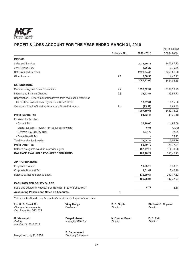

# **PROFIT & LOSS ACCOUNT FOR THE YEAR ENDED MARCH 31, 2010**

|                                                                             |              |            | (Rs. in Lakhs) |
|-----------------------------------------------------------------------------|--------------|------------|----------------|
|                                                                             | Schedule No. | 2009-2010  | $2008 - 2009$  |
| <b>INCOME</b>                                                               |              |            |                |
| Sales and Services                                                          |              | 2076,90.78 | 2471,97.73     |
| Less: Excise Duty                                                           |              | 1,26.29    | 2,35.75        |
| Net Sales and Services                                                      |              | 2075,64.49 | 2469,61.98     |
| Other Income                                                                | 2.1          | 6,08.56    | 14,42.17       |
|                                                                             |              | 2081,73.05 | 2484,04.15     |
| <b>EXPENDITURE</b>                                                          |              |            |                |
| Manufacturing and Other Expenditure                                         | 2.2          | 1955,62.32 | 2380,98.29     |
| Interest and Finance Charges                                                | 2.3          | 23,43.57   | 35,99.71       |
| Depreciation - Net of amount transferred from revaluation reserve of        |              |            |                |
| Rs. 1,98.55 lakhs (Previous year Rs. 2,03.72 lakhs)                         |              | 18,37.04   | 16,95.50       |
| Variation in Stock of Finished Goods and Work-in-Process                    | 2.4          | (23.32)    | 6,84.55        |
|                                                                             |              | 1997,19.61 | 2440,78.05     |
| <b>Profit Before Tax</b>                                                    |              | 84,53.44   | 43,26.10       |
| Provision for Taxation                                                      |              |            |                |
| - Current Tax                                                               |              | 25,70.00   | 14,65.00       |
| - Short / (Excess) Provision for Tax for earlier years                      |              | 6.55       | (7.30)         |
| - Deferred Tax Liability (Net)                                              |              | 2,27.77    | 12.35          |
| - Fringe Benefit Tax                                                        |              |            | 38.71          |
| <b>Total Provision for Taxation</b>                                         |              | 28,04.32   | 15,08.76       |
| <b>Profit After Tax</b>                                                     |              | 56,49.12   | 28,17.34       |
| Balance brought forward from previous year                                  |              | 132,77.12  | 114,30.38      |
| <b>BALANCE AVAILABLE FOR APPROPRIATIONS</b>                                 |              | 189,26.24  | 142,47.72      |
| <b>APPROPRIATIONS</b>                                                       |              |            |                |
| Proposed Dividend                                                           |              | 11,85.15   | 8,29.61        |
| Corporate Dividend Tax                                                      |              | 2,01.42    | 1,40.99        |
| Balance carried to Balance Sheet                                            |              | 175,39.67  | 132,77.12      |
|                                                                             |              | 189,26.24  | 142,47.72      |
| <b>EARNINGS PER EQUITY SHARE</b>                                            |              |            |                |
| Basic and Diluted (in Rupees) [See Note No. B-13 of Schedule 3]             |              | 4.77       | 2.38           |
| <b>Accounting Policies and Notes on Accounts</b>                            | 3            |            |                |
| This is the Profit and Loss Account referred to in our Report of even date. |              |            |                |

| For K. P. Rao & Co.<br><b>Chartered Accountants</b><br>Firm Regn. No. 003135S | <b>Vijay Mallya</b><br>Chairman           | S. R. Gupte<br><b>Director</b> | <b>Shrikant G. Ruparel</b><br><b>Director</b> |
|-------------------------------------------------------------------------------|-------------------------------------------|--------------------------------|-----------------------------------------------|
| K. Viswanath<br>Partner<br>Membership No.22812                                | Deepak Anand<br><b>Managing Director</b>  | N. Sunder Rajan<br>Director    | <b>B. S. Patil</b><br>Director                |
| Bangalore: July 21, 2010                                                      | S. Ramaprasad<br><b>Company Secretary</b> |                                |                                               |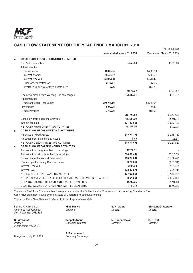

# **CASH FLOW STATEMENT FOR THE YEAR ENDED MARCH 31, 2010**

|   |                                                                    |           |                           |             | (Rs. in Lakhs)            |
|---|--------------------------------------------------------------------|-----------|---------------------------|-------------|---------------------------|
|   |                                                                    |           | Year ended March 31, 2010 |             | Year ended March 31, 2009 |
| Α | <b>CASH FLOW FROM OPERATING ACTIVITIES</b>                         |           |                           |             |                           |
|   | Net Profit before Tax                                              |           | 84,53.44                  |             | 43,26.10                  |
|   | Adjustment for:                                                    |           |                           |             |                           |
|   | Depreciation                                                       | 18,37.04  |                           | 16,95.50    |                           |
|   | Interest charges                                                   | 23,43.57  |                           | 35,99.71    |                           |
|   | Interest received                                                  | (3,84.54) |                           | (9, 78.82)  |                           |
|   | <b>Fixed Assets Written-off</b>                                    | 2,76.64   |                           | 47.86       |                           |
|   | (Profit)/Loss on sale of fixed assets (Net)                        | 3.36      |                           | (14.78)     |                           |
|   |                                                                    |           | 40,76.07                  |             | 43,49.47                  |
|   | Operating Profit before Working Capital changes<br>Adjustment for: |           | 125,29.51                 |             | 86,75.57                  |
|   | Trade and other Receivables                                        | 275,64.55 |                           | (61, 45.64) |                           |
|   | Inventories                                                        | 8,90.28   |                           | (9.30)      |                           |
|   | Trade Payables                                                     | 3,40.05   |                           | (18.69)     |                           |
|   |                                                                    |           | 287,94.88                 |             | (61, 73.63)               |
|   | Cash Flow from operating activities                                |           | 413,24.39                 |             | 25,01.94                  |
|   | Income-tax paid                                                    |           | (21, 82.69)               |             | (19, 82.19)               |
|   | NET CASH FROM OPERATING ACTIVITIES                                 |           | 391,41.70                 |             | 5.19.75                   |
| B | <b>CASH FLOW FROM INVESTING ACTIVITIES</b>                         |           |                           |             |                           |
|   | Purchase of Fixed Assets                                           |           | (72, 23.35)               |             | (31, 45.75)               |
|   | Proceeds from Sale of Fixed Assets                                 |           | 9.53                      |             | 18.17                     |
|   | NET CASH USED IN INVESTING ACTIVITIES                              |           | (72, 13.82)               |             | (31, 27.58)               |
| C | <b>CASH FLOW FROM FINANCING ACTIVITIES</b>                         |           |                           |             |                           |
|   | Proceeds from long term bank borrowings                            |           | 12,22.31                  |             |                           |
|   | Proceeds from short term bank borrowings                           |           | (294, 60.44)              |             | 33,15.03                  |
|   | Repayment of Loans and Deferments                                  |           | (16, 25.04)               |             | (16, 36.42)               |
|   | Dividend paid including Distribution tax                           |           | (9,70.60)                 |             | (8, 31.94)                |
|   | <b>Interest Received</b>                                           |           | 3,84.54                   |             | 9,78.82                   |
|   | <b>Interest Paid</b>                                               |           | (23, 43.57)               |             | (35, 99.71)               |
|   | NET CASH USED IN FINANCING ACTIVITIES                              |           | (327, 92.80)              |             | (17, 74.22)               |
|   | NET INCREASE / (DECREASE) IN CASH AND CASH EQUIVALENTS (A+B+C)     |           | (8,64.92)                 |             | (43, 82.05)               |
|   | OPENING BALANCE OF CASH AND CASH EQUIVALENTS                       |           | 16,09.05                  |             | 59,91.10                  |
|   | CLOSING BALANCE OF CASH AND CASH EQUIVALENTS                       |           | 7,44.13                   |             | 16,09.05                  |

The above Cash Flow Statement has been prepared under the "Indirect Method" as set out in Accounting Standard – 3 on Cash Flow Statement issued by the Institute of Chartered Accountants of India.

This is the Cash Flow Statement referred to in our Report of even date.

| For K. P. Rao & Co.<br>Chartered Accountants<br>Firm Regn. No. 003135S | Vijay Mallya<br>Chairman                  | S. R. Gupte<br>Director     | <b>Shrikant G. Ruparel</b><br>Director |
|------------------------------------------------------------------------|-------------------------------------------|-----------------------------|----------------------------------------|
| K. Viswanath<br>Partner<br>Membership No.22812                         | Deepak Anand<br><b>Managing Director</b>  | N. Sunder Rajan<br>Director | <b>B. S. Patil</b><br>Director         |
| Bangalore: July 21, 2010                                               | S. Ramaprasad<br><b>Company Secretary</b> |                             |                                        |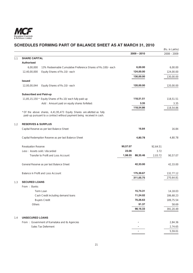

# **SCHEDULES FORMING PART OF BALANCE SHEET AS AT MARCH 31, 2010**

|     |                               |                                                                                                                                                  |          |               |          | (Rs. in Lakhs) |
|-----|-------------------------------|--------------------------------------------------------------------------------------------------------------------------------------------------|----------|---------------|----------|----------------|
|     |                               |                                                                                                                                                  |          | $2009 - 2010$ |          | $2008 - 2009$  |
| 1.1 | <b>SHARE CAPITAL</b>          |                                                                                                                                                  |          |               |          |                |
|     | <b>Authorised</b>             |                                                                                                                                                  |          |               |          |                |
|     | 6,00,000                      | 13% Redeemable Cumulative Preference Shares of Rs.100/- each                                                                                     |          | 6,00.00       |          | 6,00.00        |
|     | 12,40,00,000                  | Equity Shares of Rs.10/- each                                                                                                                    |          | 124,00.00     |          | 124,00.00      |
|     |                               |                                                                                                                                                  |          | 130,00.00     |          | 130,00.00      |
|     | <b>Issued</b>                 |                                                                                                                                                  |          |               |          |                |
|     | 12,00,00,044                  | Equity Shares of Rs.10/- each                                                                                                                    |          | 120,00.00     |          | 120,00.00      |
|     | <b>Subscribed and Paid-up</b> |                                                                                                                                                  |          |               |          |                |
|     |                               | 11,85,15,150 * Equity Shares of Rs.10/ each fully paid-up                                                                                        |          | 118,51.51     |          | 118,51.51      |
|     |                               | Add : Amount paid on equity shares forfeited:                                                                                                    |          | 3.35          |          | 3.35           |
|     |                               |                                                                                                                                                  |          | 118,54.86     |          | 118,54.86      |
|     |                               | * Of the above shares, 4,41,95,473 Equity Shares are allotted as fully<br>paid-up pursuant to a contract without payment being received in cash. |          |               |          |                |
| 1.2 | <b>RESERVES &amp; SURPLUS</b> |                                                                                                                                                  |          |               |          |                |
|     |                               | Capital Reserve as per last Balance Sheet                                                                                                        |          | 16.84         |          | 16.84          |
|     |                               | Capital Redemption Reserve as per last Balance Sheet                                                                                             |          | 4,80.78       |          | 4,80.78        |
|     | <b>Revaluation Reserve</b>    |                                                                                                                                                  | 90,57.07 |               | 92,64.51 |                |
|     | Less: Assets sold / discarded |                                                                                                                                                  | 23.06    |               | 3.72     |                |
|     |                               | Transfer to Profit and Loss Account                                                                                                              | 1,98.55  | 88,35.46      | 2,03.72  | 90,57.07       |
|     |                               | General Reserve as per last Balance Sheet                                                                                                        |          | 42,33.00      |          | 42,33.00       |
|     |                               | Balance in Profit and Loss Account                                                                                                               |          | 175,39.67     |          | 132,77.12      |
|     |                               |                                                                                                                                                  |          | 311,05.75     |          | 270,64.81      |
| 1.3 | <b>SECURED LOANS</b>          |                                                                                                                                                  |          |               |          |                |
|     | From: Banks                   |                                                                                                                                                  |          |               |          |                |
|     |                               | Term Loan                                                                                                                                        |          | 15,74.31      |          | 14,18.03       |
|     |                               | Cash Credit including demand loans                                                                                                               |          | 11,24.02      |          | 186,68.23      |
|     |                               | <b>Buyers Credit</b>                                                                                                                             |          | 70,26.63      |          | 189,75.54      |
|     | Others                        |                                                                                                                                                  |          | 91.37         |          | 58.69          |
|     |                               |                                                                                                                                                  |          | 98,16.33      |          | 391,20.49      |
| 1.4 | <b>UNSECURED LOANS</b>        |                                                                                                                                                  |          |               |          |                |
|     |                               | From: Government of Karnataka and its Agencies                                                                                                   |          |               |          | 2,84.36        |
|     |                               | Sales Tax Deferment                                                                                                                              |          |               |          | 2,74.65        |
|     |                               |                                                                                                                                                  |          |               |          | 5,59.01        |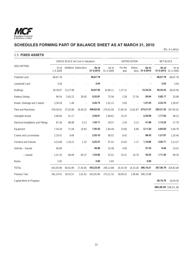

1.5 **FIXED ASSETS**

# **SCHEDULES FORMING PART OF BALANCE SHEET AS AT MARCH 31, 2010**

(Rs. in Lakhs)

|                                       | <b>GROSS BLOCK (At Cost or Valuation)</b> |                             |                          |                    | <b>DEPRECIATION</b> |                 |          |                          | <b>NET BLOCK</b> |                              |
|---------------------------------------|-------------------------------------------|-----------------------------|--------------------------|--------------------|---------------------|-----------------|----------|--------------------------|------------------|------------------------------|
| <b>DESCRIPTION</b>                    | As at<br>$1 - 4 - 2009$                   | <b>Additions Deductions</b> |                          | As at<br>31-3-2010 | Up to<br>31-3-2009  | For the<br>year | Deduc-   | Up to<br>tions 31-3-2010 | As at            | As at<br>31-3-2010 31-3-2009 |
| Freehold Land                         | 68.67.78                                  |                             | $\blacksquare$           | 68,67.78           |                     |                 |          | $\overline{a}$           | 68,67.78         | 68,67.78                     |
| Leasehold Land                        | 3.04                                      |                             |                          | 3.04               |                     |                 |          |                          | 3.04             | 3.04                         |
| <b>Buildings</b>                      | 39,39.67                                  | 13,27.98                    |                          | 52,67.65           | 10,96.11            | 1,37.12         |          | 12,33.23                 | 40,34.42         | 28,43.56                     |
| Railway Sidings                       | 96.54                                     | 5,65.22                     | 28.95                    | 6,32.81            | 75.56               | 2.58            | 27.50    | 50.64                    | 5,82.17          | 20.98                        |
| Roads, Drainage and Culverts          | 3,39.28                                   | 1.46                        | $\overline{\phantom{a}}$ | 3,40.74            | 1,01.21             | 5.83            | ÷,       | 1,07.04                  | 2,33.70          | 2,38.07                      |
| Plant and Machinery                   | 478,39.01                                 | 37,63.86                    | 16,40.25                 | 499,62.62          | 270,43.59           | 17,60.35        | 13.62.87 | 274,41.07                | 225,21.55        | 207,95.42                    |
| Intangible Assets                     | 2,96.84                                   | 51.17                       | $\omega$                 | 3,48.01            | 1,98.61             | 31.47           | ÷.       | 2,30.08                  | 1,17.93          | 98.23                        |
| Electrical Installations and Fittings | 67.36                                     | 88.88                       | 0.13                     | 1,56.11            | 39.57               | 2.44            | 0.13     | 41.88                    | 1,14.23          | 27.79                        |
| Equipment                             | 7,34.28                                   | 71.58                       | 10.83                    | 7,95.03            | 1,84.49             | 33.60           | 6.89     | 2,11.20                  | 5,83.83          | 5,49.79                      |
| Cranes and Locomotives                | 2,10.41                                   | 9.69                        |                          | 2,20.10            | 90.01               | 8.42            |          | 98.43                    | 1,21.67          | 1,20.40                      |
| <b>Furniture and Fixtures</b>         | 4,10.68                                   | 1,16.21                     | 1.32                     | 5,25.57            | 97.41               | 23.62           | 1.17     | 1,19.86                  | 4,05.71          | 3,13.27                      |
| Vehicles - Owned                      | 46.89                                     |                             |                          | 46.89              | 32.48               | 4.95            |          | 37.43                    | 9.46             | 14.41                        |
| - Leased                              | 1,51.35                                   | 66.84                       | 64.37                    | 1,53.82            | 52.01               | 25.21           | 34.70    | 42.52                    | 1,11.30          | 99.34                        |
| <b>Books</b>                          | 2.83                                      |                             |                          | 2.83               | 2.83                |                 |          | 2.83                     |                  |                              |
| <b>TOTAL</b>                          | 610.05.96                                 | 60,62.89                    | 17,45.85                 | 653,23.00          | 290,13.88           | 20,35.59        | 14,33.26 | 296,16.21                | 357,06.79        | 319.92.08                    |
| Previous Year                         | 581,24.01                                 | 30,43.57                    | 1,61.62                  | 610,05.96          | 272,21.32           | 18,99.22        |          | 1,06.66 290,13.88        |                  |                              |

Capital Work-in-Progress **28,19.76** 16,59.30

**385,26.55** 336,51.38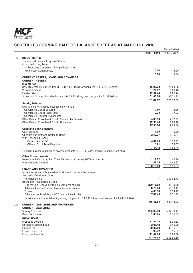

# **SCHEDULES FORMING PART OF BALANCE SHEET AS AT MARCH 31, 2010**

|     |                                                                                                  |               | (Rs. in Lakhs) |
|-----|--------------------------------------------------------------------------------------------------|---------------|----------------|
|     |                                                                                                  | $2009 - 2010$ | $2008 - 2009$  |
|     |                                                                                                  |               |                |
| 1.6 | <b>INVESTMENTS</b>                                                                               |               |                |
|     | Trade Investments in Fully paid Shares                                                           |               |                |
|     | (Unquoted, Long Term)                                                                            |               |                |
|     | In Subsidiary Company - Fully paid-up shares                                                     |               |                |
|     | MCF International Limited                                                                        | 5.00          | 5.00           |
|     |                                                                                                  | 5.00          | 5.00           |
| 1.7 | <b>CURRENT ASSETS, LOANS AND ADVANCES</b>                                                        |               |                |
|     | <b>CURRENT ASSETS</b>                                                                            |               |                |
|     | <b>Inventories</b>                                                                               |               |                |
|     | Raw Materials (Includes in-transit Rs.34,53.01 lakhs, previous year Rs.82,29.95 lakhs)           | 116,98.93     | 126,09.30      |
|     | Work-in-Process                                                                                  | 22.02         | 1,03.40        |
|     | <b>Finished Goods</b>                                                                            | 12,97.44      | 11,92.74       |
|     | Stores and Spares (Includes in-transit Rs.51.73 lakhs, previous year Rs.71.29 lakhs)             | 31,68.68      | 31,71.91       |
|     |                                                                                                  | 161,87.07     | 170,77.35      |
|     | <b>Sundry Debtors</b>                                                                            |               |                |
|     | Outstanding for a period exceeding six months                                                    |               |                |
|     | Considered Good: Secured                                                                         | 0.60          | 4.96           |
|     | Considered Good: Unsecured                                                                       | 0.28          | 17.92          |
|     | Considered Doubtful: Unsecured                                                                   |               |                |
|     | Other Debts: Considered Good: Secured by Deposits                                                | 4,36.50       | 2,72.92        |
|     | Other Debts: Considered Good: Unsecured                                                          | 12,93.46      | 6,09.20        |
|     |                                                                                                  | 17,30.84      | 9,05.00        |
|     | <b>Cash and Bank Balances</b>                                                                    |               |                |
|     | Cash on Hand                                                                                     | 1.99          | 0.90           |
|     | Cheques and Demand Drafts on Hand                                                                | 2,52.27       | 2,76.81        |
|     | With Scheduled Banks:                                                                            |               |                |
|     | Current Accounts*                                                                                | 4,84.66       | 13,18.27       |
|     |                                                                                                  | 5.21          | 13.07          |
|     | Others: Short Term Deposits                                                                      |               |                |
|     |                                                                                                  | 7,44.13       | 16,09.05       |
|     | * Includes balance in unclaimed dividend accounts Rs.1,11.89 lakhs, previous year Rs.81.29 lakhs |               |                |
|     | <b>Other Current Assets</b>                                                                      |               |                |
|     | Balance with Customs, Port Trust, Excise and Commercial Tax Authorities                          | 1,19.62       | 46.36          |
|     | Miscellaneous Deposits                                                                           | 1,91.18       | 1,49.27        |
|     |                                                                                                  | 3,10.80       | 1,95.63        |
|     | <b>LOANS AND ADVANCES</b>                                                                        |               |                |
|     | Advances recoverable in cash or in kind or for value to be received:                             |               |                |
|     | Secured - Considered Good                                                                        |               |                |
|     | <b>Fertilizer Bonds</b>                                                                          |               | 150,08.73      |
|     | Unsecured - Considered Good                                                                      |               |                |
|     | Concession Receivable from Government of India                                                   | 239,16.60     | 380,19.98      |
|     | Advance Income Tax and Tax deduced at source                                                     | 63,79.48      | 53,73.41       |
|     |                                                                                                  | 4,63.30       | 5,24.75        |
|     | Others<br>Advances to Subsidiary - MCF International Limited                                     | 7,89.45       |                |
|     |                                                                                                  |               | 1,21.45        |
|     | (Maximum amount outstanding during the year Rs. 7,89.45 lakhs, previous year Rs.1,28.67 lakhs)   |               |                |
|     |                                                                                                  | 315,48.83     | 590,48.32      |
| 1.8 | <b>CURRENT LIABILITIES AND PROVISIONS</b>                                                        |               |                |
|     | <b>CURRENT LIABILITIES</b>                                                                       |               |                |
|     | <b>Sundry Creditors</b>                                                                          | 235,99.53     | 232,30.41      |
|     | Deposits Received                                                                                | 1,86.05       | 1,75.62        |
|     | <b>PROVISIONS</b>                                                                                |               |                |
|     | Proposed Dividend                                                                                | 11,85.15      | 8,29.61        |
|     | Corporate Dividend Tax                                                                           | 2,01.42       | 1,40.99        |
|     | Current Tax                                                                                      | 59,35.00      | 45,35.07       |
|     | Fringe Benefit Tax                                                                               | 95.32         | 95.32          |
|     | <b>Employee Benefits</b>                                                                         | 11,44.08      | 11,83.58       |
|     |                                                                                                  | 323,46.55     | 301,90.60      |
|     |                                                                                                  |               |                |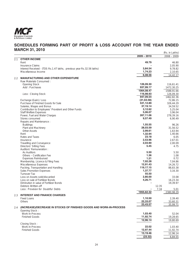

# **SCHEDULES FORMING PART OF PROFIT & LOSS ACCOUNT FOR THE YEAR ENDED MARCH 31, 2010**

| $2009 - 2010$<br>$2008 - 2009$<br><b>OTHER INCOME</b><br>2.1<br>49.79<br>Rent<br>46.80<br><b>Insurance Claims</b><br>3,84.54<br>Interest Received - (TDS Rs.1.47 lakhs, previous year Rs.32.56 lakhs)<br>1,74.23<br>Miscellaneous Income<br>2,10.65<br>6,08.56<br>14,42.17<br><b>MANUFACTURING AND OTHER EXPENDITURE</b><br>2.2<br>Raw Materials Consumed:<br>126,09.30<br><b>Opening Stock</b><br>116,61.41<br>937,99.17<br>Add: Purchases<br>1472,30.25<br>1064,08.47<br>1588,91.66<br>116,98.93<br>Less: Closing Stock<br>947,09.54<br>1462,82.36<br>(31, 63.58)<br>72,86.15<br>Exchange (Gain) / Loss<br>Purchase of Finished Goods for Sale<br>531,12.89<br>326,44.29<br>Salaries, Wages and Bonus<br>37,19.14<br>3,12.62<br>Contribution to Employees' Provident and Other Funds<br>5,25.04<br>5,06.07<br><b>Staff Welfare Expenses</b><br>Power, Fuel and Water Charges<br>267,11.06<br>Stores consumed<br>9,57.49<br>6,90.49<br>Repairs and Maintenance:<br>1,55.55<br>96.26<br><b>Buildings</b><br>28,03.59<br>Plant and Machinery<br>31,56.52<br>2,99.61<br><b>Other Assets</b><br>1,32.94<br>1,40.66<br>Rent<br>23.18<br>Rates and Taxes<br>6.05<br>2,53.96<br>2,67.01<br>Insurance<br>2,03.90<br>Travelling and Conveyance<br>5.45<br>Directors' Sitting Fees<br>4.75<br>Auditors' Remuneration :<br>5.50<br>As Auditors<br>Others - Certification Fee<br>1.36<br>1.08<br>1.21<br><b>Expenses Reimbursed</b><br>7,02.28<br>Membership, Licence & Filing Fees<br>7,04.86<br>12,91.43<br>Miscellaneous Expenses<br>119,17.15<br>Packing, Transportation and Handling<br>1,37.77<br>Sales Promotion Expenses<br>55.50<br><b>Turnover Tax</b><br>Loss on Assets sold/discarded<br>2,80.00<br>33.08<br>4,26.71<br>Loss on sale of Fertilizer Bonds<br>16,23.34<br>Diminution in value of Fertilizer Bonds<br>19,39.97<br>Debtors Written-off<br>12.35<br>7.34<br>Less: Provision for Doubtful Debts<br>5.01<br>1955,62.32<br>2380,98.29<br><b>INTEREST AND FINANCE CHARGES</b><br>2.3<br><b>Fixed Loans</b><br>1,10.50<br>22,33.07<br>Others<br>23,43.57<br>35,99.71<br>(INCREASE)/DECREASE IN STOCKS OF FINISHED GOODS AND WORK-IN-PROCESS<br>2.4<br>Opening Stock:<br>Work-in-Process<br>1,03.40<br>11,92.74<br><b>Finished Goods</b><br>12,96.14<br>Closing Stock:<br>22.02<br>Work-in-Process<br>12,97.44<br><b>Finished Goods</b><br>13,19.46<br>(23.32) |  |  | (Rs. in Lakhs) |
|----------------------------------------------------------------------------------------------------------------------------------------------------------------------------------------------------------------------------------------------------------------------------------------------------------------------------------------------------------------------------------------------------------------------------------------------------------------------------------------------------------------------------------------------------------------------------------------------------------------------------------------------------------------------------------------------------------------------------------------------------------------------------------------------------------------------------------------------------------------------------------------------------------------------------------------------------------------------------------------------------------------------------------------------------------------------------------------------------------------------------------------------------------------------------------------------------------------------------------------------------------------------------------------------------------------------------------------------------------------------------------------------------------------------------------------------------------------------------------------------------------------------------------------------------------------------------------------------------------------------------------------------------------------------------------------------------------------------------------------------------------------------------------------------------------------------------------------------------------------------------------------------------------------------------------------------------------------------------------------------------------------------------------------------------------------------------------------------------------------------------------------------------------------------------------------------------------------------------------------------------------------------------------------------------------------------------------------------------------------------|--|--|----------------|
|                                                                                                                                                                                                                                                                                                                                                                                                                                                                                                                                                                                                                                                                                                                                                                                                                                                                                                                                                                                                                                                                                                                                                                                                                                                                                                                                                                                                                                                                                                                                                                                                                                                                                                                                                                                                                                                                                                                                                                                                                                                                                                                                                                                                                                                                                                                                                                      |  |  |                |
|                                                                                                                                                                                                                                                                                                                                                                                                                                                                                                                                                                                                                                                                                                                                                                                                                                                                                                                                                                                                                                                                                                                                                                                                                                                                                                                                                                                                                                                                                                                                                                                                                                                                                                                                                                                                                                                                                                                                                                                                                                                                                                                                                                                                                                                                                                                                                                      |  |  |                |
|                                                                                                                                                                                                                                                                                                                                                                                                                                                                                                                                                                                                                                                                                                                                                                                                                                                                                                                                                                                                                                                                                                                                                                                                                                                                                                                                                                                                                                                                                                                                                                                                                                                                                                                                                                                                                                                                                                                                                                                                                                                                                                                                                                                                                                                                                                                                                                      |  |  |                |
| 9,78.82                                                                                                                                                                                                                                                                                                                                                                                                                                                                                                                                                                                                                                                                                                                                                                                                                                                                                                                                                                                                                                                                                                                                                                                                                                                                                                                                                                                                                                                                                                                                                                                                                                                                                                                                                                                                                                                                                                                                                                                                                                                                                                                                                                                                                                                                                                                                                              |  |  | 2,05.90        |
|                                                                                                                                                                                                                                                                                                                                                                                                                                                                                                                                                                                                                                                                                                                                                                                                                                                                                                                                                                                                                                                                                                                                                                                                                                                                                                                                                                                                                                                                                                                                                                                                                                                                                                                                                                                                                                                                                                                                                                                                                                                                                                                                                                                                                                                                                                                                                                      |  |  |                |
|                                                                                                                                                                                                                                                                                                                                                                                                                                                                                                                                                                                                                                                                                                                                                                                                                                                                                                                                                                                                                                                                                                                                                                                                                                                                                                                                                                                                                                                                                                                                                                                                                                                                                                                                                                                                                                                                                                                                                                                                                                                                                                                                                                                                                                                                                                                                                                      |  |  |                |
|                                                                                                                                                                                                                                                                                                                                                                                                                                                                                                                                                                                                                                                                                                                                                                                                                                                                                                                                                                                                                                                                                                                                                                                                                                                                                                                                                                                                                                                                                                                                                                                                                                                                                                                                                                                                                                                                                                                                                                                                                                                                                                                                                                                                                                                                                                                                                                      |  |  |                |
|                                                                                                                                                                                                                                                                                                                                                                                                                                                                                                                                                                                                                                                                                                                                                                                                                                                                                                                                                                                                                                                                                                                                                                                                                                                                                                                                                                                                                                                                                                                                                                                                                                                                                                                                                                                                                                                                                                                                                                                                                                                                                                                                                                                                                                                                                                                                                                      |  |  |                |
|                                                                                                                                                                                                                                                                                                                                                                                                                                                                                                                                                                                                                                                                                                                                                                                                                                                                                                                                                                                                                                                                                                                                                                                                                                                                                                                                                                                                                                                                                                                                                                                                                                                                                                                                                                                                                                                                                                                                                                                                                                                                                                                                                                                                                                                                                                                                                                      |  |  |                |
|                                                                                                                                                                                                                                                                                                                                                                                                                                                                                                                                                                                                                                                                                                                                                                                                                                                                                                                                                                                                                                                                                                                                                                                                                                                                                                                                                                                                                                                                                                                                                                                                                                                                                                                                                                                                                                                                                                                                                                                                                                                                                                                                                                                                                                                                                                                                                                      |  |  |                |
| 126,09.30<br>34,59.52<br>3,96.04<br>278,39.16<br>1,63.94<br>2.00.09<br>5.50<br>0.72<br>14,26.72<br>88,83.38<br>3,16.30<br>33,60.31<br>52.04<br>19,28.65<br>19,80.69<br>1,03.40<br>11,92.74<br>6,84.55                                                                                                                                                                                                                                                                                                                                                                                                                                                                                                                                                                                                                                                                                                                                                                                                                                                                                                                                                                                                                                                                                                                                                                                                                                                                                                                                                                                                                                                                                                                                                                                                                                                                                                                                                                                                                                                                                                                                                                                                                                                                                                                                                                |  |  |                |
|                                                                                                                                                                                                                                                                                                                                                                                                                                                                                                                                                                                                                                                                                                                                                                                                                                                                                                                                                                                                                                                                                                                                                                                                                                                                                                                                                                                                                                                                                                                                                                                                                                                                                                                                                                                                                                                                                                                                                                                                                                                                                                                                                                                                                                                                                                                                                                      |  |  |                |
|                                                                                                                                                                                                                                                                                                                                                                                                                                                                                                                                                                                                                                                                                                                                                                                                                                                                                                                                                                                                                                                                                                                                                                                                                                                                                                                                                                                                                                                                                                                                                                                                                                                                                                                                                                                                                                                                                                                                                                                                                                                                                                                                                                                                                                                                                                                                                                      |  |  |                |
|                                                                                                                                                                                                                                                                                                                                                                                                                                                                                                                                                                                                                                                                                                                                                                                                                                                                                                                                                                                                                                                                                                                                                                                                                                                                                                                                                                                                                                                                                                                                                                                                                                                                                                                                                                                                                                                                                                                                                                                                                                                                                                                                                                                                                                                                                                                                                                      |  |  |                |
|                                                                                                                                                                                                                                                                                                                                                                                                                                                                                                                                                                                                                                                                                                                                                                                                                                                                                                                                                                                                                                                                                                                                                                                                                                                                                                                                                                                                                                                                                                                                                                                                                                                                                                                                                                                                                                                                                                                                                                                                                                                                                                                                                                                                                                                                                                                                                                      |  |  |                |
|                                                                                                                                                                                                                                                                                                                                                                                                                                                                                                                                                                                                                                                                                                                                                                                                                                                                                                                                                                                                                                                                                                                                                                                                                                                                                                                                                                                                                                                                                                                                                                                                                                                                                                                                                                                                                                                                                                                                                                                                                                                                                                                                                                                                                                                                                                                                                                      |  |  |                |
|                                                                                                                                                                                                                                                                                                                                                                                                                                                                                                                                                                                                                                                                                                                                                                                                                                                                                                                                                                                                                                                                                                                                                                                                                                                                                                                                                                                                                                                                                                                                                                                                                                                                                                                                                                                                                                                                                                                                                                                                                                                                                                                                                                                                                                                                                                                                                                      |  |  |                |
|                                                                                                                                                                                                                                                                                                                                                                                                                                                                                                                                                                                                                                                                                                                                                                                                                                                                                                                                                                                                                                                                                                                                                                                                                                                                                                                                                                                                                                                                                                                                                                                                                                                                                                                                                                                                                                                                                                                                                                                                                                                                                                                                                                                                                                                                                                                                                                      |  |  |                |
|                                                                                                                                                                                                                                                                                                                                                                                                                                                                                                                                                                                                                                                                                                                                                                                                                                                                                                                                                                                                                                                                                                                                                                                                                                                                                                                                                                                                                                                                                                                                                                                                                                                                                                                                                                                                                                                                                                                                                                                                                                                                                                                                                                                                                                                                                                                                                                      |  |  |                |
|                                                                                                                                                                                                                                                                                                                                                                                                                                                                                                                                                                                                                                                                                                                                                                                                                                                                                                                                                                                                                                                                                                                                                                                                                                                                                                                                                                                                                                                                                                                                                                                                                                                                                                                                                                                                                                                                                                                                                                                                                                                                                                                                                                                                                                                                                                                                                                      |  |  |                |
|                                                                                                                                                                                                                                                                                                                                                                                                                                                                                                                                                                                                                                                                                                                                                                                                                                                                                                                                                                                                                                                                                                                                                                                                                                                                                                                                                                                                                                                                                                                                                                                                                                                                                                                                                                                                                                                                                                                                                                                                                                                                                                                                                                                                                                                                                                                                                                      |  |  |                |
| 2,39.40<br>12,96.14                                                                                                                                                                                                                                                                                                                                                                                                                                                                                                                                                                                                                                                                                                                                                                                                                                                                                                                                                                                                                                                                                                                                                                                                                                                                                                                                                                                                                                                                                                                                                                                                                                                                                                                                                                                                                                                                                                                                                                                                                                                                                                                                                                                                                                                                                                                                                  |  |  |                |
|                                                                                                                                                                                                                                                                                                                                                                                                                                                                                                                                                                                                                                                                                                                                                                                                                                                                                                                                                                                                                                                                                                                                                                                                                                                                                                                                                                                                                                                                                                                                                                                                                                                                                                                                                                                                                                                                                                                                                                                                                                                                                                                                                                                                                                                                                                                                                                      |  |  |                |
|                                                                                                                                                                                                                                                                                                                                                                                                                                                                                                                                                                                                                                                                                                                                                                                                                                                                                                                                                                                                                                                                                                                                                                                                                                                                                                                                                                                                                                                                                                                                                                                                                                                                                                                                                                                                                                                                                                                                                                                                                                                                                                                                                                                                                                                                                                                                                                      |  |  |                |
|                                                                                                                                                                                                                                                                                                                                                                                                                                                                                                                                                                                                                                                                                                                                                                                                                                                                                                                                                                                                                                                                                                                                                                                                                                                                                                                                                                                                                                                                                                                                                                                                                                                                                                                                                                                                                                                                                                                                                                                                                                                                                                                                                                                                                                                                                                                                                                      |  |  |                |
|                                                                                                                                                                                                                                                                                                                                                                                                                                                                                                                                                                                                                                                                                                                                                                                                                                                                                                                                                                                                                                                                                                                                                                                                                                                                                                                                                                                                                                                                                                                                                                                                                                                                                                                                                                                                                                                                                                                                                                                                                                                                                                                                                                                                                                                                                                                                                                      |  |  |                |
|                                                                                                                                                                                                                                                                                                                                                                                                                                                                                                                                                                                                                                                                                                                                                                                                                                                                                                                                                                                                                                                                                                                                                                                                                                                                                                                                                                                                                                                                                                                                                                                                                                                                                                                                                                                                                                                                                                                                                                                                                                                                                                                                                                                                                                                                                                                                                                      |  |  |                |
|                                                                                                                                                                                                                                                                                                                                                                                                                                                                                                                                                                                                                                                                                                                                                                                                                                                                                                                                                                                                                                                                                                                                                                                                                                                                                                                                                                                                                                                                                                                                                                                                                                                                                                                                                                                                                                                                                                                                                                                                                                                                                                                                                                                                                                                                                                                                                                      |  |  |                |
|                                                                                                                                                                                                                                                                                                                                                                                                                                                                                                                                                                                                                                                                                                                                                                                                                                                                                                                                                                                                                                                                                                                                                                                                                                                                                                                                                                                                                                                                                                                                                                                                                                                                                                                                                                                                                                                                                                                                                                                                                                                                                                                                                                                                                                                                                                                                                                      |  |  |                |
|                                                                                                                                                                                                                                                                                                                                                                                                                                                                                                                                                                                                                                                                                                                                                                                                                                                                                                                                                                                                                                                                                                                                                                                                                                                                                                                                                                                                                                                                                                                                                                                                                                                                                                                                                                                                                                                                                                                                                                                                                                                                                                                                                                                                                                                                                                                                                                      |  |  |                |
|                                                                                                                                                                                                                                                                                                                                                                                                                                                                                                                                                                                                                                                                                                                                                                                                                                                                                                                                                                                                                                                                                                                                                                                                                                                                                                                                                                                                                                                                                                                                                                                                                                                                                                                                                                                                                                                                                                                                                                                                                                                                                                                                                                                                                                                                                                                                                                      |  |  |                |
|                                                                                                                                                                                                                                                                                                                                                                                                                                                                                                                                                                                                                                                                                                                                                                                                                                                                                                                                                                                                                                                                                                                                                                                                                                                                                                                                                                                                                                                                                                                                                                                                                                                                                                                                                                                                                                                                                                                                                                                                                                                                                                                                                                                                                                                                                                                                                                      |  |  |                |
|                                                                                                                                                                                                                                                                                                                                                                                                                                                                                                                                                                                                                                                                                                                                                                                                                                                                                                                                                                                                                                                                                                                                                                                                                                                                                                                                                                                                                                                                                                                                                                                                                                                                                                                                                                                                                                                                                                                                                                                                                                                                                                                                                                                                                                                                                                                                                                      |  |  |                |
|                                                                                                                                                                                                                                                                                                                                                                                                                                                                                                                                                                                                                                                                                                                                                                                                                                                                                                                                                                                                                                                                                                                                                                                                                                                                                                                                                                                                                                                                                                                                                                                                                                                                                                                                                                                                                                                                                                                                                                                                                                                                                                                                                                                                                                                                                                                                                                      |  |  |                |
|                                                                                                                                                                                                                                                                                                                                                                                                                                                                                                                                                                                                                                                                                                                                                                                                                                                                                                                                                                                                                                                                                                                                                                                                                                                                                                                                                                                                                                                                                                                                                                                                                                                                                                                                                                                                                                                                                                                                                                                                                                                                                                                                                                                                                                                                                                                                                                      |  |  |                |
|                                                                                                                                                                                                                                                                                                                                                                                                                                                                                                                                                                                                                                                                                                                                                                                                                                                                                                                                                                                                                                                                                                                                                                                                                                                                                                                                                                                                                                                                                                                                                                                                                                                                                                                                                                                                                                                                                                                                                                                                                                                                                                                                                                                                                                                                                                                                                                      |  |  |                |
|                                                                                                                                                                                                                                                                                                                                                                                                                                                                                                                                                                                                                                                                                                                                                                                                                                                                                                                                                                                                                                                                                                                                                                                                                                                                                                                                                                                                                                                                                                                                                                                                                                                                                                                                                                                                                                                                                                                                                                                                                                                                                                                                                                                                                                                                                                                                                                      |  |  |                |
|                                                                                                                                                                                                                                                                                                                                                                                                                                                                                                                                                                                                                                                                                                                                                                                                                                                                                                                                                                                                                                                                                                                                                                                                                                                                                                                                                                                                                                                                                                                                                                                                                                                                                                                                                                                                                                                                                                                                                                                                                                                                                                                                                                                                                                                                                                                                                                      |  |  |                |
|                                                                                                                                                                                                                                                                                                                                                                                                                                                                                                                                                                                                                                                                                                                                                                                                                                                                                                                                                                                                                                                                                                                                                                                                                                                                                                                                                                                                                                                                                                                                                                                                                                                                                                                                                                                                                                                                                                                                                                                                                                                                                                                                                                                                                                                                                                                                                                      |  |  |                |
|                                                                                                                                                                                                                                                                                                                                                                                                                                                                                                                                                                                                                                                                                                                                                                                                                                                                                                                                                                                                                                                                                                                                                                                                                                                                                                                                                                                                                                                                                                                                                                                                                                                                                                                                                                                                                                                                                                                                                                                                                                                                                                                                                                                                                                                                                                                                                                      |  |  |                |
|                                                                                                                                                                                                                                                                                                                                                                                                                                                                                                                                                                                                                                                                                                                                                                                                                                                                                                                                                                                                                                                                                                                                                                                                                                                                                                                                                                                                                                                                                                                                                                                                                                                                                                                                                                                                                                                                                                                                                                                                                                                                                                                                                                                                                                                                                                                                                                      |  |  |                |
|                                                                                                                                                                                                                                                                                                                                                                                                                                                                                                                                                                                                                                                                                                                                                                                                                                                                                                                                                                                                                                                                                                                                                                                                                                                                                                                                                                                                                                                                                                                                                                                                                                                                                                                                                                                                                                                                                                                                                                                                                                                                                                                                                                                                                                                                                                                                                                      |  |  |                |
|                                                                                                                                                                                                                                                                                                                                                                                                                                                                                                                                                                                                                                                                                                                                                                                                                                                                                                                                                                                                                                                                                                                                                                                                                                                                                                                                                                                                                                                                                                                                                                                                                                                                                                                                                                                                                                                                                                                                                                                                                                                                                                                                                                                                                                                                                                                                                                      |  |  |                |
|                                                                                                                                                                                                                                                                                                                                                                                                                                                                                                                                                                                                                                                                                                                                                                                                                                                                                                                                                                                                                                                                                                                                                                                                                                                                                                                                                                                                                                                                                                                                                                                                                                                                                                                                                                                                                                                                                                                                                                                                                                                                                                                                                                                                                                                                                                                                                                      |  |  |                |
|                                                                                                                                                                                                                                                                                                                                                                                                                                                                                                                                                                                                                                                                                                                                                                                                                                                                                                                                                                                                                                                                                                                                                                                                                                                                                                                                                                                                                                                                                                                                                                                                                                                                                                                                                                                                                                                                                                                                                                                                                                                                                                                                                                                                                                                                                                                                                                      |  |  |                |
|                                                                                                                                                                                                                                                                                                                                                                                                                                                                                                                                                                                                                                                                                                                                                                                                                                                                                                                                                                                                                                                                                                                                                                                                                                                                                                                                                                                                                                                                                                                                                                                                                                                                                                                                                                                                                                                                                                                                                                                                                                                                                                                                                                                                                                                                                                                                                                      |  |  |                |
|                                                                                                                                                                                                                                                                                                                                                                                                                                                                                                                                                                                                                                                                                                                                                                                                                                                                                                                                                                                                                                                                                                                                                                                                                                                                                                                                                                                                                                                                                                                                                                                                                                                                                                                                                                                                                                                                                                                                                                                                                                                                                                                                                                                                                                                                                                                                                                      |  |  |                |
|                                                                                                                                                                                                                                                                                                                                                                                                                                                                                                                                                                                                                                                                                                                                                                                                                                                                                                                                                                                                                                                                                                                                                                                                                                                                                                                                                                                                                                                                                                                                                                                                                                                                                                                                                                                                                                                                                                                                                                                                                                                                                                                                                                                                                                                                                                                                                                      |  |  |                |
|                                                                                                                                                                                                                                                                                                                                                                                                                                                                                                                                                                                                                                                                                                                                                                                                                                                                                                                                                                                                                                                                                                                                                                                                                                                                                                                                                                                                                                                                                                                                                                                                                                                                                                                                                                                                                                                                                                                                                                                                                                                                                                                                                                                                                                                                                                                                                                      |  |  |                |
|                                                                                                                                                                                                                                                                                                                                                                                                                                                                                                                                                                                                                                                                                                                                                                                                                                                                                                                                                                                                                                                                                                                                                                                                                                                                                                                                                                                                                                                                                                                                                                                                                                                                                                                                                                                                                                                                                                                                                                                                                                                                                                                                                                                                                                                                                                                                                                      |  |  |                |
|                                                                                                                                                                                                                                                                                                                                                                                                                                                                                                                                                                                                                                                                                                                                                                                                                                                                                                                                                                                                                                                                                                                                                                                                                                                                                                                                                                                                                                                                                                                                                                                                                                                                                                                                                                                                                                                                                                                                                                                                                                                                                                                                                                                                                                                                                                                                                                      |  |  |                |
|                                                                                                                                                                                                                                                                                                                                                                                                                                                                                                                                                                                                                                                                                                                                                                                                                                                                                                                                                                                                                                                                                                                                                                                                                                                                                                                                                                                                                                                                                                                                                                                                                                                                                                                                                                                                                                                                                                                                                                                                                                                                                                                                                                                                                                                                                                                                                                      |  |  |                |
|                                                                                                                                                                                                                                                                                                                                                                                                                                                                                                                                                                                                                                                                                                                                                                                                                                                                                                                                                                                                                                                                                                                                                                                                                                                                                                                                                                                                                                                                                                                                                                                                                                                                                                                                                                                                                                                                                                                                                                                                                                                                                                                                                                                                                                                                                                                                                                      |  |  |                |
|                                                                                                                                                                                                                                                                                                                                                                                                                                                                                                                                                                                                                                                                                                                                                                                                                                                                                                                                                                                                                                                                                                                                                                                                                                                                                                                                                                                                                                                                                                                                                                                                                                                                                                                                                                                                                                                                                                                                                                                                                                                                                                                                                                                                                                                                                                                                                                      |  |  |                |
|                                                                                                                                                                                                                                                                                                                                                                                                                                                                                                                                                                                                                                                                                                                                                                                                                                                                                                                                                                                                                                                                                                                                                                                                                                                                                                                                                                                                                                                                                                                                                                                                                                                                                                                                                                                                                                                                                                                                                                                                                                                                                                                                                                                                                                                                                                                                                                      |  |  |                |
|                                                                                                                                                                                                                                                                                                                                                                                                                                                                                                                                                                                                                                                                                                                                                                                                                                                                                                                                                                                                                                                                                                                                                                                                                                                                                                                                                                                                                                                                                                                                                                                                                                                                                                                                                                                                                                                                                                                                                                                                                                                                                                                                                                                                                                                                                                                                                                      |  |  |                |
|                                                                                                                                                                                                                                                                                                                                                                                                                                                                                                                                                                                                                                                                                                                                                                                                                                                                                                                                                                                                                                                                                                                                                                                                                                                                                                                                                                                                                                                                                                                                                                                                                                                                                                                                                                                                                                                                                                                                                                                                                                                                                                                                                                                                                                                                                                                                                                      |  |  |                |
|                                                                                                                                                                                                                                                                                                                                                                                                                                                                                                                                                                                                                                                                                                                                                                                                                                                                                                                                                                                                                                                                                                                                                                                                                                                                                                                                                                                                                                                                                                                                                                                                                                                                                                                                                                                                                                                                                                                                                                                                                                                                                                                                                                                                                                                                                                                                                                      |  |  |                |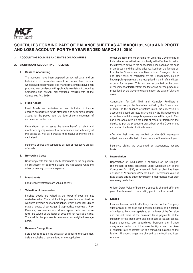

### **3. ACCOUNTING POLICIES AND NOTES ON ACCOUNTS**

### **A. SIGNIFICANT ACCOUNTING POLICIES**

### 1. **Basis of Accounting**

The accounts have been prepared on accrual basis and on historical cost convention except for certain fixed assets, which have been revalued. The financial statements have been prepared in accordance with applicable mandatory Accounting Standards and relevant presentational requirements of the Companies Act, 1956.

### 2. **Fixed Assets**

Fixed Assets are capitalised at cost, inclusive of finance charges on borrowed funds attributable to acquisition of fixed assets, for the period upto the date of commencement of commercial production.

Expenditure that increases the future benefit of plant and machinery by improvement in performance and efficiency of the assets as well as increases their useful economic life is capitalised.

Insurance spares are capitalised as part of respective groups of assets.

### 3. **Borrowing Costs**

Borrowing costs that are directly attributable to the acquisition / construction of qualifying assets are capitalised while the other borrowing costs are expensed.

### 4. **Investments**

Long term investments are valued at cost.

### 5. **Valuation of Inventories**

Finished goods are valued at the lower of cost and net realisable value. The cost for this purpose is determined on weighted average cost of production, which comprises direct material costs, direct wages & appropriate overheads. Raw Materials, work-in-process, stores, spare parts and loose tools are valued at the lower of cost and net realisable value. The cost for this purpose is determined on weighted average basis.

### 6. **Revenue Recognition**

Sale is recognised on the despatch of goods to the customer. Sale is exclusive of excise duty, where applicable.

Under the New Pricing Scheme for Urea, the Government of India reimburses in the form of subsidy to the Fertilizer Industry, the difference between the concession price based on the cost of production and the selling price realised from the farmers as fixed by the Government from time to time. Changes in input and other costs as estimated by the Management, as per known policy parameters are recognised in the Profit and Loss account for the year. This has been accounted on the basis of movement of fertilizer from the factory as per the procedure prescribed by the Government and not on the basis of ultimate sales.

Concession for DAP, MOP and Complex Fertilizers is recognised as per the final rates notified by the Government of India. In the absence of notified rates, the concession is accounted based on rates estimated by the Management in accordance with known policy parameters in this regard. This has been accounted on the basis of receipt of fertilizer in the district as per the procedure prescribed by the Government and not on the basis of ultimate sales.

After the final rates are notified by the GOI, necessary adjustments are effected in the accounts of the relevant year.

Insurance claims are accounted on acceptance/ receipt basis.

## 7. **Depreciation**

Depreciation on fixed assets is calculated on the straightline method at rates prescribed under Schedule XIV of the Companies Act 1956, as amended. Fertilizer plant has been classified as 'Continuous Process Plant'. Incremental value of fixed assets arising out of revaluation is depreciated over their remaining useful lives.

Written Down Value of insurance spares is charged off in the year of replacement of the existing part in the fixed asset.

## 8. **Leases**

Finance Leases, which effectively transfer to the Company substantially all the risks and benefits incidental to ownership of the leased item, are capitalised at the lower of the fair value and present value of the minimum lease payments at the inception of the lease term and disclosed as leased assets. Lease payments are apportioned between the finance charges and reduction of the lease liability so as to achieve a constant rate of interest on the remaining balance of the liability. Finance charges are charged to the Profit and Loss Account.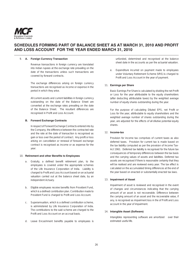

### 9. **A. Foreign Currency Transaction**

 Revenue transactions in foreign currency are translated into Indian rupees at the exchange rate prevailing on the date of the transactions unless such transactions are covered by forward contracts.

 The exchange differences arising on foreign currency transactions are recognised as income or expense in the period in which they arise.

 All current assets and current liabilities in foreign currency outstanding on the date of the Balance Sheet are converted at the exchange rates prevailing on the date of the Balance Sheet. The resultant differences are recognised in Profit and Loss Account.

### **B. Forward Exchange Contracts**

 In respect of Forward Exchange Contracts entered into by the Company, the difference between the contracted rate and the rate at the date of transaction is recognised as gain or loss over the period of contract. Any profit or loss arising on cancellation or renewal of forward exchange contract is recognised as income or as expense for the year.

### 10. Retirement and other Benefits to Employees

- a. Gratuity, a defined benefit retirement plan, to the employees is covered under the appropriate schemes of the Life Insurance Corporation of India. Liability is charged to Profit and Loss Account based on an actuarial valuation carried out at the balance sheet date, by an independent Actuary.
- b. Eligible employees receive benefits from Provident Fund, which is a defined contribution plan. Contribution made to Provident Fund is charged to Profit and Loss Account.
- c. Superannuation, which is a defined contribution scheme, is administered by Life Insurance Corporation of India. The contributions to the said scheme are charged to the Profit and Loss Account on an accrual basis.
- d. Leave Encashment benefits payable to employees is

unfunded, determined and recognised at the balance sheet date in the accounts as per the actuarial valuation.

e. Expenditure incurred on payment made to employees under Voluntary Retirement Scheme (VRS) is charged to Profit and Loss Account in the year of payment.

### 11. **Earnings per Share**

Basic Earnings Per Share is calculated by dividing the net Profit or Loss for the year attributable to the equity shareholders (after deducting attributable taxes) by the weighted average number of equity shares outstanding during the year.

For the purpose of calculating Diluted EPS, net Profit or Loss for the year, attributable to equity shareholders and the weighted average number of shares outstanding during the year, are adjusted for the effects of all dilutive potential equity shares.

## 12. **Income-tax**

Provision for income tax comprises of current taxes as also deferred taxes. Provision for current tax is made based on the tax liability computed as per the provision of Income Tax-Act 1961. Deferred tax liability is recognised for the future tax consequences of temporary differences between the tax basis and the carrying values of assets and liabilities. Deferred tax assets are recognised if there is reasonable certainty that they will be realised and are reviewed every year. The tax effect is calculated on the accumulated timing differences at the end of the year based on enacted or substantially enacted tax laws.

### 13. **Impairment of Asset**

Impairment of asset is reviewed and recognised in the event of changes and circumstances indicating that the carrying amount of an asset is not recoverable. Difference between the carrying amount of an asset and the recoverable value, if any, is recognised as impairment loss in the of Profit and Loss account in the year of impairment.

### 14. **Intangible Asset (Software)**

Intangibles representing software are amortized over their estimated useful life.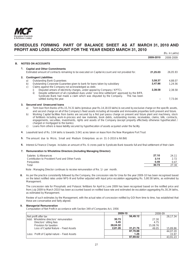

|    |    |                    |                                                                                                                                                                                                                                                                         |           | (Rs. in Lakhs) |
|----|----|--------------------|-------------------------------------------------------------------------------------------------------------------------------------------------------------------------------------------------------------------------------------------------------------------------|-----------|----------------|
|    |    |                    |                                                                                                                                                                                                                                                                         | 2009-2010 | 2008-2009      |
| В. |    |                    | <b>NOTES ON ACCOUNTS</b>                                                                                                                                                                                                                                                |           |                |
|    | 1. |                    | <b>Capital and Other Commitments</b>                                                                                                                                                                                                                                    |           |                |
|    |    |                    | Estimated amount of contracts remaining to be executed on Capital Account and not provided for.                                                                                                                                                                         | 21.25.03  | 26.05.93       |
|    |    |                    | <b>Contingent Liabilities</b>                                                                                                                                                                                                                                           |           |                |
|    |    | a)                 | <b>Outstanding Bank Guarantees</b>                                                                                                                                                                                                                                      | 3,58.37   | 4.88.07        |
|    |    | b)<br>$\mathsf{C}$ | Outstanding Corporate Guarantee given to bank for loans taken by subsidiary<br>Claims against the Company not acknowledged as debt.                                                                                                                                     | 2,47.86   | 1.24.56        |
|    |    |                    | Disputed arrears of electricity charges, under appeal by Company / KPTCL<br>ii)<br>Despite settlement of all crystallised dues under 'one-time settlement' approved by the BIFR,<br>This has been<br>Syndicate Bank had made a claim which was disputed by the Company. | 2.38.58   | 2.38.58        |
|    |    |                    | settled during the year.                                                                                                                                                                                                                                                |           | 7.73.04        |

### **3. Secured and Unsecured loans**

- a) Term loan from Banks of Rs.15,74.31 lakhs (previous year Rs.14,18.03 lakhs) is secured by exclusive charge on the specific assets, and second charge on all of the Company's fixed assets including all movable and immovable properties both present and future.
- b) Working Capital facilities from banks are secured by a first pari passu charge on present and future plant and machinery, stock of fertilizers including work-in-process and raw materials, book debts, outstanding monies, receivables, claims, bills, contracts, engagements, securities, investments, rights and assets of the Company (except property effectively otherwise hypothecated / charged or mortgaged to the banks).
- c) Loans from others is lease liability secured by hypothecation of assets acquired under the facility
- **4.** Leasehold land of Rs. 3.04 lakhs is towards 3.041 acres taken on lease from the New Mangalore Port Trust
- **5.** The amount due to Micro, Small and Medium Enterprises as on 31-3-2010 is Nil (Nil)
- **6.** Interest & Finance Charges includes an amount of Rs. 6 crores paid to Syndicate Bank towards full and final settlement of their claim

### **7. Remuneration to Wholetime Directors (including Managing Director):**

| Salaries & Allowances                          | 27.10 | 24.11 |
|------------------------------------------------|-------|-------|
| Contribution to Provident Fund and Other Funds | 3.14  |       |
| Perauisites                                    | 0.49  | በ 47  |
| Total                                          | 30.73 | 27.30 |
|                                                |       |       |

Note : Managing Director continues to receive remuneration of Re. 1/- per month.

**8.** As per the practice consistently followed by the Company, the concession rate for Urea for the year 2009-10 has been recognised based on the latest notified rates under NPS-III and further adjusted with input price escalation aggregating Rs. 5,80.58 lakhs, as estimated by Management.

The concession rate for Phosphatic and Potassic fertilizers for April to June 2009 has been recognised based on the notified price and from July 2009 to March 2010 has been accounted based on notified base rate and estimated de-escalation aggregating Rs.30,34 lakhs, as estimated by Management.

 Review of such estimates by the Management, with the actual rates of concession notified by GOI from time to time, has established that these are conservative and fairly aligned.

### **9. Managerial Remuneration**

Computation of Net Profit in accordance with Section 349 of Companies Act, 1956

|                                               |          | 2009-10  | 2008-09  |          |
|-----------------------------------------------|----------|----------|----------|----------|
| Net profit after tax                          |          | 56,49.12 |          | 28.17.34 |
| Add: Wholetime directors' remuneration        | 30.73    |          | 27.30    |          |
| Directors' sitting fees                       | 5.45     |          | 4.75     |          |
| Provision for taxation                        | 28,04.32 |          | 15,08.76 |          |
| Loss of Capital Nature - Fixed Assets         | 2.81.26  | 31,21.76 | 49.05    | 15,89.86 |
|                                               |          | 87,70.88 |          | 44,07.20 |
| Less: Profit of Capital nature – Fixed Assets |          | 1.26     |          | 15.97    |
|                                               |          | 87,69.62 |          | 43,91.23 |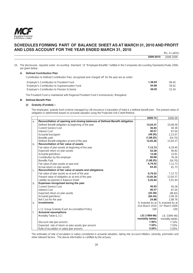

|           | (Rs. in Lakhs) |
|-----------|----------------|
| 2009-2010 | 2008-2009      |

10**.** The disclosures required under Accounting Standard 15 "Employee Benefits" notified in the Companies (Accounting Standards) Rules 2006, are given below:

### **A.** Defined Contribution Plan

Contribution to Defined Contribution Plan, recognized and charged off for the year are as under

| Employer's Contribution to Provident Fund        | 1.38.93 | 99.45 |
|--------------------------------------------------|---------|-------|
| Employer's Contribution to Superannuation Fund   | 64.86   | 59.02 |
| <b>Employer's Contribution to Pension Scheme</b> | 56.05   | 53.34 |
|                                                  |         |       |

The Provident Fund is maintained with Regional Provident Fund Commissioner, Mangalore.

### **B.** Defined Benefit Plan

 $\Gamma$  $\overline{\phantom{a}}$ 

# **(i) Gratuity (Funded) :-**

 The employees' gratuity fund scheme managed by Life Insurance Corporation of India is a defined benefit plan. The present value of obligation is determined based on actuarial valuation using the Projected Unit Credit Method.

|                |                                                                              | 2009-10          | 2008-09                             |
|----------------|------------------------------------------------------------------------------|------------------|-------------------------------------|
| a <sub>z</sub> | Reconciliation of opening and closing balances of Defined Benefit obligation |                  |                                     |
|                | Defined Benefit obligation at beginning of the year                          | 13,04.37         | 10,08.58                            |
|                | <b>Current Service Cost</b>                                                  | 46.93            | 40.38                               |
|                | <b>Interest Cost</b>                                                         | 90.57            | 87.04                               |
|                | Actuarial loss/(gain)                                                        | (48.26)          | 2,23.07                             |
|                | Benefits paid                                                                | (1,88.25)        | (54.70)                             |
|                | Defined Benefit obligation at end of the year                                | 12,05.36         | 13,04.37                            |
| $b$ .          | Reconciliation of fair value of assets                                       |                  |                                     |
|                | Fair value of plan assets at beginning of the year                           | 7,12.73          | 6,29.44                             |
|                | Expected return on plan assets                                               | 52.28            | 46.82                               |
|                | Actuarial gain/(loss)                                                        | 12.08            | 14.91                               |
|                | Contribution by the employer                                                 | 90.68            | 76.26                               |
|                | <b>Benefits Paid</b>                                                         | (1,88.25)        | (54.70)                             |
|                | Fair value of plan assets at year end                                        | 6,79.52          | 7,12.73                             |
|                | Actual return on plan assets                                                 | 64.35            | 61.73                               |
| C.             | Reconciliation of fair value of assets and obligations                       |                  |                                     |
|                | Fair value of plan assets as at end of the year                              | 6,79.52          | 7,12.73                             |
|                | Present value of obligation as at end of the year                            | 12,05.36         | 13,04.37                            |
|                | Liability recognized in Balance Sheet                                        | 5,25.84          | 5,91.64                             |
| d.             | Expenses recognized during the year                                          |                  |                                     |
|                | <b>Current Service Cost</b>                                                  | 46.93            | 40.38                               |
|                | <b>Interest Cost</b>                                                         | 90.57            | 87.04                               |
|                | Expected return on plan assets                                               | (52.28)          | (46.82)                             |
|                | Actuarial gain/(loss)                                                        | (60.34)          | 2,08.16                             |
|                | Net Cost for the year                                                        | 24.88            | 2.88.76                             |
| е.             | <b>Investments</b>                                                           |                  | % Invested As at   % Invested As at |
|                |                                                                              | 31st March 2010  | 31 <sup>st</sup> March 2009         |
|                | L.I.C Group Gratuity (Cash Accumulation) Policy                              | 100              | 100                                 |
| f.             | <b>Actuarial assumptions</b>                                                 |                  |                                     |
|                | Mortality Table (L.I.C)                                                      | LIC (1994-96)    | LIC (1994-96)                       |
|                |                                                                              | mortality tables | mortality tables                    |
|                | Discount rate (per annum)                                                    | 7.90%            | 7.10%                               |
|                | Expected rate of return on plan assets (per annum)                           | 7.50%            | 7.50%                               |
|                | Rate of escalation in salary (per annum)                                     | 5.00%            | 5.00%                               |

The estimates of rate of escalation in salary considered in actuarial valuation, taking into account inflation, seniority, promotion and other relevant factors. The above information is certified by the actuary.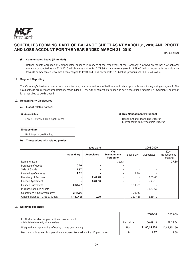

(Rs. in Lakhs)

### **(ii) Compensated Leave (Unfunded)**

 Defined benefit obligation of compensated absence in respect of the employees of the Company is arrived on the basis of actuarial valuation conducted as on 31.3.2010 which works out to Rs. 3,71.96 lakhs (previous year Rs.3,59.60 lakhs). Increase in the obligation towards compensated leave has been charged to Profit and Loss account Rs.12.36 lakhs (previous year Rs.82.44 lakhs).

## 11. **Segment Reporting**

The Company's business comprises of manufacture, purchase and sale of fertilizers and related products constituting a single segment. The sales of these products are predominantly made in India. Hence, the segment information as per "Accounting Standard 17 - Segment Reporting" is not required to be disclosed.

### 12. **Related Party Disclosures**

### **a) List of related parties:**

## **i) Associates**

United Breweries (Holdings) Limited

### **iii) Key Management Personnel**

Deepak Anand, Managing Director K. Prabhakar Rao, Wholetime Director

# **ii) Subsidiary**

MCF International Limited

# **b) Transactions with related parties:**

|                                    | 2009-2010  |                   |                                       | 2008-2009  |            |                                |  |
|------------------------------------|------------|-------------------|---------------------------------------|------------|------------|--------------------------------|--|
|                                    | Subsidiary | <b>Associates</b> | Key<br>Management<br><b>Personnel</b> | Subsidiary | Associates | Kev<br>Management<br>Personnel |  |
| Remuneration                       |            |                   | 30.73                                 |            |            | 27.30                          |  |
| Purchase of goods                  | 0.26       |                   |                                       |            |            |                                |  |
| Sale of Goods                      | 2.97       |                   |                                       |            |            |                                |  |
| Rendering of services              | 1.02       |                   |                                       | 4.79       |            |                                |  |
| Receiving of Services              |            | 2,44.73           |                                       |            | 2,63.68    |                                |  |
| Licence Agreement                  |            | 6,61.80           |                                       |            | 6,73.13    |                                |  |
| Finance - Advances                 | 6,64.27    |                   |                                       | 1.11.92    |            |                                |  |
| Purchase of Fixed assets           |            |                   |                                       |            | 11,63.67   |                                |  |
| Guarantees & Collaterals given     | 2,47.86    |                   |                                       | 1,24.56    |            |                                |  |
| Closing Balance - Credit / (Debit) | (7,89.45)  | 0.30              |                                       | (1, 21.45) | 8,59.79    |                                |  |

### 13. **Earnings per share**

|                                                                                             |           | 2009-10      | 2008-09      |
|---------------------------------------------------------------------------------------------|-----------|--------------|--------------|
| Profit after taxation as per profit and loss account<br>attributable to equity shareholders | Rs. Lakhs | 56.49.12     | 28.17.34     |
| Weighted average number of equity shares outstanding                                        | Nos.      | 11,85,15,150 | 11.85.15.150 |
| Basic and diluted earnings per share in rupees (face value - Rs. 10 per share)              | Rs.       | 4.77         | 2.38         |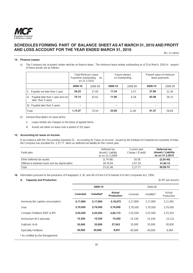

(Rs. in Lakhs)

## **14. Finance Leases**

a) The Company has acquired certain vehicles on finance lease. The minimum lease rentals outstanding as of 31st March, 2010 in respect of these assets are as follows:

|       |                                                         | <b>Total Minimum Lease</b><br>Future interest<br>Payments outstanding<br>on Outstanding<br>as<br>on 31.3.2010 |         |                          |         | Present value of minimum<br>lease payments |         |
|-------|---------------------------------------------------------|---------------------------------------------------------------------------------------------------------------|---------|--------------------------|---------|--------------------------------------------|---------|
|       |                                                         | 2009-10                                                                                                       | 2008-09 | 2009-10                  | 2008-09 | 2009-10                                    | 2008-09 |
| i)    | Payable not later than 1 year                           | 39.23                                                                                                         | 27.93   | 11.34                    | 5.57    | 27.89                                      | 22.36   |
| ii)   | Payable later than 1 year and not<br>later than 5 years | 75.14                                                                                                         | 42.61   | 11.66                    | 6.28    | 63.48                                      | 36.33   |
| iii)  | Payable later than 5 years                              |                                                                                                               |         | $\overline{\phantom{a}}$ |         | ۰                                          |         |
| Total |                                                         | 1,14.37                                                                                                       | 70.54   | 23.00                    | 11.85   | 91.37                                      | 58.69   |

- b) General Description of Lease terms:
	- i) Lease rentals are charged on the basis of agreed terms.
	- ii) Assets are taken on lease over a period of 3/5 years.

### **15. Accounting for taxes on Income**

In accordance with the "Accounting Standard 22 – Accounting for Taxes on Income", issued by the Institute of Chartered Accountants of India, the Company has provided Rs. 2,27.77 lakhs as deferred tax liability for the current year.

| <b>Particulars</b>                           | Deferred tax<br>(Asset) / Liability<br>as on 31.3.2009 | Current year<br>Charge / (Credit) | Deferred tax<br>(Asset) / Liability<br>as on 31.3.2010 |
|----------------------------------------------|--------------------------------------------------------|-----------------------------------|--------------------------------------------------------|
| Other deferred tax assets                    | (2, 74.98)                                             | 20.58                             | (2,54.40)                                              |
| Difference between book and tax depreciation | 39.76.94                                               | 2.07.19                           | 41.84.13                                               |
| Total                                        | 37.01.96                                               | 2.27.77                           | 39,29.73                                               |

**16.** Information pursuant to the provisions of Paragraphs 3, 4C and 4D of Part-II of Schedule VI to the Companies Act, 1956.

### **A.** Capacity and Production **Capacity and Production Capacity and Production Capacity and Production Capacity and Production**

|                                   |          | 2009-10    |                                    |          | 2008-09    |                      |  |
|-----------------------------------|----------|------------|------------------------------------|----------|------------|----------------------|--|
|                                   | Licensed | Installed* | <b>Actual</b><br><b>Production</b> | Licensed | Installed* | Actual<br>Production |  |
| Ammonia (for captive consumption) | 2,17,800 | 2,17,800   | 2,18,972                           | 2.17.800 | 2.17.800   | 2.11.081             |  |
| Urea                              | 3,79,500 | 3,79,500   | 3,79,500                           | 3.79.500 | 3.79.500   | 3.79.500             |  |
| Complex Fertilizers (DAP & NP)    | 2,55,500 | 2,55,500   | 2,82,173                           | 2,55,500 | 2,55,500   | 2,33,343             |  |
| Ammonium Bi-Carbonate             | 15,330   | 15,330     | 15,330                             | 15,330   | 15,330     | 15,121               |  |
| Sulphuric Acid                    | 33,000   | 33,000     | 27,543                             | 33,000   | 33,000     | 30.830               |  |
| <b>Speciality Fertilizers</b>     | 40,000   | 40,000     | 8,931                              | 40,000   | 40,000     | 6,964                |  |
| * As certified by the Management. |          |            |                                    |          |            |                      |  |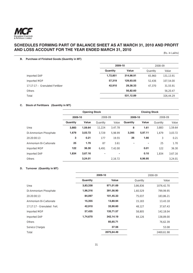

(Rs. in Lakhs)

# **B. Purchase of Finished Goods (Quantity in MT)**

|                                  | 2009-10  |           |          | 2008-09   |
|----------------------------------|----------|-----------|----------|-----------|
|                                  | Quantity | Value     | Quantity | Value     |
| Imported DAP                     | 1,72,851 | 314,98.91 | 65,960   | 131,13.91 |
| Imported MOP                     | 57,319   | 129,93.05 | 52,436   | 107,54.00 |
| 17:17:17 - Granulated Fertilizer | 42.910   | 29,38.33  | 47,370   | 31,55.91  |
| Others                           |          | 56,82.60  |          | 56,20.47  |
| Total                            |          | 531,12.89 |          | 326,44.29 |

# **C. Stock of Fertilizers (Quantity in MT)**

|                       | <b>Opening Stock</b> |         |          | <b>Closing Stock</b> |          |         |          |         |
|-----------------------|----------------------|---------|----------|----------------------|----------|---------|----------|---------|
|                       | 2009-10              |         | 2008-09  |                      | 2009-10  |         | 2008-09  |         |
|                       | Quantity             | Value   | Quantity | Value                | Quantity | Value   | Quantity | Value   |
| Urea                  | 3,883                | 1,59.64 | 11,224   | 3.47.78              | 8        | 1.61    | 3,883    | 1,59.64 |
| Di-Ammonium Phosphate | 1,679                | 3,03.72 | 3.729    | 5.98.99              | 3,395    | 5,97.11 | 1.679    | 3.03.72 |
| 20:20:00:13           | 3                    | 0.21    | 177      | 19.55                | 26       | 1.66    | 3        | 0.21    |
| Ammonium Bi-Carbonate | 25                   | 1.70    | 87       | 3.61                 | ۰        |         | 25       | 1.70    |
| Imported MOP          | 122                  | 36.30   | 6.491    | 7.42.00              |          | 0.01    | 122      | 36.30   |
| Imported DAP          | 1,834                | 3,67.16 | ٠        | $\overline{a}$       |          | 0.10    | 1.834    | 3.67.16 |
| <b>Others</b>         |                      | 3,24.01 |          | 2,16.72              |          | 6,96.95 |          | 3,24.01 |

# **D. Turnover (Quantity in MT)**

|                             | 2009-10  |            |          | 2008-09    |
|-----------------------------|----------|------------|----------|------------|
|                             | Quantity | Value      | Quantity | Value      |
| Urea                        | 3,83,338 | 971,01.69  | 3,86,836 | 1076,42.70 |
| Di-Ammonium Phosphate       | 1,96,316 | 391,56.90  | 1,60,529 | 799,99.95  |
| 20:20:00:13                 | 84,097   | 101,45.33  | 75,037   | 183,86.21  |
| Ammonium Bi-Carbonate       | 15,355   | 13,80.94   | 15,183   | 13,43.18   |
| 17:17:17 - Granulated Fert. | 42,910   | 33,90.60   | 48,127   | 37,67.43   |
| Imported MOP                | 57,435   | 135,71.57  | 58,805   | 142,18.04  |
| Imported DAP                | 1,74,670 | 342,14.19  | 64,126   | 138,89.00  |
| <b>Others</b>               |          | 85,65.71   |          | 76,62.39   |
| Service Charges             |          | 37.56      |          | 53.08      |
| Total                       |          | 2075,64.49 |          | 2469,61.98 |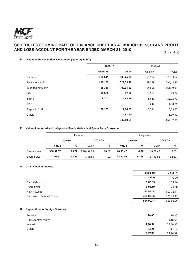

# **E. Details of Raw Materials Consumed (Quantity in MT)**

|                  | 2009-10  |           | 2008-09  |            |
|------------------|----------|-----------|----------|------------|
|                  | Quantity | Value     | Quantity | Value      |
| Naphtha          | 1,65,511 | 509,25.34 | 1,61,914 | 575,83.62  |
| Phosphoric Acid  | 1,10,152 | 321,59.46 | 89,799   | 694,48.96  |
| Imported Ammonia | 68,350   | 100,91.82 | 64,856   | 161,89.39  |
| Filler           | 13,538   | 82.98     | 11,811   | 79.72      |
| Sulphur          | 8,702    | 5,63.69   | 8,642    | 22,22.71   |
| <b>MAP</b>       | ٠        | ٠         | 1,040    | 1,98.24    |
| Sulphuric Acid   | 20,193   | 2,94.65   | 11,254   | 3,59.73    |
| Others           |          | 5,91.60   |          | 1,99.99    |
|                  |          | 947,09.54 |          | 1462,82.36 |

### **F. Value of imported and indigenous Raw Materials and Spare Parts Consumed**

|              | Imported  |       |            |         | Indigenous |         |           |         |  |
|--------------|-----------|-------|------------|---------|------------|---------|-----------|---------|--|
|              | 2009-10   |       |            | 2008-09 |            | 2009-10 |           | 2008-09 |  |
|              | Value     | %     | Value      | %       | Value      | %       | Value     | %       |  |
| Raw Material | 906,54.07 | 95.72 | 1326.52.93 | 90.68   | 40,55.47   | 4.28    | 136,29.43 | 9.32    |  |
| Spare Parts  | 1,97.97   | 12.55 | 1,35.66    | 7.19    | 13,80.06   | 87.45   | 17.51.98  | 92.81   |  |

# **G. C.I.F. Value of Imports**

|                                              | 2009-10   | 2008-09   |
|----------------------------------------------|-----------|-----------|
|                                              | Value     | Value     |
| Capital Goods                                | 3,83.65   | 4,19.40   |
| Spare Parts                                  | 5,94.10   | 3,21.68   |
| Raw Materials                                | 390,57.04 | 810,16.77 |
| Purchase of Finished Goods                   | 453,65.65 | 135,31.11 |
|                                              | 854,00.44 | 952,88.96 |
|                                              |           |           |
| Н.<br><b>Expenditure in Foreign Currency</b> |           |           |

| Travelling          | 14.60                    | 19.80    |
|---------------------|--------------------------|----------|
| Consultancy charges | $\overline{\phantom{a}}$ | 1,18.64  |
| Interest            | 1,90.54                  | 13,40.38 |
| Others              | 22.25                    | 17.70    |
|                     | 2,27.39                  | 14,96.52 |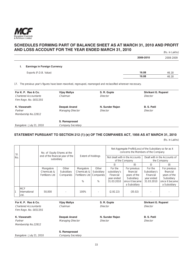

|                                                 |           | (RS. In Lakns) |
|-------------------------------------------------|-----------|----------------|
|                                                 | 2009-2010 | 2008-2009      |
| <b>Earnings in Foreign Currency</b><br><b>L</b> |           |                |
| Exports (F.O.B. Value)                          | 16.08     | 46.18          |
|                                                 | 16.08     | 46.18          |

17. The previous year's figures have been reworked, regrouped, rearranged and reclassified wherever necessary.

| For K. P. Rao & Co.          | Vijay Mallya      | S. R. Gupte     | <b>Shrikant G. Ruparel</b> |
|------------------------------|-------------------|-----------------|----------------------------|
| <b>Chartered Accountants</b> | Chairman          | Director        | Director                   |
| Firm Regn. No. 003135S       |                   |                 |                            |
| K. Viswanath                 | Deepak Anand      | N. Sunder Rajan | <b>B. S. Patil</b>         |
| Partner                      | Managing Director | Director        | Director                   |
| Membership No.22812          |                   |                 |                            |
|                              | S. Ramaprasad     |                 |                            |
| Bangalore: July 21, 2010     | Company Secretary |                 |                            |
|                              |                   |                 |                            |

# **STATEMENT PURSUANT TO SECTION 212 (1) (e) OF THE COMPANIES ACT, 1956 AS AT MARCH 31, 2010**

(Rs. in Lakhs)

| SI. | No. of Equity Shares at the         |                                                |                                  | <b>Extent of Holdings</b>                        |                                       | Net Aggregate Profit/(Loss) of the Subsidiary so far as it<br>concerns the Members of the Company |                                                                                            |                                                                  |                                                                                            |
|-----|-------------------------------------|------------------------------------------------|----------------------------------|--------------------------------------------------|---------------------------------------|---------------------------------------------------------------------------------------------------|--------------------------------------------------------------------------------------------|------------------------------------------------------------------|--------------------------------------------------------------------------------------------|
| No. |                                     | end of the financial year of the<br>subsidiary |                                  |                                                  |                                       | Not dealt with in the Accounts<br>of the Company                                                  |                                                                                            | Dealt with in the Accounts of<br>the Company                     |                                                                                            |
|     |                                     |                                                |                                  |                                                  |                                       | (i)                                                                                               | (ii)                                                                                       | (i)                                                              | (ii)                                                                                       |
|     |                                     | Mangalore<br>Chemicals &<br>Fertilizers Ltd    | Other<br>Subsidiary<br>Companies | Mangalore<br>Chemicals &<br>Fertilizers Ltd<br>% | Other<br>Subsidiary<br>Companies<br>% | For the<br>subsidiary's<br>Financial<br>year ended<br>31.03.2010                                  | For previous<br>financial<br>years of the<br>Subsidiary<br>since it became<br>a Subsidiary | For the<br>Subsidiary's<br>Financial<br>year ended<br>31.03.2010 | For previous<br>financial<br>years of the<br>Subsidiary<br>since it became<br>a Subsidiary |
|     | <b>MCF</b><br>International<br>Ltd. | 50,000                                         |                                  | 100%                                             |                                       | (2,92.22)                                                                                         | (35.02)                                                                                    |                                                                  |                                                                                            |

| For K. P. Rao & Co.<br><b>Chartered Accountants</b><br>Firm Regn. No. 003135S | Vijay Mallya<br>Chairman | S. R. Gupte<br>Director | <b>Shrikant G. Ruparel</b><br>Director |
|-------------------------------------------------------------------------------|--------------------------|-------------------------|----------------------------------------|
| K. Viswanath                                                                  | Deepak Anand             | N. Sunder Rajan         | <b>B. S. Patil</b>                     |
| Partner                                                                       | <b>Managing Director</b> | Director                | Director                               |
| Membership No.22812                                                           |                          |                         |                                        |
|                                                                               | S. Ramaprasad            |                         |                                        |
| Bangalore: July 21, 2010                                                      | <b>Company Secretary</b> |                         |                                        |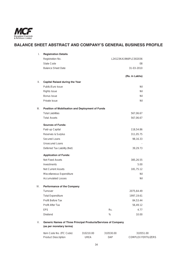

# **BALANCE SHEET ABSTRACT AND COMPANY'S GENERAL BUSINESS PROFILE**

| I.   | <b>Registration Details</b>                      |      |                       |
|------|--------------------------------------------------|------|-----------------------|
|      | Registration No.                                 |      | L24123KA1966PLC002036 |
|      | State Code                                       |      | 08                    |
|      | <b>Balance Sheet Date</b>                        |      | 31-03-2010            |
|      |                                                  |      | (Rs. in Lakhs)        |
| II.  | <b>Capital Raised during the Year</b>            |      |                       |
|      | Public/Euro Issue                                |      | Nil                   |
|      | Rights Issue                                     |      | Nil                   |
|      | <b>Bonus Issue</b>                               |      | Nil                   |
|      | Private Issue                                    |      | Nil                   |
| III. | Position of Mobilisation and Deployment of Funds |      |                       |
|      | <b>Total Liabilities</b>                         |      | 567,06.67             |
|      | <b>Total Assets</b>                              |      | 567,06.67             |
|      | <b>Sources of Funds:</b>                         |      |                       |
|      | Paid-up Capital                                  |      | 118,54.86             |
|      | Reserves & Surplus                               |      | 311,05.75             |
|      | Secured Loans                                    |      | 98,16.33              |
|      | <b>Unsecured Loans</b>                           |      |                       |
|      | Deferred Tax Liability (Net)                     |      | 39,29.73              |
|      | <b>Application of Funds:</b>                     |      |                       |
|      | <b>Net Fixed Assets</b>                          |      | 385,26.55             |
|      | Investments                                      |      | 5.00                  |
|      | <b>Net Current Assets</b>                        |      | 181,75.12             |
|      | Miscellaneous Expenditure                        |      | Nil                   |
|      | <b>Accumulated Losses</b>                        |      | Nil                   |
| IV.  | <b>Performance of the Company</b>                |      |                       |
|      | Turnover                                         |      | 2075,64.49            |
|      | <b>Total Expenditure</b>                         |      | 1997,19.61            |
|      | Profit Before Tax                                |      | 84,53.44              |
|      | Profit After Tax                                 |      | 56,49.12              |
|      | <b>EPS</b>                                       | Rs.  | 4.77                  |
|      | Dividend                                         | $\%$ | 10.00                 |

| Item Code No. (ITC Code)   | 310210.00 | 310530.00  | 310551.00           |
|----------------------------|-----------|------------|---------------------|
| <b>Product Description</b> | UREA      | <b>DAP</b> | COMPLEX FERTILIZERS |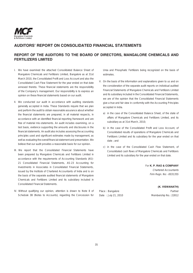

# **AUDITORS' REPORT ON CONSOLIDATED FINANCIAL STATEMENTS**

# **REPORT OF THE AUDITORS TO THE BOARD OF DIRECTORS, MANGALORE CHEMICALS AND FERTILIZERS LIMITED**

- I. We have examined the attached Consolidated Balance Sheet of Mangalore Chemicals and Fertilizers Limited, Bangalore as at 31st March 2010, the Consolidated Profit and Loss Account and also the Consolidated Cash Flow Statement for the year ended on that date annexed thereto. These financial statements are the responsibility of the Company's management. Our responsibility is to express an opinion on these financial statements based on our audit.
- II. We conducted our audit in accordance with auditing standards generally accepted in India. These Standards require that we plan and perform the audit to obtain reasonable assurance about whether the financial statements are prepared, in all material respects, in accordance with an identified financial reporting framework and are free of material mis-statements. An audit includes examining, on a test basis, evidence supporting the amounts and disclosures in the financial statements. An audit also includes assessing the accounting principles used and significant estimates made by management, as well as evaluating the overall financial statement and presentation. We believe that our audit provides a reasonable basis for our opinion.
- III. We report that the Consolidated Financial Statements have been prepared by Mangalore Chemicals and Fertilizers Limited in accordance with the requirements of Accounting Standards (AS)- 21 Consolidated Financial Statements, AS-23 Accounting for Investments in Associates in Consolidated Financial Statements, issued by the Institute of Chartered Accountants of India and is on the basis of the separate audited financial statements of Mangalore Chemicals and Fertilizers Limited and its subsidiary included in Consolidated Financial Statements.
- IV. Without qualifying our opinion, attention is drawn to Note 8 of Schedule 3B (Notes to Accounts), regarding the Concession for

Urea and Phosphatic Fertilizers being recognized on the basis of estimates.

- V. On the basis of the information and explanations given to us and on the consideration of the separate audit reports on individual audited Financial Statements of Mangalore Chemicals and Fertilizers Limited and its subsidiary included in the Consolidated Financial Statements, we are of the opinion that the Consolidated Financial Statements give a true and fair view in conformity with the Accounting Principles accepted in India.
	- a) in the case of the Consolidated Balance Sheet, of the state of affairs of Mangalore Chemicals and Fertilizers Limited, and its subsidiary as at 31st March, 2010;
	- b) in the case of the Consolidated Profit and Loss Account, of Consolidated results of operations of Mangalore Chemicals and Fertilizers Limited and its subsidiary for the year ended on that date ; and
	- c) in the case of the Consolidated Cash Flow Statement, of Consolidated cash flows of Mangalore Chemicals and Fertilizers Limited and its subsidiary for the year ended on that date.

For **K. P. RAO & COMPANY** Chartered Accountants Firm Regn. No: -003135S

# **(K. VISWANATH)**

Place : Bangalore **Place** : Bangalore **Partner** Date : July 21, 2010 Membership No.: 22812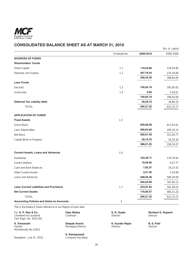

# **CONSOLIDATED BALANCE SHEET AS AT MARCH 31, 2010**

|                                                                   |              |           | (Rs. in Lakhs) |
|-------------------------------------------------------------------|--------------|-----------|----------------|
|                                                                   | Schedule No. | 2009-2010 | 2008-2009      |
| <b>SOURCES OF FUNDS</b>                                           |              |           |                |
| <b>Shareholders' Funds</b>                                        |              |           |                |
| Share Capital                                                     | 1.1          | 118,54.86 | 118,54.86      |
| Reserves and Surplus                                              | 1.2          | 307,78.54 | 270,29.80      |
|                                                                   |              | 426,33.40 | 388,84.66      |
| <b>Loan Funds</b>                                                 |              |           |                |
| Secured                                                           | 1.3          | 100,64.19 | 392,45.05      |
| Unsecured                                                         | 1.4          | 0.00      | 5,59.01        |
|                                                                   |              | 100,64.19 | 398,04.06      |
| <b>Deferred Tax Liability (Net)</b>                               |              | 39,29.73  | 36,86.55       |
| <b>TOTAL</b>                                                      |              | 566,27.32 | 823,75.27      |
| <b>APPLICATION OF FUNDS</b>                                       |              |           |                |
| <b>Fixed Assets</b>                                               | 1.5          |           |                |
| <b>Gross Block</b>                                                |              | 656,66.09 | 611,83.91      |
| Less: Depreciation                                                |              | 296,64.60 | 290,19.14      |
| Net Block                                                         |              | 360,01.49 | 321,64.77      |
| Capital Work-in-Progress                                          |              | 28,19.76  | 16,59.30       |
|                                                                   |              | 388,21.25 | 338,24.07      |
| <b>Current Assets, Loans and Advances</b>                         | 1.6          |           |                |
| Inventories                                                       |              | 163,36.71 | 170,78.94      |
| <b>Sundry Debtors</b>                                             |              | 19,56.85  | 9,37.77        |
| Cash and Bank Balances                                            |              | 7,83.37   | 16,23.42       |
| <b>Other Current Assets</b>                                       |              | 3,21.46   | 2,19.99        |
| Loans and Advances                                                |              | 308,05.30 | 589,29.09      |
|                                                                   |              | 502,03.69 | 787,89.21      |
| Less: Current Liabilities and Provisions                          | 1.7          | 323,97.62 | 302,38.01      |
| <b>Net Current Assets</b>                                         |              | 178,06.07 | 485,51.20      |
| <b>TOTAL</b>                                                      |              | 566,27.32 | 823,75.27      |
| <b>Accounting Policies and Notes on Accounts</b>                  | 3            |           |                |
| This is the Balance Sheet referred to in our Report of even date. |              |           |                |

For **K. P. Rao & Co. Vijay Mallya S. R. Gupte** Shrikant G. Ruparel Chartered Accountants Chairman Chairman Director **Shrikant G. Ruparel** Chartered Accountants Firm Regn. No. 003135S

**K. Viswanath Deepak Anand N. Sunder Rajan B. S. Patil Managing Director** 

**S. Ramaprasad**<br>Company Secretary

Bangalore : July 21, 2010

Membership No.22812

36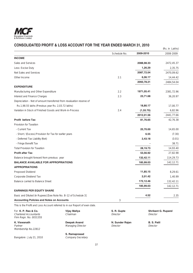

# **CONSOLIDATED PROFIT & LOSS ACCOUNT FOR THE YEAR ENDED MARCH 31, 2010**

|                                                                      | U AUUUUNI I UILIIIL IL                                                      |                         |            | (Rs. in Lakhs)             |
|----------------------------------------------------------------------|-----------------------------------------------------------------------------|-------------------------|------------|----------------------------|
|                                                                      |                                                                             | Schedule No.            | 2009-2010  | 2008-2009                  |
| <b>INCOME</b>                                                        |                                                                             |                         |            |                            |
| Sales and Services                                                   |                                                                             |                         | 2088,98.33 | 2472,45.37                 |
| Less: Excise Duty                                                    |                                                                             |                         | 1,26.29    | 2,35.75                    |
| Net Sales and Services                                               |                                                                             |                         | 2087,72.04 | 2470,09.62                 |
| Other Income                                                         |                                                                             | 2.1                     | 6,06.17    | 14,44.42                   |
|                                                                      |                                                                             |                         | 2093,78.21 | 2484,54.04                 |
| <b>EXPENDITURE</b>                                                   |                                                                             |                         |            |                            |
| Manufacturing and Other Expenditure                                  |                                                                             | 2.2                     | 1971,05.41 | 2381,72.96                 |
| Interest and Finance Charges                                         |                                                                             | 2.3                     | 23,71.68   | 36,20.97                   |
| Depreciation - Net of amount transferred from revaluation reserve of |                                                                             |                         |            |                            |
| Rs.1,98.55 lakhs (Previous year Rs. 2,03.72 lakhs)                   |                                                                             |                         | 18,80.17   | 17,00.77                   |
| Variation in Stock of Finished Goods and Work-in-Process             |                                                                             | 2.4                     | (1,55.70)  | 6,82.96                    |
|                                                                      |                                                                             |                         | 2012,01.56 | 2441,77.66                 |
| <b>Profit before Tax</b>                                             |                                                                             |                         | 81,76.65   | 42,76.38                   |
| Provision for Taxation                                               |                                                                             |                         |            |                            |
| - Current Tax                                                        |                                                                             |                         | 25,70.00   | 14,65.00                   |
| - Short / (Excess) Provision for Tax for earlier years               |                                                                             |                         | 6.55       | (7.30)                     |
| - Deferred Tax Liability (Net)                                       |                                                                             |                         | 2,43.18    | (3.01)                     |
| - Fringe Benefit Tax                                                 |                                                                             |                         |            | 38.71                      |
| <b>Total Provision for Taxation</b>                                  |                                                                             |                         | 28,19.73   | 14,93.40                   |
| <b>Profit after Tax</b>                                              |                                                                             |                         | 53,56.92   | 27,82.98                   |
| Balance brought forward from previous year                           |                                                                             |                         | 132,42.11  | 114,29.73                  |
| <b>BALANCE AVAILABLE FOR APPROPRIATIONS</b>                          |                                                                             |                         | 185,99.03  | 142,12.71                  |
| <b>APPROPRIATIONS</b>                                                |                                                                             |                         |            |                            |
| Proposed Dividend                                                    |                                                                             |                         | 11,85.15   | 8,29.61                    |
| Corporate Dividend Tax                                               |                                                                             |                         | 2,01.42    | 1,40.99                    |
| Balance carried to Balance Sheet                                     |                                                                             |                         | 172,12.46  | 132,42.11                  |
|                                                                      |                                                                             |                         | 185,99.03  | 142,12.71                  |
| <b>EARNINGS PER EQUITY SHARE</b>                                     |                                                                             |                         |            |                            |
| Basic and Diluted (in Rupees) [See Note No. B-12 of Schedule 3]      |                                                                             |                         | 4.52       | 2.35                       |
| <b>Accounting Policies and Notes on Accounts</b>                     |                                                                             | 3                       |            |                            |
|                                                                      | This is the Profit and Loss Account referred to in our Report of even date. |                         |            |                            |
| For K. P. Rao & Co.<br><b>Chartered Accountants</b>                  | Vijay Mallya<br>Chairman                                                    | S. R. Gupte<br>Director | Director   | <b>Shrikant G. Ruparel</b> |

**K. Viswanath B. S. Patil Deepak Anand N. Sunder Rajan B. S. Patil Partner Construction Construction Construction**<br>Partner Director Director Director Director Membership No.22812

Firm Regn. No. 003135S

Bangalore : July 21, 2010

Managing Director

**S. Ramaprasad**<br>Company Secretary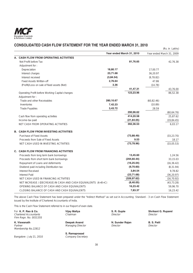

# **CONSOLIDATED CASH FLOW STATEMENT FOR THE YEAR ENDED MARCH 31, 2010**

|    |                                                                |           |                           |                           | (Rs. in Lakhs) |
|----|----------------------------------------------------------------|-----------|---------------------------|---------------------------|----------------|
|    |                                                                |           | Year ended March 31, 2010 | Year ended March 31, 2009 |                |
| А. | <b>CASH FLOW FROM OPERATING ACTIVITIES</b>                     |           |                           |                           |                |
|    | Net Profit before Tax                                          |           | 81,76.65                  |                           | 42.76.38       |
|    | Adjustment for:                                                |           |                           |                           |                |
|    | Depreciation                                                   | 18,80.17  |                           | 17,00.77                  |                |
|    | Interest charges                                               | 23,71.68  |                           | 36,20.97                  |                |
|    | Interest received                                              | (3,84.54) |                           | (9, 78.82)                |                |
|    | <b>Fixed Assets Written-off</b>                                | 2,76.64   |                           | 47.86                     |                |
|    | (Profit)/Loss on sale of fixed assets (Net)                    | 3.36      |                           | (14.78)                   |                |
|    |                                                                |           | 41,47.31                  |                           | 43,76.00       |
|    | Operating Profit before Working Capital changes                |           | 123,23.96                 |                           | 86,52.38       |
|    | Adjustment for:                                                |           |                           |                           |                |
|    | Trade and other Receivables                                    | 280,10.67 |                           | (60, 82.46)               |                |
|    | Inventories                                                    | 7,42.23   |                           | (10.89)                   |                |
|    | <b>Trade Payables</b>                                          | 3,43.72   |                           | 28.59                     |                |
|    |                                                                |           | 290,96.62                 |                           | (60, 64.76)    |
|    | Cash flow from operating activities                            |           | 414,20.58                 |                           | 25,87.62       |
|    | Income-tax paid                                                |           | (21, 84.05)               |                           | (19, 84.45)    |
|    | NET CASH FROM OPERATING ACTIVITIES                             |           | 392,36.53                 |                           | 6.03.17        |
|    | <b>B. CASH FLOW FROM INVESTING ACTIVITIES</b>                  |           |                           |                           |                |
|    | Purchase of Fixed Assets                                       |           | (73, 88.49)               |                           | (33, 23.70)    |
|    | Proceeds from Sale of Fixed Assets                             |           | 9.53                      |                           | 18.17          |
|    | NET CASH USED IN INVESTING ACTIVITIES                          |           | (73, 78.96)               |                           | (33,05.53)     |
|    | C. CASH FLOW FROM FINANCING ACTIVITIES                         |           |                           |                           |                |
|    | Proceeds from long term bank borrowings                        |           | 13,45.60                  |                           | 1,24.56        |
|    | Proceeds from short term bank borrowings                       |           | (294, 60.44)              |                           | 33,15.03       |
|    | Repayment of Loans and deferments                              |           | (16, 25.04)               |                           | (16, 36.42)    |
|    | Dividend paid including Distribution tax                       |           | (9,70.60)                 |                           | (8, 31.94)     |
|    | Interest Received                                              |           | 3,84.54                   |                           | 9.78.82        |
|    | <b>Interest Paid</b>                                           |           | (23, 71.68)               |                           | (36, 20.97)    |
|    | NET CASH USED IN FINANCING ACTIVITIES                          |           | (326, 97.62)              |                           | (16, 70.92)    |
|    | NET INCREASE / (DECREASE) IN CASH AND CASH EQUIVALENTS (A+B+C) |           | (8, 40.05)                |                           | (43, 73.28)    |
|    | OPENING BALANCE OF CASH AND CASH EQUIVALENTS                   |           | 16,23.42                  |                           | 59,96.70       |
|    | CLOSING BALANCE OF CASH AND CASH EQUIVALENTS                   |           | 7,83.37                   |                           | 16,23.42       |

The above Cash Flow Statement has been prepared under the "Indirect Method" as set out in Accounting Standard - 3 on Cash Flow Statement issued by the Institute of Chartered Accountants of India.

This is the Cash Flow Statement referred to in our Report of even date.

| For K. P. Rao & Co.<br><b>Chartered Accountants</b><br>Firm Regn. No. 003135S | Vijay Mallya<br>Chairman                 | S. R. Gupte<br>Director     | Shrikar<br>Director              |  |
|-------------------------------------------------------------------------------|------------------------------------------|-----------------------------|----------------------------------|--|
| K. Viswanath<br>Partner<br>Membership No.22812                                | Deepak Anand<br><b>Managing Director</b> | N. Sunder Rajan<br>Director | B. S. P <sub>5</sub><br>Director |  |

Bangalore : July 21, 2010

**S. Ramaprasad**<br>Company Secretary

**N. Sunder Rajan B. S. Patil**<br>Director Director

**S. R. Gupte 6 8 Shrikant G. Ruparel Director**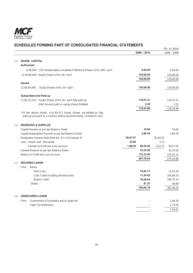

|     |                                                                                                                                                  |          |                      |          | (Rs. in Lakhs)         |
|-----|--------------------------------------------------------------------------------------------------------------------------------------------------|----------|----------------------|----------|------------------------|
|     |                                                                                                                                                  |          | $2009 - 2010$        |          | $2008 - 2009$          |
| 1.1 | <b>SHARE CAPITAL</b>                                                                                                                             |          |                      |          |                        |
|     | <b>Authorised</b>                                                                                                                                |          |                      |          |                        |
|     | 6.00.000 13% Redeemable Cumulative Preference Shares of Rs.100/- each                                                                            |          | 6,00.00              |          | 6.00.00                |
|     | 12,40,00,000 Equity Shares of Rs.10/- each                                                                                                       |          | 124,00.00            |          | 124,00.00              |
|     |                                                                                                                                                  |          | 130,00.00            |          | 130,00.00              |
|     | <b>Issued</b>                                                                                                                                    |          |                      |          |                        |
|     | Equity Shares of Rs.10/- each<br>12,00,00,044                                                                                                    |          | 120,00.00            |          | 120,00.00              |
|     | <b>Subscribed and Paid-up</b>                                                                                                                    |          |                      |          |                        |
|     | 11,85,15,150 * Equity Shares of Rs.10/- each fully paid up                                                                                       |          | 118,51.51            |          | 118,51.51              |
|     | Add: Amount paid on equity shares forfeited                                                                                                      |          | 3.35                 |          | 3.35                   |
|     |                                                                                                                                                  |          | 118,54.86            |          | 118,54.86              |
|     | * Of the above shares, 4,41,95,473 Equity Shares are allotted as fully<br>paid-up pursuant to a contract without payment being received in cash. |          |                      |          |                        |
| 1.2 | <b>RESERVES &amp; SURPLUS</b>                                                                                                                    |          |                      |          |                        |
|     | Capital Reserve as per last Balance Sheet                                                                                                        |          | 16.84                |          | 16.84                  |
|     | Capital Redemption Reserve as per last Balance Sheet                                                                                             |          | 4,80.78              |          | 4,80.78                |
|     | Revaluation Reserve [See Note No. B-5 of Schedule 3]                                                                                             | 90,57.07 |                      | 92,64.51 |                        |
|     | Less: Assets sold / discarded                                                                                                                    | 23.06    |                      | 3.72     |                        |
|     | Transfer to Profit and Loss Account                                                                                                              | 1,98.55  | 88,35.46             | 2,03.72  | 90,57.07               |
|     | General Reserve as per last Balance Sheet                                                                                                        |          | 42,33.00             |          | 42,33.00               |
|     | Balance in Profit and Loss Account                                                                                                               |          | 172,12.46            |          | 132,42.11              |
|     |                                                                                                                                                  |          | 307,78.54            |          | 270,29.80              |
| 1.3 | <b>SECURED LOANS</b>                                                                                                                             |          |                      |          |                        |
|     | From: Banks                                                                                                                                      |          |                      |          |                        |
|     | Term Loan                                                                                                                                        |          | 18,22.17             |          | 15.42.59               |
|     | Cash Credit including demand loans<br><b>Buyers Credit</b>                                                                                       |          | 11,24.02<br>70,26.63 |          | 186,68.23<br>189,75.54 |
|     | Others                                                                                                                                           |          | 91.37                |          | 58.69                  |
|     |                                                                                                                                                  |          | 100,64.19            |          | 392,45.05              |
| 1.4 | <b>UNSECURED LOANS</b>                                                                                                                           |          |                      |          |                        |
|     | From: Government of Karnataka and its Agencies                                                                                                   |          |                      |          | 2,84.36                |
|     | Sales Tax Deferment                                                                                                                              |          |                      |          | 2,74.65                |
|     |                                                                                                                                                  |          |                      |          | 5,59.01                |
|     |                                                                                                                                                  |          |                      |          |                        |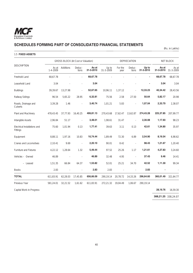

(Rs. in Lakhs)

| 1.5 FIXED ASSETS                         |                         |           |                                           |                    |                    |                     |                 |                    |                    |                    |  |
|------------------------------------------|-------------------------|-----------|-------------------------------------------|--------------------|--------------------|---------------------|-----------------|--------------------|--------------------|--------------------|--|
|                                          |                         |           | <b>GROSS BLOCK (At Cost or Valuation)</b> |                    |                    | <b>DEPRECIATION</b> |                 |                    |                    | NET BLOCK          |  |
| <b>DESCRIPTION</b>                       | As at<br>$1 - 4 - 2009$ | Additions | Deduc-<br>tions                           | As at<br>31-3-2010 | Up to<br>31-3-2009 | For the<br>year     | Deduc-<br>tions | Up to<br>31-3-2010 | As at<br>31-3-2010 | As at<br>31-3-2009 |  |
| Freehold Land                            | 68,67.78                |           |                                           | 68,67.78           |                    |                     |                 | $\blacksquare$     | 68,67.78           | 68,67.78           |  |
| Leasehold Land                           | 3.04                    |           |                                           | 3.04               |                    |                     |                 |                    | 3.04               | 3.04               |  |
| <b>Buildings</b>                         | 39,39.67                | 13,27.98  |                                           | 52,67.65           | 10,96.11           | 1,37.12             |                 | 12,33.23           | 40,34.42           | 28,43.56           |  |
| Railway Sidings                          | 96.54                   | 5,65.22   | 28.95                                     | 6,32.81            | 75.56              | 2.58                | 27.50           | 50.64              | 5,82.17            | 20.98              |  |
| Roads, Drainage and<br>Culverts          | 3,39.28                 | 1.46      |                                           | 3,40.74            | 1,01.21            | 5.83                |                 | 1,07.04            | 2,33.70            | 2,38.07            |  |
| Plant and Machinery                      | 478,43.45               | 37,77.93  | 16,40.25                                  | 499,81.13          | 270,43.68          | 17,62.47            | 13,62.87        | 274,43.28          | 225,37.85          | 207,99.77          |  |
| Intangible Assets                        | 2,96.84                 | 51.17     |                                           | 3,48.01            | 1,98.61            | 31.47               |                 | 2,30.08            | 1,17.93            | 98.23              |  |
| Electrical Installations and<br>Fittings | 75.60                   | 1,01.94   | 0.13                                      | 1,77.41            | 39.63              | 3.11                | 0.13            | 42.61              | 1,34.80            | 35.97              |  |
| Equipment                                | 8,88.11                 | 1,97.16   | 10.83                                     | 10,74.44           | 1,89.49            | 72.30               | 6.89            | 2,54.90            | 8,19.54            | 6,98.62            |  |
| Cranes and Locomotives                   | 2,10.41                 | 9.69      | ÷,                                        | 2,20.10            | 90.01              | 8.42                | L.              | 98.43              | 1,21.67            | 1,20.40            |  |
| Furniture and Fixtures                   | 4,22.12                 | 1,28.64   | 1.32                                      | 5,49.44            | 97.52              | 25.26               | 1.17            | 1,21.61            | 4,27.83            | 3,24.60            |  |
| Vehicles - Owned                         | 46.89                   |           |                                           | 46.89              | 32.48              | 4.95                | ÷,              | 37.43              | 9.46               | 14.41              |  |
| - Leased                                 | 1,51.35                 | 66.84     | 64.37                                     | 1,53.82            | 52.01              | 25.21               | 34.70           | 42.52              | 1,11.30            | 99.34              |  |
| <b>Books</b>                             | 2.83                    |           |                                           | 2.83               | 2.83               |                     |                 | 2.83               |                    |                    |  |
| <b>TOTAL</b>                             | 611,83.91               | 62,28.03  | 17,45.85                                  | 656,66.09          | 290,19.14          | 20,78.72            | 14,33.26        | 296,64.60          | 360,01.49          | 321,64.77          |  |
| Previous Year                            | 581,24.01               | 32,21.52  | 1,61.62                                   | 611,83.91          | 272,21.32          | 19,04.49            | 1,06.67         | 290,19.14          |                    |                    |  |

Capital Work-in-Progress **28,19.76** 16,59.30

**388,21.25** 338,24.07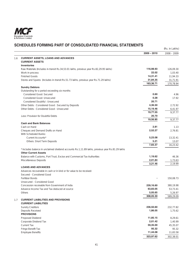

|     |                                                                                                                                 |                   | (Rs. in Lakhs) |
|-----|---------------------------------------------------------------------------------------------------------------------------------|-------------------|----------------|
|     |                                                                                                                                 | $2009 - 2010$     | $2008 - 2009$  |
| 1.6 | <b>CURRENT ASSETS, LOANS AND ADVANCES</b>                                                                                       |                   |                |
|     | <b>CURRENT ASSETS</b>                                                                                                           |                   |                |
|     | <b>Inventories</b>                                                                                                              |                   |                |
|     | Raw Materials (Includes in-transit Rs.34,53.01 lakhs, previous year Rs.82,29.95 lakhs)                                          | 116,98.93         | 126,09.30      |
|     | Work-in-process                                                                                                                 | 22.02             | 1,03.40        |
|     | <b>Finished Goods</b>                                                                                                           | 14,31.41          | 11,94.33       |
|     | Stores and Spares (Includes in-transit Rs.51.73 lakhs, previous year Rs.71.29 lakhs)                                            | 31,84.35          | 31,71.91       |
|     |                                                                                                                                 | 163,36.71         | 170,78.94      |
|     | <b>Sundry Debtors</b>                                                                                                           |                   |                |
|     | Outstanding for a period exceeding six months                                                                                   |                   |                |
|     | Considered Good: Secured                                                                                                        | 0.60              | 4.96           |
|     | Considered Good: Unsecured                                                                                                      | 0.28              | 17.92          |
|     | Considered Doubtful: Unsecured                                                                                                  | 20.71             |                |
|     | Other Debts: Considered Good: Secured by Deposits                                                                               | 4,36.50           | 2,72.92        |
|     | Other Debts: Considered Good: Unsecured                                                                                         | 15,19.46          | 6,41.97        |
|     |                                                                                                                                 | 19,77.55<br>20.70 | 9,37.77        |
|     | Less: Provision for Doubtful Debts                                                                                              | 19,56.85          | 9.37.77        |
|     | <b>Cash and Bank Balances</b>                                                                                                   |                   |                |
|     | Cash on Hand                                                                                                                    | 2.81              | 1.13           |
|     | Cheques and Demand Drafts on Hand                                                                                               | 2,52.27           | 2.76.81        |
|     | With Scheduled Banks:                                                                                                           |                   |                |
|     | Current Accounts*                                                                                                               | 5,23.08           | 13,32.41       |
|     | Others: Short Term Deposits                                                                                                     | 5.21              | 13.07          |
|     |                                                                                                                                 | 7,83.37           | 16,23.42       |
|     |                                                                                                                                 |                   |                |
|     | * Includes balance in unclaimed dividend accounts Rs.1,11.89 lakhs, previous year Rs.81.29 lakhs<br><b>Other Current Assets</b> |                   |                |
|     | Balance with Customs, Port Trust, Excise and Commercial Tax Authorities                                                         | 1,19.62           | 46.36          |
|     | Miscellaneous Deposits                                                                                                          | 2,01.84           | 1,73.63        |
|     |                                                                                                                                 | 3,21.46           | 2,19.99        |
|     | <b>LOANS AND ADVANCES</b>                                                                                                       |                   |                |
|     | Advances recoverable in cash or in kind or for value to be received:                                                            |                   |                |
|     | Secured - Considered Good                                                                                                       |                   |                |
|     | <b>Fertilizer Bonds</b>                                                                                                         |                   | 150,08.73      |
|     | Unsecured - Considered Good                                                                                                     |                   |                |
|     | Concession receivable from Government of India                                                                                  | 239,16.60         | 380,19.98      |
|     | Advance Income Tax and Tax deduced at source                                                                                    | 63,83.05          | 53,73.41       |
|     | Others                                                                                                                          | 5,05.65           | 5,26.97        |
|     |                                                                                                                                 | 308,05.30         | 589,29.09      |
| 1.7 | <b>CURRENT LIABILITIES AND PROVISIONS</b>                                                                                       |                   |                |
|     | <b>CURRENT LIABILITIES</b>                                                                                                      |                   |                |
|     | <b>Sundry Creditors</b>                                                                                                         | 236,50.60         | 232,77.82      |
|     | Deposits Received                                                                                                               | 1,86.05           | 1,75.62        |
|     | <b>PROVISIONS</b>                                                                                                               |                   |                |
|     | Proposed Dividend                                                                                                               | 11,85.15          | 8,29.61        |
|     | Corporate Dividend Tax                                                                                                          | 2,01.42           | 1,40.99        |
|     | <b>Current Tax</b>                                                                                                              | 59,35.00          | 45,35.07       |
|     | Fringe Benefit Tax                                                                                                              | 95.32             | 95.32          |
|     | <b>Employee Benefits</b>                                                                                                        | 11,44.08          | 11,83.58       |
|     |                                                                                                                                 | 323,97.62         | 302,38.01      |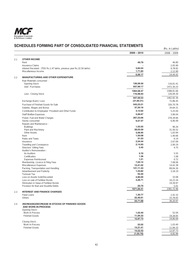

|     | ILDULLƏ FUNIMING FANT UF<br><b>CONSOLIDATED FINANCIAL STATEMENTS</b>          |                        | (Rs. in Lakhs)          |
|-----|-------------------------------------------------------------------------------|------------------------|-------------------------|
|     |                                                                               | $2009 - 2010$          | $2008 - 2009$           |
| 2.1 | <b>OTHER INCOME</b>                                                           |                        |                         |
|     | Rent                                                                          | 49.79                  | 46.80                   |
|     | <b>Insurance Claims</b>                                                       |                        | 2,05.90                 |
|     | Interest Received - (TDS Rs.1.47 lakhs, previous year Rs.32.56 lakhs)         | 3,84.54                | 9,78.82                 |
|     | Miscellaneous Income                                                          | 1,71.84                | 2,12.90                 |
|     |                                                                               | 6,06.17                | 14,44.42                |
| 2.2 | <b>MANUFACTURING AND OTHER EXPENDITURE</b>                                    |                        |                         |
|     | Raw Materials consumed :                                                      |                        |                         |
|     | Opening Stock<br>Add: Purchases                                               | 126,09.30<br>937,99.17 | 116,61.41<br>1472,30.25 |
|     |                                                                               |                        |                         |
|     |                                                                               | 1064,08.47             | 1588,91.66              |
|     | Less : Closing Stock                                                          | 116,98.93              | 126,09.30               |
|     |                                                                               | 947,09.54              | 1462,82.36              |
|     | Exchange (Gain) / Loss                                                        | (31,60.31)             | 72,86.45                |
|     | Purchase of Finished Goods for Sale                                           | 543,23.21              | 326,70.78               |
|     | Salaries, Wages and Bonus                                                     | 37,20.16               | 34,64.31                |
|     | Contribution to Employees' Provident and Other Funds                          | 3,12.62                | 5,25.04                 |
|     | <b>Staff Welfare Expenses</b>                                                 | 5,06.67                | 3,96.04                 |
|     | Power, Fuel and Water Charges                                                 | 267,23.06              | 278,39.66               |
|     | Stores consumed                                                               | 9,57.47                | 6,90.49                 |
|     | Repairs and Maintenance:                                                      |                        |                         |
|     | <b>Buildings</b>                                                              | 1,55.55                | 96.26                   |
|     | Plant and Machinery                                                           | 28,03.59               | 31,56.52                |
|     | Other Assets                                                                  | 3,06.95                | 1,63.94                 |
|     | Rent                                                                          | 1,50.08                | 1.40.66                 |
|     | Rates and Taxes                                                               | 31.53                  | 6.14                    |
|     | Insurance                                                                     | 2,54.44                | 2,67.69                 |
|     | Travelling and Conveyance                                                     | 2,14.93<br>5.45        | 2,00.19                 |
|     | Directors' Sitting Fees<br>Auditor's Remuneration :                           |                        | 4.75                    |
|     | As Auditors                                                                   | 5.70                   | 5.55                    |
|     | Certification                                                                 | 1.36                   | 1.08                    |
|     | <b>Expenses Reimbursed</b>                                                    | 1.21                   | 0.72                    |
|     | Membership, Licence & Filing Fees                                             | 7,03.12                | 7,08.06                 |
|     | Miscellaneous Expenses                                                        | 13,41.02               | 14,42.38                |
|     | Packing, Transportation and Handling                                          | 121,11.33              | 89,04.30                |
|     | Advertisement and Publicity                                                   | 1,43.82                | 3,18.19                 |
|     | <b>Turnover Tax</b>                                                           | 55.50                  |                         |
|     | Loss on Assets Sold/Discarded                                                 | 2,80.00<br>4,26.71     | 33.08                   |
|     | Loss on sale of Fertilizer Bonds<br>Diminution in Value of Fertilizer Bonds   |                        | 16,23.34<br>19,39.97    |
|     | Provision for Bad and Doubtful Debts                                          | 20.70                  | 5.01                    |
|     |                                                                               | 1971,05.41             | 2381,72.96              |
| 2.3 | <b>INTEREST AND FINANCE CHARGES</b>                                           |                        |                         |
|     | <b>Fixed Loans</b>                                                            | 1,30.77                | 2,42.32                 |
|     | Others                                                                        | 22,40.91               | 33,78.65                |
|     |                                                                               | 23,71.68               | 36,20.97                |
| 2.4 | (INCREASE)/DECREASE IN STOCKS OF FINISHED GOODS<br><b>AND WORK-IN-PROCESS</b> |                        |                         |
|     | Opening Stock:                                                                |                        |                         |
|     | Work-in-Process<br><b>Finished Goods</b>                                      | 1,03.40<br>11,94.33    | 52.04                   |
|     |                                                                               | 12,97.73               | 19,28.65<br>19,80.69    |
|     | Closing Stock:                                                                |                        |                         |
|     | Work-in-Process                                                               | 22.02                  | 1,03.40                 |
|     | <b>Finished Goods</b>                                                         | 14,31.41               | 11,94.33                |
|     |                                                                               | 14,53.43               | 12,97.73                |
|     |                                                                               | (1,55.70)              | 6,82.96                 |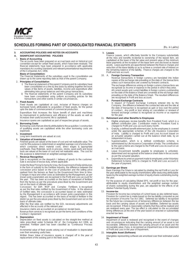

### **3. ACCOUNTING POLICIES AND NOTES ON ACCOUNTS**

# **A. SIGNIFICANT ACCOUNTING POLICIES**

## 1. **Basis of Accounting**

The accounts have been prepared on accrual basis and on historical cost<br>convention except for certain fixed assets, which have been revalued. The<br>financial statements have been prepared in accordance with applicable<br>mandat

#### **Basis of Consolidation:**

 The Financial Statements of the subsidiary used in the consolidation are drawn up to the same reporting date as that of the parent Company.

#### 2. **Principles of Consolidation**

- i) The financial statement of the parent Company and its subsidiary have been consolidated on a line by line basis by adding together the book values of like items of assets, liabilities, income and expenditure after
- eliminating intra group balances and intra group transactions. ii) The financial statements of the parent Company and its subsidiary have been consolidated using uniform accounting policies for like transactions and other events in similar circumstances.

#### 3. **Fixed Assets**

 Fixed Assets are capitalised at cost, inclusive of finance charges on borrowed funds attributable to acquisition of fixed assets, for the period upto the date of commencement of commercial production.

Expenditure that increases the future benefit of plant and machinery by improvement in performance and efficiency of the assets as well as increases their useful economic life is capitalised.

Insurance spares are capitalised as part of respective groups of assets.

### 4. **Borrowing Costs**

 Borrowing costs that are directly attributable to the acquisition / construction of qualifying assets are capitalised while the other borrowing costs are expensed.

#### 5. **Investment**

Long term investments are valued at cost.

### 6. **Valuation of Inventories**

 Finished goods are valued at the lower of cost and net realisable value. The cost for this purpose is determined on weighted average cost of production, which comprises direct material costs, direct wages & appropriate overheads. Raw Materials, work-in-process, stores, spare parts and loose tools are valued at the lower of cost and net realisable value. The cost for this purpose is determined on weighted average basis.

#### 7. **Revenue Recognition**

Sale is recognised on the despatch / delivery of goods to the customer. Sale is exclusive of excise duty, where applicable.

 Under the New Pricing Scheme for Urea, the Government of India reimburses in the form of subsidy to the Fertilizer Industry, the difference between the concession price based on the cost of production and the selling price realised from the farmers as fixed by the Government from time to time. Changes in input and other costs as estimated by the Management, as per known policy parameters are recognised in the Profit and Loss account for the year. This has been accounted on the basis of movement of fertilizer from the factory as per the procedure prescribed by the Government and not on the basis of ultimate sales.

 Concession for DAP, MOP and Complex Fertilizers is recognised as per the final rates notified by the Government of India. In the absence of notified rates, the concession is accounted based on rates estimated by the Management in accordance with known policy parameters in this regard. This has been accounted on the basis of receipt of fertilizer in the district as per the procedure prescribed by the Government and not on the basis of ultimate sales.

 After the final rates are notified by the GOI, necessary adjustments are effected in the accounts of the relevant year.

 Insurance claims are accounted on acceptance/ receipt basis. Revenue from services is recognised as per the terms and conditions of the Contract / Agreement

#### 8. **Depreciation**

 Depreciation on fixed assets is calculated on the straight-line method at rates prescribed under Schedule XIV of the Companies Act 1956, as amended. Fertilizer plant has been classified as 'Continuous Process Plant'.

Incremental value of fixed assets arising out of revaluation is depreciated over their remaining useful lives.

Written Down Value of insurance spares is charged off in the year of replacement of the existing part in the fixed asset.

9. **Leases** Finance Leases, which effectively transfer to the Company substantially all the risks and benefits incidental to ownership of the leased item, are capitalised at the lower of the fair value and present value of the minimum lease payments at the inception of the lease term and disclosed as leased assets. Lease payments are apportioned between the finance charges and reduction of the lease liability so as to achieve a constant rate of interest on the remaining balance of the liability. Finance charges are charged to the Profit and loss account.

#### 10. A. **Foreign Currency Transaction**

Revenue transactions in foreign currency are translated into Indian rupees at the exchange rate prevailing on the date of the transactions unless such transactions are covered by forward contracts.

 The exchange differences arising on foreign currency transactions are recognised as income or expense in the period in which they arise. All current assets and current liabilities in foreign currency outstanding

on the date of the Balance Sheet are converted at the exchange rates prevailing on the date of the Balance Sheet. The resultant differences are recognised in Profit and loss account.

### B. **Forward Exchange Contracts**

 In respect of Forward Exchange Contracts entered into by the Company, the difference between the contracted rate and the rate at the date of transaction is recognised as gain or loss over the period of contract. Any profit or loss arising on cancellation or renewal of forward exchange contract is recognised as income or as expense for the year.

#### 11. Retirement and other Benefits to Employees

- a. Eligible employees receive benefits from Provident Fund, which is a defined contribution plan. Contribution made to Provident Fund is charged to Profit and Loss account every month.
- b. Gratuity, a defined benefit retirement plan, to the employees is covered under the appropriate schemes of the Life Insurance Corporation of India. Liability is charged to Profit and Loss Account based on an actuarial valuation carried out at the balance sheet date, by an independent Actuary.
	- c. Superannuation, which is a defined contribution scheme, is administered by Life Insurance Corporation of India. The contributions to the said scheme are charged to the Profit and Loss Account on an accrual basis.
- d. Leave Encashment benefits payable to employees is unfunded, determined and recognised at the balance sheet date in the accounts as per the actuarial valuation.
- e. Expenditure incurred on payment made to employees under Voluntary Retirement Scheme (VRS) is charged to Profit and Loss account in the year of payment.

#### 12. **Earnings per Share**

 Basic Earnings Per Share is calculated by dividing the net Profit or Loss for the year attributable to the equity shareholders (after deducting attributable taxes) by the weighted average number of equity shares outstanding during the year.

 For the purpose of calculating Diluted EPS, net profit or loss for the year, attributable to equity shareholders and the weighted average number of shares outstanding during the year, are adjusted for the effects of all dilutive Potential Equity Shares.

#### 13. **Income-tax**

 Provision for income-tax comprises of current taxes as also deferred taxes. Provision for current tax is made based on the tax liability computed as per<br>the provision of Income Tax Act 1961. Deferred tax liability is recognised<br>for the future tax consequences of temporary differences between the t basis and the carrying values of assets and liabilities. Deferred tax assets are recognised if there is reasonable certainty that they will be realised and are reviewed every year. The tax effect is calculated on the accumulated timing differences at the end of the year based on enacted or substantially enacted tax laws.

### 14. **Impairment of Asset**

 Impairment of asset is reviewed and recognised in the event of changes and circumstances indicating that the carrying amount of an asset is not recoverable. Difference between the carrying amount of an asset and the recoverable value, if any, is recognised as impairment loss in the statement of Profit and Loss in the year of impairment.

### 15. **Intangible Asset (Software)**

 Intangibles representing software are amortized over their estimated useful life.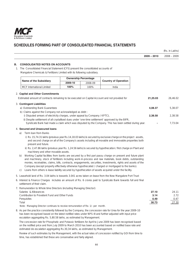

|                                                                                                                                                                                                                                                                                                              |         |                             |                                                                                                                                                                                                                                                                                                                                                                                                                                                                                                                                                      |               | (Rs. in Lakhs) |
|--------------------------------------------------------------------------------------------------------------------------------------------------------------------------------------------------------------------------------------------------------------------------------------------------------------|---------|-----------------------------|------------------------------------------------------------------------------------------------------------------------------------------------------------------------------------------------------------------------------------------------------------------------------------------------------------------------------------------------------------------------------------------------------------------------------------------------------------------------------------------------------------------------------------------------------|---------------|----------------|
|                                                                                                                                                                                                                                                                                                              |         |                             |                                                                                                                                                                                                                                                                                                                                                                                                                                                                                                                                                      | $2009 - 2010$ | $2008 - 2009$  |
| <b>CONSOLIDATED NOTES ON ACCOUNTS</b><br>1. The Consolidated Financial Statement (CFS) present the consolidated accounts of<br>Mangalore Chemicals & Fertilizers Limited with its following subsidiary.                                                                                                      |         |                             |                                                                                                                                                                                                                                                                                                                                                                                                                                                                                                                                                      |               |                |
|                                                                                                                                                                                                                                                                                                              |         | <b>Ownership Percentage</b> |                                                                                                                                                                                                                                                                                                                                                                                                                                                                                                                                                      |               |                |
| <b>Name of the Subsidiary</b>                                                                                                                                                                                                                                                                                | 2009-10 | 2008-09                     | <b>Country of Operation</b>                                                                                                                                                                                                                                                                                                                                                                                                                                                                                                                          |               |                |
| <b>MCF</b> International Limited                                                                                                                                                                                                                                                                             | 100%    | 100%                        | India                                                                                                                                                                                                                                                                                                                                                                                                                                                                                                                                                |               |                |
| 2. Capital and Other Commitments                                                                                                                                                                                                                                                                             |         |                             |                                                                                                                                                                                                                                                                                                                                                                                                                                                                                                                                                      |               |                |
| Estimated amount of contracts remaining to be executed on Capital Account and not provided for                                                                                                                                                                                                               |         |                             |                                                                                                                                                                                                                                                                                                                                                                                                                                                                                                                                                      | 21,25.03      | 26,46.02       |
|                                                                                                                                                                                                                                                                                                              |         |                             |                                                                                                                                                                                                                                                                                                                                                                                                                                                                                                                                                      |               |                |
| 3. Contingent Liabilities<br>a) Outstanding Bank Guarantees                                                                                                                                                                                                                                                  |         |                             |                                                                                                                                                                                                                                                                                                                                                                                                                                                                                                                                                      | 4,08.37       | 5,38.07        |
| b) Claims against the Company not acknowledged as debt :                                                                                                                                                                                                                                                     |         |                             |                                                                                                                                                                                                                                                                                                                                                                                                                                                                                                                                                      |               |                |
| i) Disputed arrears of electricity charges, under appeal by Company / KPTCL                                                                                                                                                                                                                                  |         |                             |                                                                                                                                                                                                                                                                                                                                                                                                                                                                                                                                                      | 2,38.58       | 2,38.58        |
| ii) Despite settlement of all crystallised dues under 'one-time settlement' approved by the BIFR,                                                                                                                                                                                                            |         |                             |                                                                                                                                                                                                                                                                                                                                                                                                                                                                                                                                                      |               |                |
|                                                                                                                                                                                                                                                                                                              |         |                             | Syndicate Bank had made a claim which was disputed by the Company. This has been settled during year.                                                                                                                                                                                                                                                                                                                                                                                                                                                |               | 7,73.04        |
| 4. Secured and Unsecured Ioans                                                                                                                                                                                                                                                                               |         |                             |                                                                                                                                                                                                                                                                                                                                                                                                                                                                                                                                                      |               |                |
| Term loan from Banks<br>a)                                                                                                                                                                                                                                                                                   |         |                             |                                                                                                                                                                                                                                                                                                                                                                                                                                                                                                                                                      |               |                |
| present and future.                                                                                                                                                                                                                                                                                          |         |                             | i) Rs. 15,74.31 lakhs (previous year Rs.14,18.03 lakhs) is secured by exclusive charge on the project assets,<br>and second charge on all of the Company's assets including all movable and immovable properties both                                                                                                                                                                                                                                                                                                                                |               |                |
| machinery and other movable assets.                                                                                                                                                                                                                                                                          |         |                             | ii) Rs. 2,47.86 lakhs (previous year Rs. 1,24.56 lakhs) is secured by hypothecation / first charge on Plant and                                                                                                                                                                                                                                                                                                                                                                                                                                      |               |                |
| b)<br>C)                                                                                                                                                                                                                                                                                                     |         |                             | Working Capital facilities from banks are secured by a first pari passu charge on present and future plant<br>and machinery, stock of fertilizers including work-in-process and raw materials, book debts, outstanding<br>monies, receivables, claims, bills, contracts, engagements, securities, investments, rights and assets of the<br>Company (except property effectively otherwise hypothecated / charged or mortgaged to the banks).<br>Loans from others is lease liability secured by hypothecation of assets acquired under the facility. |               |                |
| 5. Leasehold land of Rs. 3.04 lakhs is towards 3.041 acres taken on lease from the New Mangalore Port Trust                                                                                                                                                                                                  |         |                             |                                                                                                                                                                                                                                                                                                                                                                                                                                                                                                                                                      |               |                |
| 6. Interest & Finance Charges includes an amount of Rs. 6 crores paid to Syndicate Bank towards full and final<br>settlement of their claim.                                                                                                                                                                 |         |                             |                                                                                                                                                                                                                                                                                                                                                                                                                                                                                                                                                      |               |                |
| 7. Remuneration to Whole time Directors (including Managing Director):                                                                                                                                                                                                                                       |         |                             |                                                                                                                                                                                                                                                                                                                                                                                                                                                                                                                                                      |               |                |
| Salaries & Allowances                                                                                                                                                                                                                                                                                        |         |                             |                                                                                                                                                                                                                                                                                                                                                                                                                                                                                                                                                      | 27.10         | 24.11          |
| Contribution to Provident Fund and Other Funds<br>Perquisites                                                                                                                                                                                                                                                |         |                             |                                                                                                                                                                                                                                                                                                                                                                                                                                                                                                                                                      | 3.14<br>0.49  | 2.72<br>0.47   |
| Total                                                                                                                                                                                                                                                                                                        |         |                             |                                                                                                                                                                                                                                                                                                                                                                                                                                                                                                                                                      | 30.73         | 27.30          |
| Note: Managing Director continues to receive remuneration of Re. 1/- per month.                                                                                                                                                                                                                              |         |                             |                                                                                                                                                                                                                                                                                                                                                                                                                                                                                                                                                      |               |                |
| 8. As per the practice consistently followed by the Company, the concession rate for Urea for the year 2009-10<br>has been recognised based on the latest notified rates under NPS-III and further adjusted with input price<br>escalation aggregating Rs. 5,80.58 lakhs, as estimated by Management.        |         |                             |                                                                                                                                                                                                                                                                                                                                                                                                                                                                                                                                                      |               |                |
| The concession rate for Phosphatic and Potassic fertilizers for April to June 2009 has been recognised based<br>on the notified price and from July 2009 to March 2010 has been accounted based on notified base rate and<br>estimated de-escalation aggregating Rs.30,34 lakhs, as estimated by Management. |         |                             |                                                                                                                                                                                                                                                                                                                                                                                                                                                                                                                                                      |               |                |
| Review of such estimates by the Management, with the actual rates of concession notified by GOI from time to                                                                                                                                                                                                 |         |                             |                                                                                                                                                                                                                                                                                                                                                                                                                                                                                                                                                      |               |                |

time, has established that these are conservative and fairly aligned.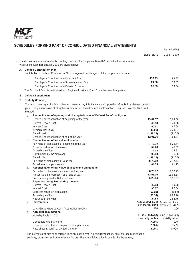

|    |         |                                                                                                                                      |                                                                                                | (Rs. in Lakhs)       |
|----|---------|--------------------------------------------------------------------------------------------------------------------------------------|------------------------------------------------------------------------------------------------|----------------------|
|    |         |                                                                                                                                      | 2009 - 2010                                                                                    | 2008 - 2009          |
|    |         | 9. The disclosures required under Accounting Standard 15 "Employee Benefits" notified in the Companies                               |                                                                                                |                      |
|    |         | (Accounting Standards) Rules 2006 are given below:                                                                                   |                                                                                                |                      |
| А. |         | <b>Defined Contribution Plan</b>                                                                                                     |                                                                                                |                      |
|    |         | Contribution to Defined Contribution Plan, recognized are charged off for the year are as under:                                     |                                                                                                |                      |
|    |         | Employer's Contribution to Provident Fund                                                                                            | 138.93                                                                                         | 99.45                |
|    |         | Employer's Contribution to Superannuation Fund                                                                                       | 64.86                                                                                          | 59.02                |
|    |         | Employer's Contribution to Pension Scheme                                                                                            | 56.05                                                                                          | 53.34                |
|    |         | The Provident Fund is maintained with Regional Provident Fund Commissioner, Mangalore.                                               |                                                                                                |                      |
| В. |         | <b>Defined Benefit Plan</b>                                                                                                          |                                                                                                |                      |
|    |         |                                                                                                                                      |                                                                                                |                      |
| i) |         | <b>Gratuity (Funded):</b><br>The employees' gratuity fund scheme managed by Life Insurance Corporation of India is a defined benefit |                                                                                                |                      |
|    | Method. | plan. The present value of obligation is determined based on actuarial valuation using the Projected Unit Credit                     |                                                                                                |                      |
|    | a.      | Reconciliation of opening and closing balances of Defined Benefit obligation                                                         |                                                                                                |                      |
|    |         | Defined Benefit obligation at beginning of the year                                                                                  | 13,04.37                                                                                       | 10,08.58             |
|    |         | <b>Current Service Cost</b>                                                                                                          | 46.93                                                                                          | 40.38                |
|    |         | <b>Interest Cost</b>                                                                                                                 | 90.57                                                                                          | 87.04                |
|    |         | Actuarial loss/(gain)                                                                                                                | (48.26)                                                                                        | 2,23.07              |
|    |         | Benefits paid                                                                                                                        | (1,88.25)                                                                                      | (54.70)              |
|    |         | Defined Benefit obligation at end of the year                                                                                        | 12,05.36                                                                                       | 13,04.37             |
|    | b.      | Reconciliation of fair value of assets                                                                                               |                                                                                                |                      |
|    |         | Fair value of plan assets at beginning of the year                                                                                   | 7,12.73                                                                                        | 6,29.44              |
|    |         | Expected return on plan assets                                                                                                       | 52.28                                                                                          | 46.82                |
|    |         | Actuarial gain/(loss)                                                                                                                | 12.08<br>90.68                                                                                 | 14.91                |
|    |         | Contribution by the employer<br><b>Benefits Paid</b>                                                                                 | (1,88.25)                                                                                      | 76.26<br>(54.70)     |
|    |         | Fair value of plan assets at year end                                                                                                | 6,79.52                                                                                        | 7,12.73              |
|    |         | Actual return on plan assets                                                                                                         | 64.35                                                                                          | 61.73                |
|    | C.      | Reconciliation of fair value of assets and obligations                                                                               |                                                                                                |                      |
|    |         | Fair value of plan assets as at end of the year                                                                                      | 6,79.52                                                                                        | 7,12.73              |
|    |         | Present value of obligation as at end of year                                                                                        | 12,05.36                                                                                       | 13,04.37             |
|    |         | Liability recognized in Balance Sheet                                                                                                | 5,25.84                                                                                        | 5,91.63              |
|    | d.      | Expenses recognized during the year                                                                                                  |                                                                                                |                      |
|    |         | <b>Current Service Cost</b>                                                                                                          | 46.93                                                                                          | 40.38                |
|    |         | <b>Interest Cost</b>                                                                                                                 | 90.57                                                                                          | 87.04                |
|    |         | Expected return on plan assets                                                                                                       | (52.28)                                                                                        | (46.82)              |
|    |         | Actuarial gain/(loss)                                                                                                                | (60.34)                                                                                        | 2,08.16              |
|    |         | Net Cost for the year                                                                                                                | 24.88                                                                                          | 2,88.76              |
|    | е.      | <b>Investments</b>                                                                                                                   | % Invested As at % Invested As at<br>31 <sup>st</sup> March, 2010 31 <sup>st</sup> March, 2009 |                      |
|    |         | L.I.C. Group Gratuity (Cash Accumulation) Policy                                                                                     | 100                                                                                            | 100                  |
|    | f.      | <b>Actuarial assumptions</b>                                                                                                         |                                                                                                |                      |
|    |         | Mortality Table (L.I.C.)                                                                                                             | L.I.C. (1994-96)                                                                               | $L.I.C. (1994 - 96)$ |
|    |         |                                                                                                                                      | mortality tables                                                                               | mortality tables     |
|    |         | Discount rate (per annum)                                                                                                            | 7.90%                                                                                          | 7.10%                |
|    |         | Expected rate of return on plan assets (per annum)                                                                                   | 7.50%                                                                                          | 7.50%                |
|    |         | Rate of escalation in salary (per annum)                                                                                             | 5.00%                                                                                          | 5.00%                |

 The estimates of rate of escalation in salary considered in actuarial valuation, take into account inflation, seniority, promotion and other relevant factors. The above information is certified by the actuary.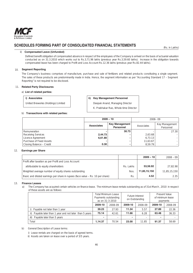

### ii) **Compensated Leave (Unfunded)**

 Defined benefit obligation of compensated absence in respect of the employees of the Company is arrived on the basis of actuarial valuation conducted as on 31.3.2010 which works out to Rs.3,71.96 lakhs (previous year Rs.3,59.60 lakhs). Increase in the obligation towards compensated leave has been charged to Profit and Loss Account Rs.12.36 lakhs (previous year Rs.82.44 lakhs).

## 10. **Segment Reporting**

The Company's business comprises of manufacture, purchase and sale of fertilizers and related products constituting a single segment. The sales of these products are predominantly made in India. Hence, the segment information as per "Accounting Standard 17 – Segment Reporting" is not required to be disclosed.

## 11. **Related Party Disclosures**

## a) **List of related parties:**

### **i)** Associates **iii)** Key Management Personnel

United Breweries (Holdings) Limited | Deepak Anand, Managing Director

K. Prabhakar Rao, Whole-time Director

# b) **Transactions with related parties:**

|                           |                   | $2009 - 10$                        |            | $2008 - 09$                 |
|---------------------------|-------------------|------------------------------------|------------|-----------------------------|
|                           | <b>Associates</b> | <b>Key Management</b><br>Personnel | Associates | Key Management<br>Personnel |
| Remuneration              |                   | 30.73                              |            | 27.30                       |
| <b>Receiving Services</b> | 2,44.73           |                                    | 2.63.68    |                             |
| Licence Agreement         | 6,61.80           |                                    | 6,73.13    |                             |
| Purchase of Fixed Assets  |                   |                                    | 11,63.67   |                             |
| Closing Balance - Credit  | 0.30              |                                    | 8.59.79    |                             |

### 12. **Earnings per Share**

|                                                                                |           | $2009 - 10$  | $2008 - 09$  |
|--------------------------------------------------------------------------------|-----------|--------------|--------------|
| Profit after taxation as per Profit and Loss Account                           |           |              |              |
| attributable to equity shareholders                                            | Rs. Lakhs | 53,56.92     | 27,82.98     |
| Weighted average number of equity shares outstanding                           | Nos.      | 11,85,15,150 | 11,85,15,150 |
| Basic and diluted earnings per share in rupees (face value - Rs. 10 per share) | Rs.       | 4.52         | 2.35         |

### 13. **Finance Leases**

a) The Company has acquired certain vehicles on finance lease. The minimum lease rentals outstanding as of 31st March , 2010 in respect of these assets are as follows:

|                                                             |         | <b>Total Minimum Lease</b><br>Payments outstanding<br>as on 31-3-2010 | <b>Future Interest</b><br>on Outstanding |         |         | <b>Present Value</b><br>of minimum lease<br>payments |
|-------------------------------------------------------------|---------|-----------------------------------------------------------------------|------------------------------------------|---------|---------|------------------------------------------------------|
|                                                             | 2009-10 | 2008-09                                                               | 2009-10                                  | 2008-09 | 2009-10 | 2008-09                                              |
| i) Payable not later than 1 year                            | 39.23   | 27.93                                                                 | 11.34                                    | 5.57    | 27.89   | 22.36                                                |
| Payable later than 1 year and not later than 5 years<br>ii) | 75.14   | 42.61                                                                 | 11.66                                    | 6.28    | 63.48   | 36.33                                                |
| Payable later than 5 years<br>iii)                          |         |                                                                       |                                          |         |         |                                                      |
| Total                                                       | 1.14.37 | 70.54                                                                 | 23.00                                    | 11.85   | 91.37   | 58.69                                                |

- b) General Description of Lease terms:
	- i) Lease rentals are charged on the basis of agreed terms.
	- ii) Assets are taken on lease over a period of 3/5 years.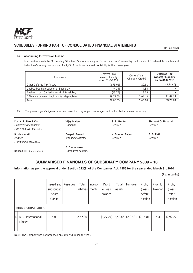

(Rs. in Lakhs)

## 14. **Accounting for Taxes on Income**

In accordance with the "Accounting Standard 22 – Accounting for Taxes on Income", issued by the Institute of Chartered Accountants of India, the Company has provided Rs 2,43.18 lakhs as deferred tax liability for the current year.

| <b>Particulars</b>                           | Deferred Tax<br>(Asset) / Liability<br>as on 31-3-2009 | <b>Current Year</b><br>Charge / (Credit) | <b>Deferred Tax</b><br>(Asset) / Liability<br>as on 31-3-2010 |
|----------------------------------------------|--------------------------------------------------------|------------------------------------------|---------------------------------------------------------------|
| Other Deferred Tax Assets                    | (2,75.01)                                              | 20.61                                    | (2,54.40)                                                     |
| Unabsorbed Depreciation of Subsidiary        | (4.34)                                                 | 4.34                                     |                                                               |
| Business Loss Carried forward of Subsidiary  | (13.75)                                                | 13.75                                    |                                                               |
| Difference between book and tax depreciation | 39.79.65                                               | 2.04.48                                  | 41,84.13                                                      |
| Total                                        | 36.86.55                                               | 2,43.18                                  | 39,29.73                                                      |

15. The previous year's figures have been reworked, regrouped, rearranged and reclassified wherever necessary.

| For K. P. Rao & Co.          | Vijay Mallya             | S. R. Gupte     | <b>Shrikant G. Ruparel</b> |
|------------------------------|--------------------------|-----------------|----------------------------|
| <b>Chartered Accountants</b> | Chairman                 | Director        | <b>Director</b>            |
| Firm Regn. No. 003135S       |                          |                 |                            |
| K. Viswanath                 | Deepak Anand             | N. Sunder Rajan | <b>B. S. Patil</b>         |
| Partner                      | <b>Managing Director</b> | Director        | Director                   |
| Membership No.22812          |                          |                 |                            |
|                              | S. Ramaprasad            |                 |                            |
| Bangalore: July 21, 2010     | <b>Company Secretary</b> |                 |                            |
|                              |                          |                 |                            |

# **SUMMARISED FINANCIALS OF SUBSIDIARY COMPANY 2009 – 10**

# **Information as per the approval under Section 212(8) of the Companies Act, 1956 for the year ended March 31, 2010**

(Rs. in Lakhs)

|    |                                     | <b>Issued and Reserves</b><br>subscribed<br><b>Share</b><br>Capital | Total<br>Liabilities | Invest-<br>ments         | Profit<br>& Loss<br>balance | Total<br>Assets | Turnover           | Profit/<br>(Loss)<br>before<br>Taxation | Prov. for<br>Taxation | Profit/<br>(Loss)<br>after<br>Taxation |
|----|-------------------------------------|---------------------------------------------------------------------|----------------------|--------------------------|-----------------------------|-----------------|--------------------|-----------------------------------------|-----------------------|----------------------------------------|
|    | <b>INDIAN SUBSIDIARIES</b>          |                                                                     |                      |                          |                             |                 |                    |                                         |                       |                                        |
| 1. | <b>MCF</b> International<br>Limited | 5.00                                                                | 2,52.86              | $\overline{\phantom{a}}$ | (3, 27.24)                  |                 | $2,52.86$ 12,07.81 | (2,76.81)                               | 15.41                 | (2,92.22)                              |

Note : The Company has not proposed any dividend during the year.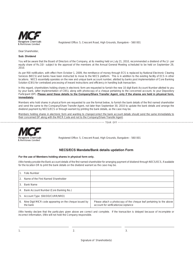

Registered Office: 5, Crescent Road, High Grounds, Bangalore – 560 001

Dear Shareholder,

### **Sub: Dividend**

You will be aware that the Board of Directors of the Company, at its meeting held on July 21, 2010, recommended a dividend of Re.1/- per equity share of Rs.10/- subject to the approval of the members at the Annual General Meeting scheduled to be held on September 29, 2010.

As per RBI notification, with effect from October 1, 2009, the remittance of money through ECS is replaced by National Electronic Clearing Services (NECS) and banks have been instructed to move to the NECS platform. This is in addition to the existing facility of ECS in other locations. NECS essentially operates on the new and unique bank account number, allotted by banks post implementation of Core Banking Solution (CBS) for centralized processing of inward instructions and efficiency in handling bulk transaction.

In this regard, shareholders holding shares in electronic form are requested to furnish the new 10 digit Bank Account Number allotted to you by your bank, (after implementation of CBS), along with photocopy of a cheque pertaining to the concerned account, to your Depository Participant (DP). **Please send these details to the Company/Share Transfer Agent, only if the shares are held in physical form, immediately**.

Members who hold shares in physical form are requested to use the format below, to furnish the bank details of the first named shareholder and send the same to the Company/Share Transfer Agent, not later than September 30, 2010 to update the bank details and arrange the dividend payment by NECS/ECS or through warrant by printing the bank details, as the case may be.

Members holding shares in electronic form and wanting to change/correct the bank account details should send the same immediately to their concerned DP along with the MICR Code and not to the Company/Share Transfer Agent.

-------------------------------------------------------------------------- TEAR OFF -----------------------------------------------------



Registered Office: 5, Crescent Road, High Grounds, Bangalore – 560 001

## **NECS/ECS Mandate/Bank details updation Form**

### **For the use of Members holding shares in physical form only.**

I/We hereby provide the Bank account details of the first named shareholder for arranging payment of dividend through NECS/ECS, if available for the location OR to print the bank details on the dividend warrant as the case may be.

|    | Folio Number                                                       |                                                                                                             |
|----|--------------------------------------------------------------------|-------------------------------------------------------------------------------------------------------------|
| 2. | Name of the First Named Shareholder                                |                                                                                                             |
|    | Bank Name                                                          |                                                                                                             |
| 4. | Bank Account Number (Core Banking No.)                             |                                                                                                             |
| 5. | Account Type (SB/OD/CURR/NRO)                                      |                                                                                                             |
| 6. | Nine Digit MICR code appearing on the cheque issued by<br>the bank | Please attach a photocopy of the cheque leaf pertaining to the above<br>account for verification/acceptance |

I/We hereby declare that the particulars given above are correct and complete. If the transaction is delayed because of incomplete or incorrect information, I/We will not hold the Company responsible.

1.  $2.$  3.

Signature of Shareholder(s)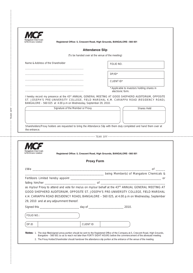| Mangalore Chemicals<br>& Fertilizers Limited |
|----------------------------------------------|

----------------------------------------------------------------------------------------------------- TEAR OFF --------------------------------------------------------------------

j

TEAR OFF

**Registered Office: 5, Crescent Road, High Grounds, BANGALORE – 560 001** 

## **Attendance Slip**

(To be handed over at the venue of the meeting)

Name & Address of the Shareholder

................................................................................. .................................................................................

> ................................................................................. ................................................................................. .................................................................................

FOLIO NO.

DP/ID\*

CLIENT ID\*

Applicable to investors holding shares in electronic form.

I hereby record my presence at the 43rd ANNUAL GENERAL MEETING AT GOOD SHEPHERD AUDITORIUM, OPPOSITE ST. JOSEPH'S PRE-UNIVERSITY COLLEGE, FIELD MARSHAL K.M. CARIAPPA ROAD (RESIDENCY ROAD), BANGALORE – 560 025 at 4.00 p.m on Wednesday, September 29, 2010.

Shareholders/Proxy holders are requested to bring the Attendance Slip with them duly completed and hand them over at the entrance.

------------------------------------------------------------------- TEAR OFF ------------------------------------------------------------

Signature of the Member or Proxy Shares Held

|                                          | <b>Proxy Form</b>                                                                                                                                                                                                                                                                             |
|------------------------------------------|-----------------------------------------------------------------------------------------------------------------------------------------------------------------------------------------------------------------------------------------------------------------------------------------------|
|                                          |                                                                                                                                                                                                                                                                                               |
|                                          |                                                                                                                                                                                                                                                                                               |
|                                          |                                                                                                                                                                                                                                                                                               |
|                                          |                                                                                                                                                                                                                                                                                               |
|                                          | as my/our Proxy to attend and vote for me/us on my/our behalf at the 43RD ANNUAL GENERAL MEETING AT<br>GOOD SHEPHERD AUDITORIUM, OPPOSITE ST. JOSEPH'S PRE-UNIVERSITY COLLEGE, FIELD MARSHAL<br>K.M. CARIAPPA ROAD (RESIDENCY ROAD), BANGALORE - 560 025, at 4.00 p.m on Wednesday, September |
| 29, 2010 and at any adjournment thereof. |                                                                                                                                                                                                                                                                                               |
| FOLIO NO.:                               |                                                                                                                                                                                                                                                                                               |